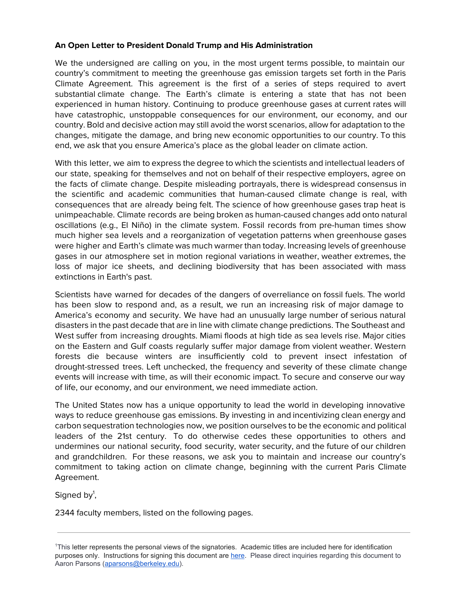## **An Open Letter to President Donald Trump and His Administration**

We the undersigned are calling on you, in the most urgent terms possible, to maintain our country's commitment to meeting the greenhouse gas emission targets set forth in the Paris Climate Agreement. This agreement is the first of a series of steps required to avert substantial climate change. The Earth's climate is entering a state that has not been experienced in human history. Continuing to produce greenhouse gases at current rates will have catastrophic, unstoppable consequences for our environment, our economy, and our country. Bold and decisive action may still avoid the worst scenarios, allow for adaptation to the changes, mitigate the damage, and bring new economic opportunities to our country. To this end, we ask that you ensure America's place as the global leader on climate action.

With this letter, we aim to express the degree to which the scientists and intellectual leaders of our state, speaking for themselves and not on behalf of their respective employers, agree on the facts of climate change. Despite misleading portrayals, there is widespread consensus in the scientific and academic communities that human-caused climate change is real, with consequences that are already being felt. The science of how greenhouse gases trap heat is unimpeachable. Climate records are being broken as human-caused changes add onto natural oscillations (e.g., El Niño) in the climate system. Fossil records from pre-human times show much higher sea levels and a reorganization of vegetation patterns when greenhouse gases were higher and Earth's climate was much warmer than today. Increasing levels of greenhouse gases in our atmosphere set in motion regional variations in weather, weather extremes, the loss of major ice sheets, and declining biodiversity that has been associated with mass extinctions in Earth's past.

Scientists have warned for decades of the dangers of overreliance on fossil fuels. The world has been slow to respond and, as a result, we run an increasing risk of major damage to America's economy and security. We have had an unusually large number of serious natural disasters in the past decade that are in line with climate change predictions. The Southeast and West suffer from increasing droughts. Miami floods at high tide as sea levels rise. Major cities on the Eastern and Gulf coasts regularly suffer major damage from violent weather. Western forests die because winters are insufficiently cold to prevent insect infestation of drought-stressed trees. Left unchecked, the frequency and severity of these climate change events will increase with time, as will their economic impact. To secure and conserve our way of life, our economy, and our environment, we need immediate action.

The United States now has a unique opportunity to lead the world in developing innovative ways to reduce greenhouse gas emissions. By investing in and incentivizing clean energy and carbon sequestration technologies now, we position ourselves to be the economic and political leaders of the 21st century. To do otherwise cedes these opportunities to others and undermines our national security, food security, water security, and the future of our children and grandchildren. For these reasons, we ask you to maintain and increase our country's commitment to taking action on climate change, beginning with the current Paris Climate Agreement.

Signed by<sup>1</sup>,

2344 faculty members, listed on the following pages.

<sup>1</sup>This letter represents the personal views of the signatories. Academic titles are included here for identification purposes only. Instructions for signing this document are [here](https://docs.google.com/document/d/1pxDLFtX_9gHNPeu1S5KJ8EoQuwjLz3-nrTjWDxtkSOs/edit?usp=sharing). Please direct inquiries regarding this document to Aaron Parsons ([aparsons@berkeley.edu\)](mailto:aparsons@berkeley.edu).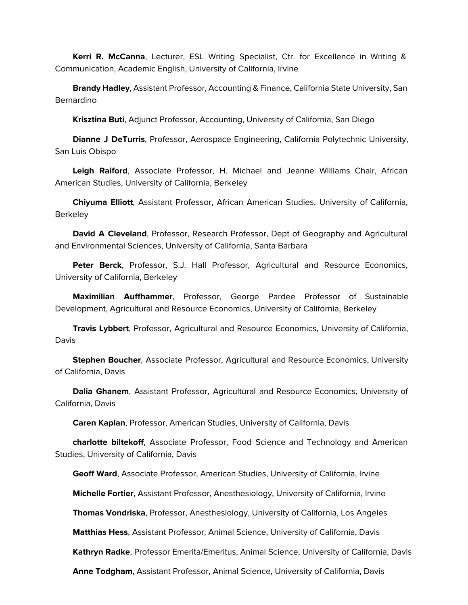**Kerri R. McCanna**, Lecturer, ESL Writing Specialist, Ctr. for Excellence in Writing & Communication, Academic English, University of California, Irvine

 **Brandy Hadley**, Assistant Professor, Accounting & Finance, California State University, San Bernardino

**Krisztina Buti**, Adjunct Professor, Accounting, University of California, San Diego

 **Dianne J DeTurris**, Professor, Aerospace Engineering, California Polytechnic University, San Luis Obispo

 **Leigh Raiford**, Associate Professor, H. Michael and Jeanne Williams Chair, African American Studies, University of California, Berkeley

 **Chiyuma Elliott**, Assistant Professor, African American Studies, University of California, **Berkeley** 

 **David A Cleveland**, Professor, Research Professor, Dept of Geography and Agricultural and Environmental Sciences, University of California, Santa Barbara

 **Peter Berck**, Professor, S.J. Hall Professor, Agricultural and Resource Economics, University of California, Berkeley

 **Maximilian Auffhammer**, Professor, George Pardee Professor of Sustainable Development, Agricultural and Resource Economics, University of California, Berkeley

 **Travis Lybbert**, Professor, Agricultural and Resource Economics, University of California, Davis

 **Stephen Boucher**, Associate Professor, Agricultural and Resource Economics, University of California, Davis

 **Dalia Ghanem**, Assistant Professor, Agricultural and Resource Economics, University of California, Davis

**Caren Kaplan**, Professor, American Studies, University of California, Davis

 **charlotte biltekoff**, Associate Professor, Food Science and Technology and American Studies, University of California, Davis

**Geoff Ward**, Associate Professor, American Studies, University of California, Irvine

**Michelle Fortier**, Assistant Professor, Anesthesiology, University of California, Irvine

**Thomas Vondriska**, Professor, Anesthesiology, University of California, Los Angeles

**Matthias Hess**, Assistant Professor, Animal Science, University of California, Davis

**Kathryn Radke**, Professor Emerita/Emeritus, Animal Science, University of California, Davis

**Anne Todgham**, Assistant Professor, Animal Science, University of California, Davis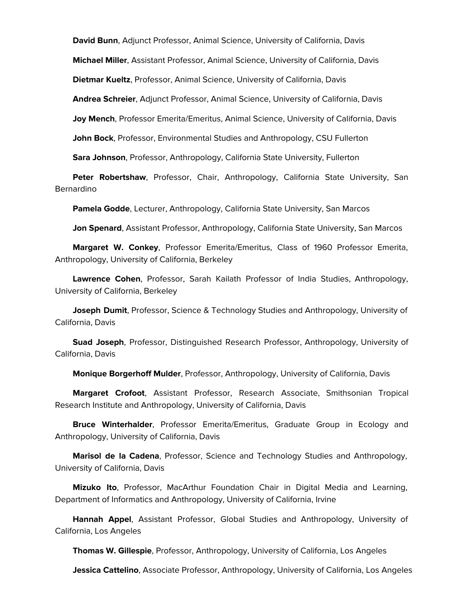**David Bunn**, Adjunct Professor, Animal Science, University of California, Davis

**Michael Miller**, Assistant Professor, Animal Science, University of California, Davis

**Dietmar Kueltz**, Professor, Animal Science, University of California, Davis

**Andrea Schreier**, Adjunct Professor, Animal Science, University of California, Davis

**Joy Mench**, Professor Emerita/Emeritus, Animal Science, University of California, Davis

**John Bock**, Professor, Environmental Studies and Anthropology, CSU Fullerton

**Sara Johnson**, Professor, Anthropology, California State University, Fullerton

 **Peter Robertshaw**, Professor, Chair, Anthropology, California State University, San Bernardino

**Pamela Godde**, Lecturer, Anthropology, California State University, San Marcos

**Jon Spenard**, Assistant Professor, Anthropology, California State University, San Marcos

 **Margaret W. Conkey**, Professor Emerita/Emeritus, Class of 1960 Professor Emerita, Anthropology, University of California, Berkeley

 **Lawrence Cohen**, Professor, Sarah Kailath Professor of India Studies, Anthropology, University of California, Berkeley

 **Joseph Dumit**, Professor, Science & Technology Studies and Anthropology, University of California, Davis

 **Suad Joseph**, Professor, Distinguished Research Professor, Anthropology, University of California, Davis

**Monique Borgerhoff Mulder**, Professor, Anthropology, University of California, Davis

 **Margaret Crofoot**, Assistant Professor, Research Associate, Smithsonian Tropical Research Institute and Anthropology, University of California, Davis

 **Bruce Winterhalder**, Professor Emerita/Emeritus, Graduate Group in Ecology and Anthropology, University of California, Davis

 **Marisol de la Cadena**, Professor, Science and Technology Studies and Anthropology, University of California, Davis

 **Mizuko Ito**, Professor, MacArthur Foundation Chair in Digital Media and Learning, Department of Informatics and Anthropology, University of California, Irvine

 **Hannah Appel**, Assistant Professor, Global Studies and Anthropology, University of California, Los Angeles

**Thomas W. Gillespie**, Professor, Anthropology, University of California, Los Angeles

**Jessica Cattelino**, Associate Professor, Anthropology, University of California, Los Angeles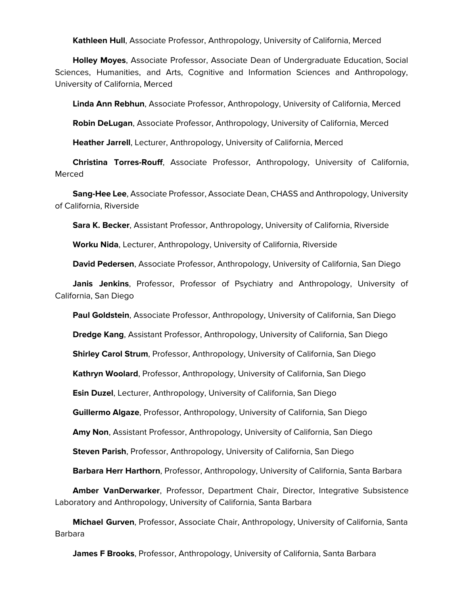**Kathleen Hull**, Associate Professor, Anthropology, University of California, Merced

 **Holley Moyes**, Associate Professor, Associate Dean of Undergraduate Education, Social Sciences, Humanities, and Arts, Cognitive and Information Sciences and Anthropology, University of California, Merced

**Linda Ann Rebhun**, Associate Professor, Anthropology, University of California, Merced

**Robin DeLugan**, Associate Professor, Anthropology, University of California, Merced

**Heather Jarrell**, Lecturer, Anthropology, University of California, Merced

 **Christina Torres-Rouff**, Associate Professor, Anthropology, University of California, Merced

 **Sang-Hee Lee**, Associate Professor, Associate Dean, CHASS and Anthropology, University of California, Riverside

**Sara K. Becker**, Assistant Professor, Anthropology, University of California, Riverside

**Worku Nida**, Lecturer, Anthropology, University of California, Riverside

**David Pedersen**, Associate Professor, Anthropology, University of California, San Diego

 **Janis Jenkins**, Professor, Professor of Psychiatry and Anthropology, University of California, San Diego

**Paul Goldstein**, Associate Professor, Anthropology, University of California, San Diego

**Dredge Kang**, Assistant Professor, Anthropology, University of California, San Diego

**Shirley Carol Strum**, Professor, Anthropology, University of California, San Diego

**Kathryn Woolard**, Professor, Anthropology, University of California, San Diego

**Esin Duzel**, Lecturer, Anthropology, University of California, San Diego

**Guillermo Algaze**, Professor, Anthropology, University of California, San Diego

**Amy Non**, Assistant Professor, Anthropology, University of California, San Diego

**Steven Parish**, Professor, Anthropology, University of California, San Diego

**Barbara Herr Harthorn**, Professor, Anthropology, University of California, Santa Barbara

 **Amber VanDerwarker**, Professor, Department Chair, Director, Integrative Subsistence Laboratory and Anthropology, University of California, Santa Barbara

 **Michael Gurven**, Professor, Associate Chair, Anthropology, University of California, Santa Barbara

**James F Brooks**, Professor, Anthropology, University of California, Santa Barbara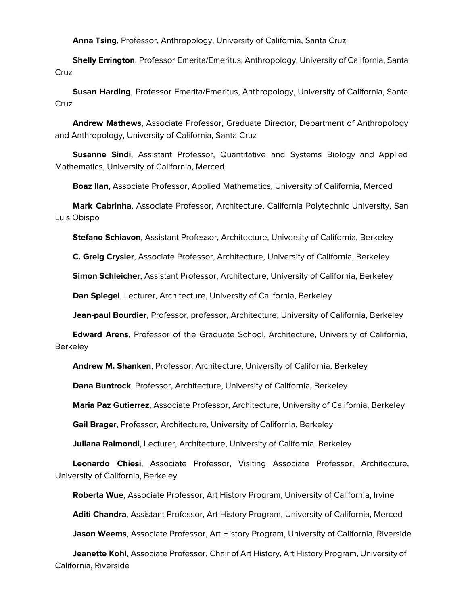**Anna Tsing**, Professor, Anthropology, University of California, Santa Cruz

 **Shelly Errington**, Professor Emerita/Emeritus, Anthropology, University of California, Santa **Cruz** 

 **Susan Harding**, Professor Emerita/Emeritus, Anthropology, University of California, Santa **Cruz** 

 **Andrew Mathews**, Associate Professor, Graduate Director, Department of Anthropology and Anthropology, University of California, Santa Cruz

 **Susanne Sindi**, Assistant Professor, Quantitative and Systems Biology and Applied Mathematics, University of California, Merced

**Boaz Ilan**, Associate Professor, Applied Mathematics, University of California, Merced

 **Mark Cabrinha**, Associate Professor, Architecture, California Polytechnic University, San Luis Obispo

**Stefano Schiavon**, Assistant Professor, Architecture, University of California, Berkeley

**C. Greig Crysler**, Associate Professor, Architecture, University of California, Berkeley

**Simon Schleicher**, Assistant Professor, Architecture, University of California, Berkeley

**Dan Spiegel**, Lecturer, Architecture, University of California, Berkeley

**Jean-paul Bourdier**, Professor, professor, Architecture, University of California, Berkeley

 **Edward Arens**, Professor of the Graduate School, Architecture, University of California, **Berkeley** 

**Andrew M. Shanken**, Professor, Architecture, University of California, Berkeley

**Dana Buntrock**, Professor, Architecture, University of California, Berkeley

**Maria Paz Gutierrez**, Associate Professor, Architecture, University of California, Berkeley

**Gail Brager**, Professor, Architecture, University of California, Berkeley

**Juliana Raimondi**, Lecturer, Architecture, University of California, Berkeley

 **Leonardo Chiesi**, Associate Professor, Visiting Associate Professor, Architecture, University of California, Berkeley

**Roberta Wue**, Associate Professor, Art History Program, University of California, Irvine

**Aditi Chandra**, Assistant Professor, Art History Program, University of California, Merced

**Jason Weems**, Associate Professor, Art History Program, University of California, Riverside

 **Jeanette Kohl**, Associate Professor, Chair of Art History, Art History Program, University of California, Riverside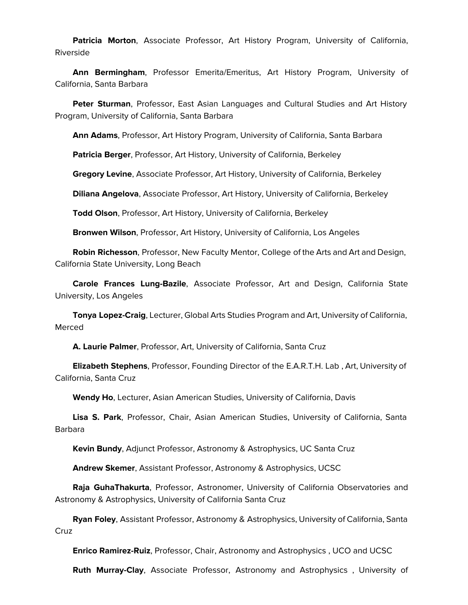**Patricia Morton**, Associate Professor, Art History Program, University of California, Riverside

 **Ann Bermingham**, Professor Emerita/Emeritus, Art History Program, University of California, Santa Barbara

 **Peter Sturman**, Professor, East Asian Languages and Cultural Studies and Art History Program, University of California, Santa Barbara

**Ann Adams**, Professor, Art History Program, University of California, Santa Barbara

**Patricia Berger**, Professor, Art History, University of California, Berkeley

**Gregory Levine**, Associate Professor, Art History, University of California, Berkeley

**Diliana Angelova**, Associate Professor, Art History, University of California, Berkeley

**Todd Olson**, Professor, Art History, University of California, Berkeley

**Bronwen Wilson**, Professor, Art History, University of California, Los Angeles

 **Robin Richesson**, Professor, New Faculty Mentor, College of the Arts and Art and Design, California State University, Long Beach

 **Carole Frances Lung-Bazile**, Associate Professor, Art and Design, California State University, Los Angeles

 **Tonya Lopez-Craig**, Lecturer, Global Arts Studies Program and Art, University of California, Merced

**A. Laurie Palmer**, Professor, Art, University of California, Santa Cruz

 **Elizabeth Stephens**, Professor, Founding Director of the E.A.R.T.H. Lab , Art, University of California, Santa Cruz

**Wendy Ho**, Lecturer, Asian American Studies, University of California, Davis

 **Lisa S. Park**, Professor, Chair, Asian American Studies, University of California, Santa Barbara

**Kevin Bundy**, Adjunct Professor, Astronomy & Astrophysics, UC Santa Cruz

**Andrew Skemer**, Assistant Professor, Astronomy & Astrophysics, UCSC

 **Raja GuhaThakurta**, Professor, Astronomer, University of California Observatories and Astronomy & Astrophysics, University of California Santa Cruz

 **Ryan Foley**, Assistant Professor, Astronomy & Astrophysics, University of California, Santa Cruz

**Enrico Ramirez-Ruiz**, Professor, Chair, Astronomy and Astrophysics , UCO and UCSC

**Ruth Murray-Clay**, Associate Professor, Astronomy and Astrophysics , University of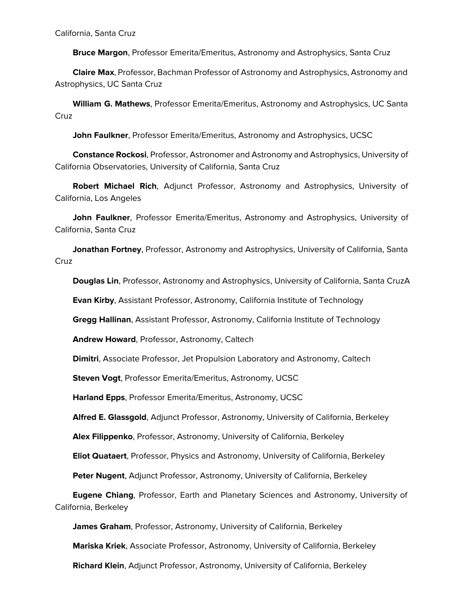California, Santa Cruz

**Bruce Margon**, Professor Emerita/Emeritus, Astronomy and Astrophysics, Santa Cruz

 **Claire Max**, Professor, Bachman Professor of Astronomy and Astrophysics, Astronomy and Astrophysics, UC Santa Cruz

 **William G. Mathews**, Professor Emerita/Emeritus, Astronomy and Astrophysics, UC Santa Cruz

**John Faulkner**, Professor Emerita/Emeritus, Astronomy and Astrophysics, UCSC

 **Constance Rockosi**, Professor, Astronomer and Astronomy and Astrophysics, University of California Observatories, University of California, Santa Cruz

 **Robert Michael Rich**, Adjunct Professor, Astronomy and Astrophysics, University of California, Los Angeles

 **John Faulkner**, Professor Emerita/Emeritus, Astronomy and Astrophysics, University of California, Santa Cruz

 **Jonathan Fortney**, Professor, Astronomy and Astrophysics, University of California, Santa Cruz

**Douglas Lin**, Professor, Astronomy and Astrophysics, University of California, Santa CruzA

**Evan Kirby**, Assistant Professor, Astronomy, California Institute of Technology

**Gregg Hallinan**, Assistant Professor, Astronomy, California Institute of Technology

**Andrew Howard**, Professor, Astronomy, Caltech

**Dimitri**, Associate Professor, Jet Propulsion Laboratory and Astronomy, Caltech

**Steven Vogt**, Professor Emerita/Emeritus, Astronomy, UCSC

**Harland Epps**, Professor Emerita/Emeritus, Astronomy, UCSC

**Alfred E. Glassgold**, Adjunct Professor, Astronomy, University of California, Berkeley

**Alex Filippenko**, Professor, Astronomy, University of California, Berkeley

**Eliot Quataert**, Professor, Physics and Astronomy, University of California, Berkeley

**Peter Nugent**, Adjunct Professor, Astronomy, University of California, Berkeley

 **Eugene Chiang**, Professor, Earth and Planetary Sciences and Astronomy, University of California, Berkeley

**James Graham**, Professor, Astronomy, University of California, Berkeley

**Mariska Kriek**, Associate Professor, Astronomy, University of California, Berkeley

**Richard Klein**, Adjunct Professor, Astronomy, University of California, Berkeley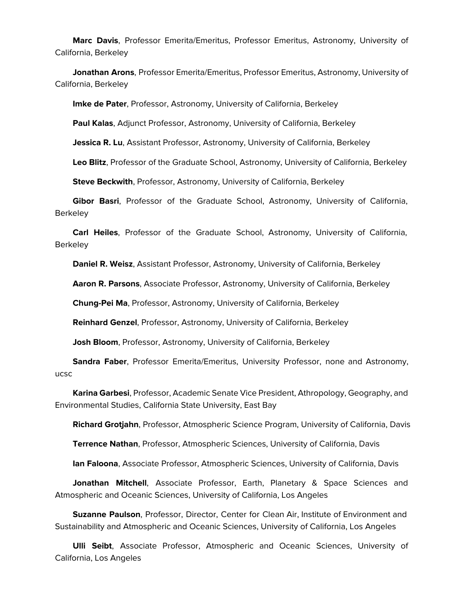**Marc Davis**, Professor Emerita/Emeritus, Professor Emeritus, Astronomy, University of California, Berkeley

 **Jonathan Arons**, Professor Emerita/Emeritus, Professor Emeritus, Astronomy, University of California, Berkeley

**Imke de Pater**, Professor, Astronomy, University of California, Berkeley

**Paul Kalas**, Adjunct Professor, Astronomy, University of California, Berkeley

**Jessica R. Lu**, Assistant Professor, Astronomy, University of California, Berkeley

**Leo Blitz**, Professor of the Graduate School, Astronomy, University of California, Berkeley

**Steve Beckwith**, Professor, Astronomy, University of California, Berkeley

 **Gibor Basri**, Professor of the Graduate School, Astronomy, University of California, Berkeley

 **Carl Heiles**, Professor of the Graduate School, Astronomy, University of California, **Berkeley** 

**Daniel R. Weisz**, Assistant Professor, Astronomy, University of California, Berkeley

**Aaron R. Parsons**, Associate Professor, Astronomy, University of California, Berkeley

**Chung-Pei Ma**, Professor, Astronomy, University of California, Berkeley

**Reinhard Genzel**, Professor, Astronomy, University of California, Berkeley

**Josh Bloom**, Professor, Astronomy, University of California, Berkeley

 **Sandra Faber**, Professor Emerita/Emeritus, University Professor, none and Astronomy, ucsc

 **Karina Garbesi**, Professor, Academic Senate Vice President, Athropology, Geography, and Environmental Studies, California State University, East Bay

**Richard Grotjahn**, Professor, Atmospheric Science Program, University of California, Davis

**Terrence Nathan**, Professor, Atmospheric Sciences, University of California, Davis

**Ian Faloona**, Associate Professor, Atmospheric Sciences, University of California, Davis

 **Jonathan Mitchell**, Associate Professor, Earth, Planetary & Space Sciences and Atmospheric and Oceanic Sciences, University of California, Los Angeles

 **Suzanne Paulson**, Professor, Director, Center for Clean Air, Institute of Environment and Sustainability and Atmospheric and Oceanic Sciences, University of California, Los Angeles

 **Ulli Seibt**, Associate Professor, Atmospheric and Oceanic Sciences, University of California, Los Angeles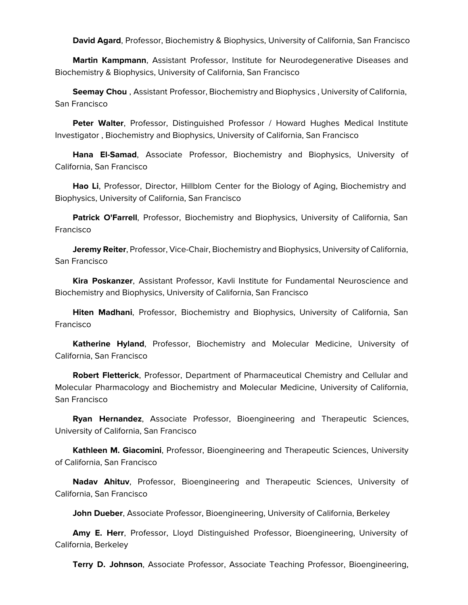**David Agard**, Professor, Biochemistry & Biophysics, University of California, San Francisco

 **Martin Kampmann**, Assistant Professor, Institute for Neurodegenerative Diseases and Biochemistry & Biophysics, University of California, San Francisco

 **Seemay Chou** , Assistant Professor, Biochemistry and Biophysics , University of California, San Francisco

 **Peter Walter**, Professor, Distinguished Professor / Howard Hughes Medical Institute Investigator , Biochemistry and Biophysics, University of California, San Francisco

 **Hana El-Samad**, Associate Professor, Biochemistry and Biophysics, University of California, San Francisco

 **Hao Li**, Professor, Director, Hillblom Center for the Biology of Aging, Biochemistry and Biophysics, University of California, San Francisco

 **Patrick O'Farrell**, Professor, Biochemistry and Biophysics, University of California, San Francisco

 **Jeremy Reiter**, Professor, Vice-Chair, Biochemistry and Biophysics, University of California, San Francisco

 **Kira Poskanzer**, Assistant Professor, Kavli Institute for Fundamental Neuroscience and Biochemistry and Biophysics, University of California, San Francisco

 **Hiten Madhani**, Professor, Biochemistry and Biophysics, University of California, San Francisco

 **Katherine Hyland**, Professor, Biochemistry and Molecular Medicine, University of California, San Francisco

 **Robert Fletterick**, Professor, Department of Pharmaceutical Chemistry and Cellular and Molecular Pharmacology and Biochemistry and Molecular Medicine, University of California, San Francisco

 **Ryan Hernandez**, Associate Professor, Bioengineering and Therapeutic Sciences, University of California, San Francisco

 **Kathleen M. Giacomini**, Professor, Bioengineering and Therapeutic Sciences, University of California, San Francisco

 **Nadav Ahituv**, Professor, Bioengineering and Therapeutic Sciences, University of California, San Francisco

**John Dueber**, Associate Professor, Bioengineering, University of California, Berkeley

 **Amy E. Herr**, Professor, Lloyd Distinguished Professor, Bioengineering, University of California, Berkeley

**Terry D. Johnson**, Associate Professor, Associate Teaching Professor, Bioengineering,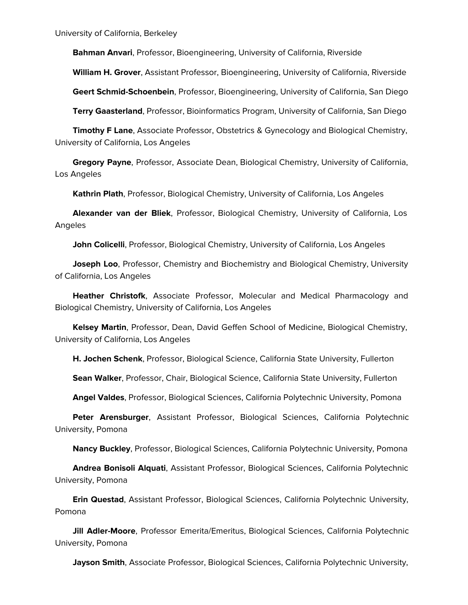University of California, Berkeley

**Bahman Anvari**, Professor, Bioengineering, University of California, Riverside

**William H. Grover**, Assistant Professor, Bioengineering, University of California, Riverside

**Geert Schmid-Schoenbein**, Professor, Bioengineering, University of California, San Diego

**Terry Gaasterland**, Professor, Bioinformatics Program, University of California, San Diego

 **Timothy F Lane**, Associate Professor, Obstetrics & Gynecology and Biological Chemistry, University of California, Los Angeles

 **Gregory Payne**, Professor, Associate Dean, Biological Chemistry, University of California, Los Angeles

**Kathrin Plath**, Professor, Biological Chemistry, University of California, Los Angeles

 **Alexander van der Bliek**, Professor, Biological Chemistry, University of California, Los Angeles

**John Colicelli**, Professor, Biological Chemistry, University of California, Los Angeles

 **Joseph Loo**, Professor, Chemistry and Biochemistry and Biological Chemistry, University of California, Los Angeles

 **Heather Christofk**, Associate Professor, Molecular and Medical Pharmacology and Biological Chemistry, University of California, Los Angeles

 **Kelsey Martin**, Professor, Dean, David Geffen School of Medicine, Biological Chemistry, University of California, Los Angeles

**H. Jochen Schenk**, Professor, Biological Science, California State University, Fullerton

**Sean Walker**, Professor, Chair, Biological Science, California State University, Fullerton

**Angel Valdes**, Professor, Biological Sciences, California Polytechnic University, Pomona

 **Peter Arensburger**, Assistant Professor, Biological Sciences, California Polytechnic University, Pomona

**Nancy Buckley**, Professor, Biological Sciences, California Polytechnic University, Pomona

 **Andrea Bonisoli Alquati**, Assistant Professor, Biological Sciences, California Polytechnic University, Pomona

 **Erin Questad**, Assistant Professor, Biological Sciences, California Polytechnic University, Pomona

 **Jill Adler-Moore**, Professor Emerita/Emeritus, Biological Sciences, California Polytechnic University, Pomona

**Jayson Smith**, Associate Professor, Biological Sciences, California Polytechnic University,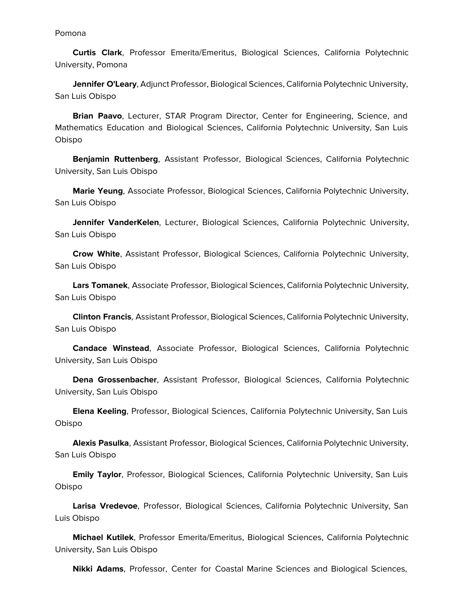Pomona

 **Curtis Clark**, Professor Emerita/Emeritus, Biological Sciences, California Polytechnic University, Pomona

 **Jennifer O'Leary**, Adjunct Professor, Biological Sciences, California Polytechnic University, San Luis Obispo

 **Brian Paavo**, Lecturer, STAR Program Director, Center for Engineering, Science, and Mathematics Education and Biological Sciences, California Polytechnic University, San Luis Obispo

 **Benjamin Ruttenberg**, Assistant Professor, Biological Sciences, California Polytechnic University, San Luis Obispo

 **Marie Yeung**, Associate Professor, Biological Sciences, California Polytechnic University, San Luis Obispo

 **Jennifer VanderKelen**, Lecturer, Biological Sciences, California Polytechnic University, San Luis Obispo

 **Crow White**, Assistant Professor, Biological Sciences, California Polytechnic University, San Luis Obispo

 **Lars Tomanek**, Associate Professor, Biological Sciences, California Polytechnic University, San Luis Obispo

 **Clinton Francis**, Assistant Professor, Biological Sciences, California Polytechnic University, San Luis Obispo

 **Candace Winstead**, Associate Professor, Biological Sciences, California Polytechnic University, San Luis Obispo

 **Dena Grossenbacher**, Assistant Professor, Biological Sciences, California Polytechnic University, San Luis Obispo

 **Elena Keeling**, Professor, Biological Sciences, California Polytechnic University, San Luis Obispo

 **Alexis Pasulka**, Assistant Professor, Biological Sciences, California Polytechnic University, San Luis Obispo

 **Emily Taylor**, Professor, Biological Sciences, California Polytechnic University, San Luis Obispo

 **Larisa Vredevoe**, Professor, Biological Sciences, California Polytechnic University, San Luis Obispo

 **Michael Kutilek**, Professor Emerita/Emeritus, Biological Sciences, California Polytechnic University, San Luis Obispo

**Nikki Adams**, Professor, Center for Coastal Marine Sciences and Biological Sciences,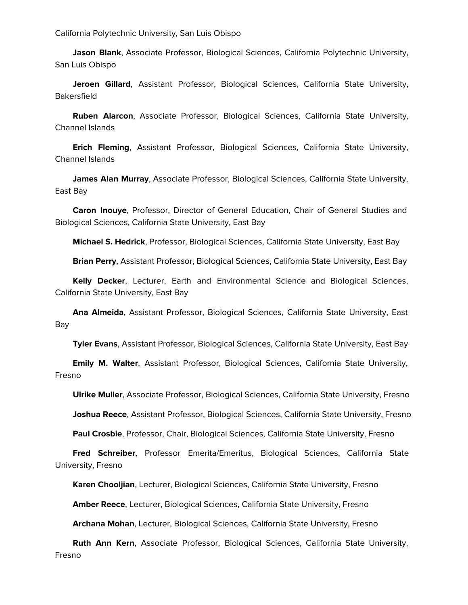California Polytechnic University, San Luis Obispo

 **Jason Blank**, Associate Professor, Biological Sciences, California Polytechnic University, San Luis Obispo

 **Jeroen Gillard**, Assistant Professor, Biological Sciences, California State University, Bakersfield

 **Ruben Alarcon**, Associate Professor, Biological Sciences, California State University, Channel Islands

 **Erich Fleming**, Assistant Professor, Biological Sciences, California State University, Channel Islands

 **James Alan Murray**, Associate Professor, Biological Sciences, California State University, East Bay

 **Caron Inouye**, Professor, Director of General Education, Chair of General Studies and Biological Sciences, California State University, East Bay

**Michael S. Hedrick**, Professor, Biological Sciences, California State University, East Bay

**Brian Perry**, Assistant Professor, Biological Sciences, California State University, East Bay

 **Kelly Decker**, Lecturer, Earth and Environmental Science and Biological Sciences, California State University, East Bay

 **Ana Almeida**, Assistant Professor, Biological Sciences, California State University, East Bay

**Tyler Evans**, Assistant Professor, Biological Sciences, California State University, East Bay

 **Emily M. Walter**, Assistant Professor, Biological Sciences, California State University, Fresno

**Ulrike Muller**, Associate Professor, Biological Sciences, California State University, Fresno

**Joshua Reece**, Assistant Professor, Biological Sciences, California State University, Fresno

**Paul Crosbie**, Professor, Chair, Biological Sciences, California State University, Fresno

 **Fred Schreiber**, Professor Emerita/Emeritus, Biological Sciences, California State University, Fresno

**Karen Chooljian**, Lecturer, Biological Sciences, California State University, Fresno

**Amber Reece**, Lecturer, Biological Sciences, California State University, Fresno

**Archana Mohan**, Lecturer, Biological Sciences, California State University, Fresno

 **Ruth Ann Kern**, Associate Professor, Biological Sciences, California State University, Fresno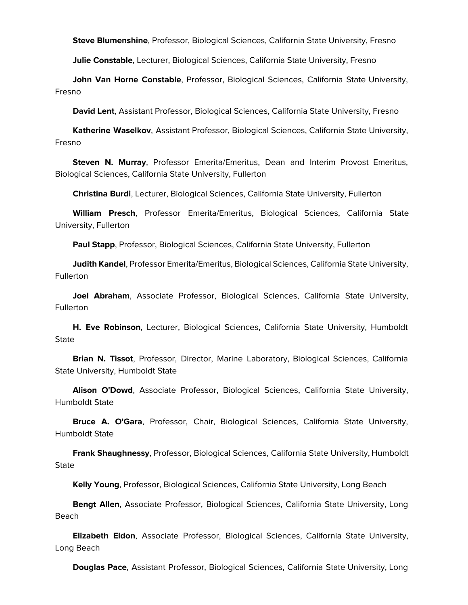**Steve Blumenshine**, Professor, Biological Sciences, California State University, Fresno

**Julie Constable**, Lecturer, Biological Sciences, California State University, Fresno

 **John Van Horne Constable**, Professor, Biological Sciences, California State University, Fresno

**David Lent**, Assistant Professor, Biological Sciences, California State University, Fresno

 **Katherine Waselkov**, Assistant Professor, Biological Sciences, California State University, Fresno

 **Steven N. Murray**, Professor Emerita/Emeritus, Dean and Interim Provost Emeritus, Biological Sciences, California State University, Fullerton

**Christina Burdi**, Lecturer, Biological Sciences, California State University, Fullerton

 **William Presch**, Professor Emerita/Emeritus, Biological Sciences, California State University, Fullerton

**Paul Stapp**, Professor, Biological Sciences, California State University, Fullerton

 **Judith Kandel**, Professor Emerita/Emeritus, Biological Sciences, California State University, **Fullerton** 

 **Joel Abraham**, Associate Professor, Biological Sciences, California State University, **Fullerton** 

 **H. Eve Robinson**, Lecturer, Biological Sciences, California State University, Humboldt **State** 

 **Brian N. Tissot**, Professor, Director, Marine Laboratory, Biological Sciences, California State University, Humboldt State

 **Alison O'Dowd**, Associate Professor, Biological Sciences, California State University, Humboldt State

 **Bruce A. O'Gara**, Professor, Chair, Biological Sciences, California State University, Humboldt State

 **Frank Shaughnessy**, Professor, Biological Sciences, California State University, Humboldt **State** 

**Kelly Young**, Professor, Biological Sciences, California State University, Long Beach

 **Bengt Allen**, Associate Professor, Biological Sciences, California State University, Long Beach

 **Elizabeth Eldon**, Associate Professor, Biological Sciences, California State University, Long Beach

**Douglas Pace**, Assistant Professor, Biological Sciences, California State University, Long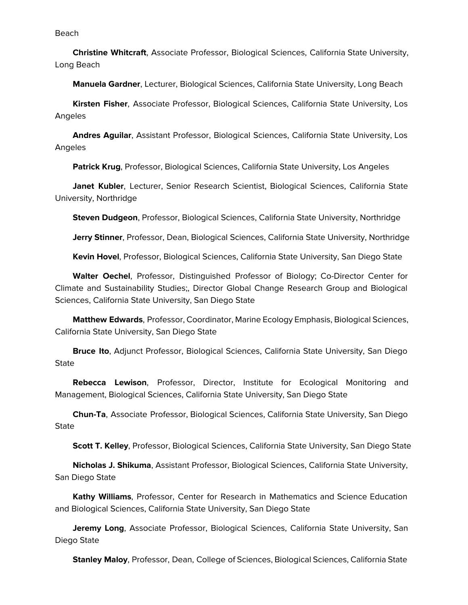Beach

 **Christine Whitcraft**, Associate Professor, Biological Sciences, California State University, Long Beach

**Manuela Gardner**, Lecturer, Biological Sciences, California State University, Long Beach

 **Kirsten Fisher**, Associate Professor, Biological Sciences, California State University, Los Angeles

 **Andres Aguilar**, Assistant Professor, Biological Sciences, California State University, Los Angeles

**Patrick Krug**, Professor, Biological Sciences, California State University, Los Angeles

 **Janet Kubler**, Lecturer, Senior Research Scientist, Biological Sciences, California State University, Northridge

**Steven Dudgeon**, Professor, Biological Sciences, California State University, Northridge

**Jerry Stinner**, Professor, Dean, Biological Sciences, California State University, Northridge

**Kevin Hovel**, Professor, Biological Sciences, California State University, San Diego State

 **Walter Oechel**, Professor, Distinguished Professor of Biology; Co-Director Center for Climate and Sustainability Studies;, Director Global Change Research Group and Biological Sciences, California State University, San Diego State

 **Matthew Edwards**, Professor, Coordinator, Marine Ecology Emphasis, Biological Sciences, California State University, San Diego State

 **Bruce Ito**, Adjunct Professor, Biological Sciences, California State University, San Diego **State** 

 **Rebecca Lewison**, Professor, Director, Institute for Ecological Monitoring and Management, Biological Sciences, California State University, San Diego State

 **Chun-Ta**, Associate Professor, Biological Sciences, California State University, San Diego **State** 

**Scott T. Kelley**, Professor, Biological Sciences, California State University, San Diego State

 **Nicholas J. Shikuma**, Assistant Professor, Biological Sciences, California State University, San Diego State

 **Kathy Williams**, Professor, Center for Research in Mathematics and Science Education and Biological Sciences, California State University, San Diego State

 **Jeremy Long**, Associate Professor, Biological Sciences, California State University, San Diego State

**Stanley Maloy**, Professor, Dean, College of Sciences, Biological Sciences, California State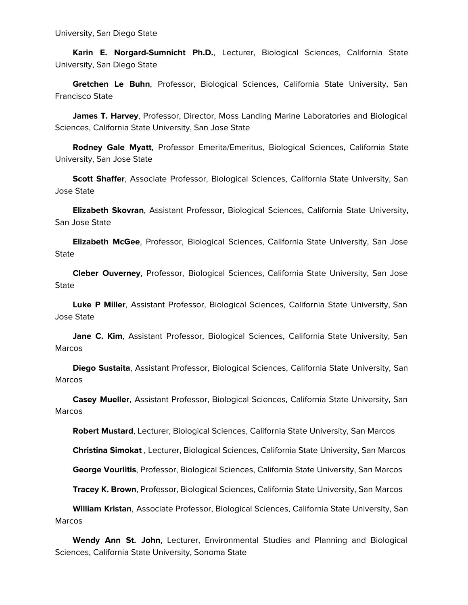**Karin E. Norgard-Sumnicht Ph.D.**, Lecturer, Biological Sciences, California State University, San Diego State

 **Gretchen Le Buhn**, Professor, Biological Sciences, California State University, San Francisco State

 **James T. Harvey**, Professor, Director, Moss Landing Marine Laboratories and Biological Sciences, California State University, San Jose State

 **Rodney Gale Myatt**, Professor Emerita/Emeritus, Biological Sciences, California State University, San Jose State

 **Scott Shaffer**, Associate Professor, Biological Sciences, California State University, San Jose State

 **Elizabeth Skovran**, Assistant Professor, Biological Sciences, California State University, San Jose State

 **Elizabeth McGee**, Professor, Biological Sciences, California State University, San Jose **State** 

 **Cleber Ouverney**, Professor, Biological Sciences, California State University, San Jose State

 **Luke P Miller**, Assistant Professor, Biological Sciences, California State University, San Jose State

 **Jane C. Kim**, Assistant Professor, Biological Sciences, California State University, San **Marcos** 

 **Diego Sustaita**, Assistant Professor, Biological Sciences, California State University, San Marcos

 **Casey Mueller**, Assistant Professor, Biological Sciences, California State University, San **Marcos** 

**Robert Mustard**, Lecturer, Biological Sciences, California State University, San Marcos

**Christina Simokat** , Lecturer, Biological Sciences, California State University, San Marcos

**George Vourlitis**, Professor, Biological Sciences, California State University, San Marcos

**Tracey K. Brown**, Professor, Biological Sciences, California State University, San Marcos

 **William Kristan**, Associate Professor, Biological Sciences, California State University, San Marcos

 **Wendy Ann St. John**, Lecturer, Environmental Studies and Planning and Biological Sciences, California State University, Sonoma State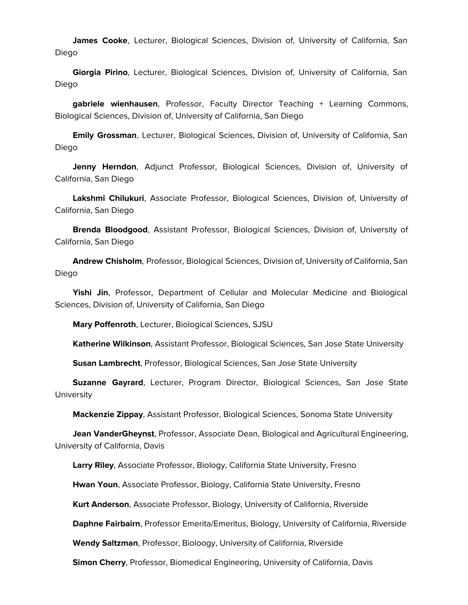**James Cooke**, Lecturer, Biological Sciences, Division of, University of California, San Diego

 **Giorgia Pirino**, Lecturer, Biological Sciences, Division of, University of California, San Diego

 **gabriele wienhausen**, Professor, Faculty Director Teaching + Learning Commons, Biological Sciences, Division of, University of California, San Diego

 **Emily Grossman**, Lecturer, Biological Sciences, Division of, University of California, San Diego

 **Jenny Herndon**, Adjunct Professor, Biological Sciences, Division of, University of California, San Diego

 **Lakshmi Chilukuri**, Associate Professor, Biological Sciences, Division of, University of California, San Diego

 **Brenda Bloodgood**, Assistant Professor, Biological Sciences, Division of, University of California, San Diego

 **Andrew Chisholm**, Professor, Biological Sciences, Division of, University of California, San Diego

 **Yishi Jin**, Professor, Department of Cellular and Molecular Medicine and Biological Sciences, Division of, University of California, San Diego

**Mary Poffenroth**, Lecturer, Biological Sciences, SJSU

**Katherine Wilkinson**, Assistant Professor, Biological Sciences, San Jose State University

**Susan Lambrecht**, Professor, Biological Sciences, San Jose State University

 **Suzanne Gayrard**, Lecturer, Program Director, Biological Sciences, San Jose State **University** 

**Mackenzie Zippay**, Assistant Professor, Biological Sciences, Sonoma State University

 **Jean VanderGheynst**, Professor, Associate Dean, Biological and Agricultural Engineering, University of California, Davis

**Larry Riley**, Associate Professor, Biology, California State University, Fresno

**Hwan Youn**, Associate Professor, Biology, California State University, Fresno

**Kurt Anderson**, Associate Professor, Biology, University of California, Riverside

**Daphne Fairbairn**, Professor Emerita/Emeritus, Biology, University of California, Riverside

**Wendy Saltzman**, Professor, Bioloogy, University of California, Riverside

**Simon Cherry**, Professor, Biomedical Engineering, University of California, Davis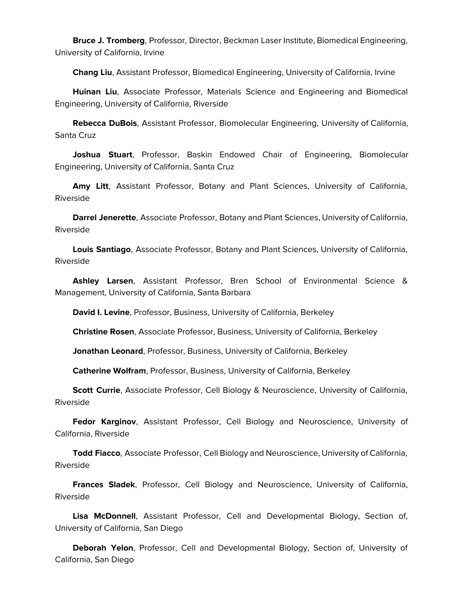**Bruce J. Tromberg**, Professor, Director, Beckman Laser Institute, Biomedical Engineering, University of California, Irvine

**Chang Liu**, Assistant Professor, Biomedical Engineering, University of California, Irvine

 **Huinan Liu**, Associate Professor, Materials Science and Engineering and Biomedical Engineering, University of California, Riverside

 **Rebecca DuBois**, Assistant Professor, Biomolecular Engineering, University of California, Santa Cruz

 **Joshua Stuart**, Professor, Baskin Endowed Chair of Engineering, Biomolecular Engineering, University of California, Santa Cruz

 **Amy Litt**, Assistant Professor, Botany and Plant Sciences, University of California, Riverside

 **Darrel Jenerette**, Associate Professor, Botany and Plant Sciences, University of California, Riverside

 **Louis Santiago**, Associate Professor, Botany and Plant Sciences, University of California, Riverside

 **Ashley Larsen**, Assistant Professor, Bren School of Environmental Science & Management, University of California, Santa Barbara

**David I. Levine**, Professor, Business, University of California, Berkeley

**Christine Rosen**, Associate Professor, Business, University of California, Berkeley

**Jonathan Leonard**, Professor, Business, University of California, Berkeley

**Catherine Wolfram**, Professor, Business, University of California, Berkeley

 **Scott Currie**, Associate Professor, Cell Biology & Neuroscience, University of California, Riverside

 **Fedor Karginov**, Assistant Professor, Cell Biology and Neuroscience, University of California, Riverside

 **Todd Fiacco**, Associate Professor, Cell Biology and Neuroscience, University of California, Riverside

 **Frances Sladek**, Professor, Cell Biology and Neuroscience, University of California, Riverside

 **Lisa McDonnell**, Assistant Professor, Cell and Developmental Biology, Section of, University of California, San Diego

 **Deborah Yelon**, Professor, Cell and Developmental Biology, Section of, University of California, San Diego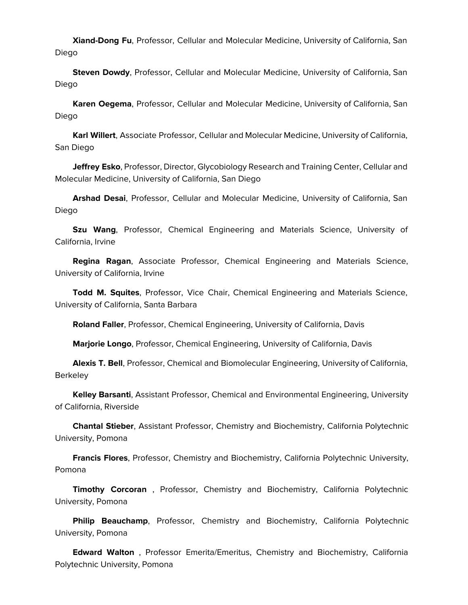**Xiand-Dong Fu**, Professor, Cellular and Molecular Medicine, University of California, San Diego

 **Steven Dowdy**, Professor, Cellular and Molecular Medicine, University of California, San Diego

 **Karen Oegema**, Professor, Cellular and Molecular Medicine, University of California, San Diego

 **Karl Willert**, Associate Professor, Cellular and Molecular Medicine, University of California, San Diego

 **Jeffrey Esko**, Professor, Director, Glycobiology Research and Training Center, Cellular and Molecular Medicine, University of California, San Diego

 **Arshad Desai**, Professor, Cellular and Molecular Medicine, University of California, San Diego

 **Szu Wang**, Professor, Chemical Engineering and Materials Science, University of California, Irvine

 **Regina Ragan**, Associate Professor, Chemical Engineering and Materials Science, University of California, Irvine

 **Todd M. Squites**, Professor, Vice Chair, Chemical Engineering and Materials Science, University of California, Santa Barbara

**Roland Faller**, Professor, Chemical Engineering, University of California, Davis

**Marjorie Longo**, Professor, Chemical Engineering, University of California, Davis

 **Alexis T. Bell**, Professor, Chemical and Biomolecular Engineering, University of California, **Berkeley** 

 **Kelley Barsanti**, Assistant Professor, Chemical and Environmental Engineering, University of California, Riverside

 **Chantal Stieber**, Assistant Professor, Chemistry and Biochemistry, California Polytechnic University, Pomona

 **Francis Flores**, Professor, Chemistry and Biochemistry, California Polytechnic University, Pomona

 **Timothy Corcoran** , Professor, Chemistry and Biochemistry, California Polytechnic University, Pomona

 **Philip Beauchamp**, Professor, Chemistry and Biochemistry, California Polytechnic University, Pomona

 **Edward Walton** , Professor Emerita/Emeritus, Chemistry and Biochemistry, California Polytechnic University, Pomona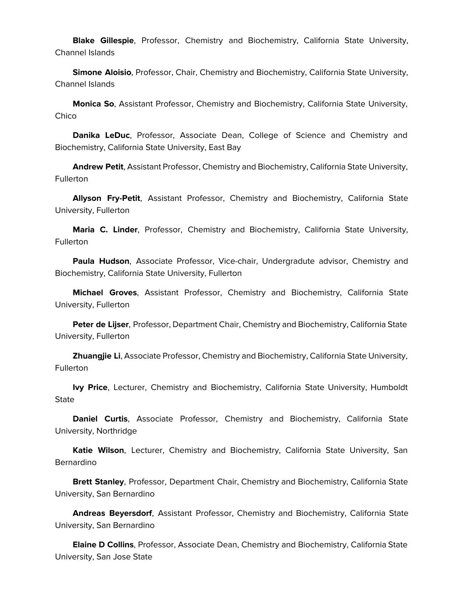**Blake Gillespie**, Professor, Chemistry and Biochemistry, California State University, Channel Islands

 **Simone Aloisio**, Professor, Chair, Chemistry and Biochemistry, California State University, Channel Islands

 **Monica So**, Assistant Professor, Chemistry and Biochemistry, California State University, Chico

 **Danika LeDuc**, Professor, Associate Dean, College of Science and Chemistry and Biochemistry, California State University, East Bay

 **Andrew Petit**, Assistant Professor, Chemistry and Biochemistry, California State University, **Fullerton** 

 **Allyson Fry-Petit**, Assistant Professor, Chemistry and Biochemistry, California State University, Fullerton

 **Maria C. Linder**, Professor, Chemistry and Biochemistry, California State University, **Fullerton** 

 **Paula Hudson**, Associate Professor, Vice-chair, Undergradute advisor, Chemistry and Biochemistry, California State University, Fullerton

 **Michael Groves**, Assistant Professor, Chemistry and Biochemistry, California State University, Fullerton

 **Peter de Lijser**, Professor, Department Chair, Chemistry and Biochemistry, California State University, Fullerton

 **Zhuangjie Li**, Associate Professor, Chemistry and Biochemistry, California State University, Fullerton

 **Ivy Price**, Lecturer, Chemistry and Biochemistry, California State University, Humboldt **State** 

 **Daniel Curtis**, Associate Professor, Chemistry and Biochemistry, California State University, Northridge

 **Katie Wilson**, Lecturer, Chemistry and Biochemistry, California State University, San Bernardino

 **Brett Stanley**, Professor, Department Chair, Chemistry and Biochemistry, California State University, San Bernardino

 **Andreas Beyersdorf**, Assistant Professor, Chemistry and Biochemistry, California State University, San Bernardino

 **Elaine D Collins**, Professor, Associate Dean, Chemistry and Biochemistry, California State University, San Jose State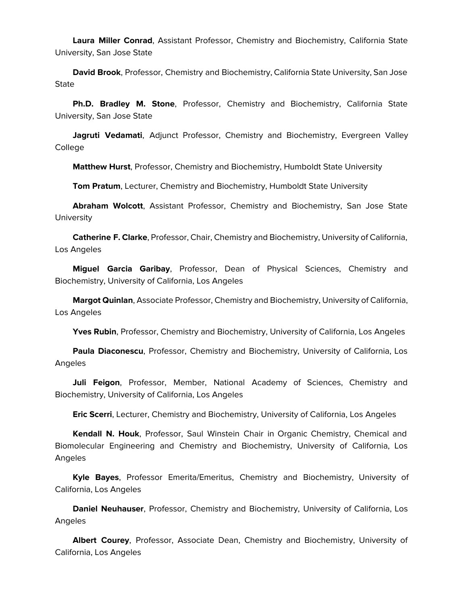**Laura Miller Conrad**, Assistant Professor, Chemistry and Biochemistry, California State University, San Jose State

 **David Brook**, Professor, Chemistry and Biochemistry, California State University, San Jose State

 **Ph.D. Bradley M. Stone**, Professor, Chemistry and Biochemistry, California State University, San Jose State

 **Jagruti Vedamati**, Adjunct Professor, Chemistry and Biochemistry, Evergreen Valley College

**Matthew Hurst**, Professor, Chemistry and Biochemistry, Humboldt State University

**Tom Pratum**, Lecturer, Chemistry and Biochemistry, Humboldt State University

 **Abraham Wolcott**, Assistant Professor, Chemistry and Biochemistry, San Jose State **University** 

 **Catherine F. Clarke**, Professor, Chair, Chemistry and Biochemistry, University of California, Los Angeles

 **Miguel Garcia Garibay**, Professor, Dean of Physical Sciences, Chemistry and Biochemistry, University of California, Los Angeles

 **Margot Quinlan**, Associate Professor, Chemistry and Biochemistry, University of California, Los Angeles

Yves Rubin, Professor, Chemistry and Biochemistry, University of California, Los Angeles

 **Paula Diaconescu**, Professor, Chemistry and Biochemistry, University of California, Los Angeles

 **Juli Feigon**, Professor, Member, National Academy of Sciences, Chemistry and Biochemistry, University of California, Los Angeles

**Eric Scerri**, Lecturer, Chemistry and Biochemistry, University of California, Los Angeles

 **Kendall N. Houk**, Professor, Saul Winstein Chair in Organic Chemistry, Chemical and Biomolecular Engineering and Chemistry and Biochemistry, University of California, Los Angeles

 **Kyle Bayes**, Professor Emerita/Emeritus, Chemistry and Biochemistry, University of California, Los Angeles

 **Daniel Neuhauser**, Professor, Chemistry and Biochemistry, University of California, Los Angeles

 **Albert Courey**, Professor, Associate Dean, Chemistry and Biochemistry, University of California, Los Angeles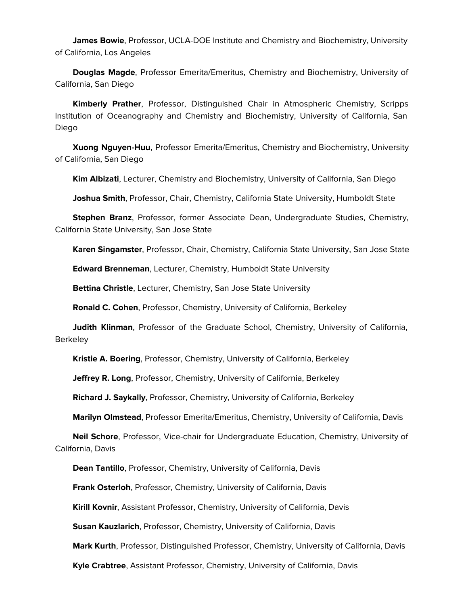**James Bowie**, Professor, UCLA-DOE Institute and Chemistry and Biochemistry, University of California, Los Angeles

 **Douglas Magde**, Professor Emerita/Emeritus, Chemistry and Biochemistry, University of California, San Diego

 **Kimberly Prather**, Professor, Distinguished Chair in Atmospheric Chemistry, Scripps Institution of Oceanography and Chemistry and Biochemistry, University of California, San Diego

 **Xuong Nguyen-Huu**, Professor Emerita/Emeritus, Chemistry and Biochemistry, University of California, San Diego

**Kim Albizati**, Lecturer, Chemistry and Biochemistry, University of California, San Diego

**Joshua Smith**, Professor, Chair, Chemistry, California State University, Humboldt State

 **Stephen Branz**, Professor, former Associate Dean, Undergraduate Studies, Chemistry, California State University, San Jose State

**Karen Singamster**, Professor, Chair, Chemistry, California State University, San Jose State

**Edward Brenneman**, Lecturer, Chemistry, Humboldt State University

**Bettina Christle**, Lecturer, Chemistry, San Jose State University

**Ronald C. Cohen**, Professor, Chemistry, University of California, Berkeley

 **Judith Klinman**, Professor of the Graduate School, Chemistry, University of California, **Berkeley** 

**Kristie A. Boering**, Professor, Chemistry, University of California, Berkeley

**Jeffrey R. Long**, Professor, Chemistry, University of California, Berkeley

**Richard J. Saykally**, Professor, Chemistry, University of California, Berkeley

**Marilyn Olmstead**, Professor Emerita/Emeritus, Chemistry, University of California, Davis

 **Neil Schore**, Professor, Vice-chair for Undergraduate Education, Chemistry, University of California, Davis

**Dean Tantillo**, Professor, Chemistry, University of California, Davis

**Frank Osterloh**, Professor, Chemistry, University of California, Davis

**Kirill Kovnir**, Assistant Professor, Chemistry, University of California, Davis

**Susan Kauzlarich**, Professor, Chemistry, University of California, Davis

**Mark Kurth**, Professor, Distinguished Professor, Chemistry, University of California, Davis

**Kyle Crabtree**, Assistant Professor, Chemistry, University of California, Davis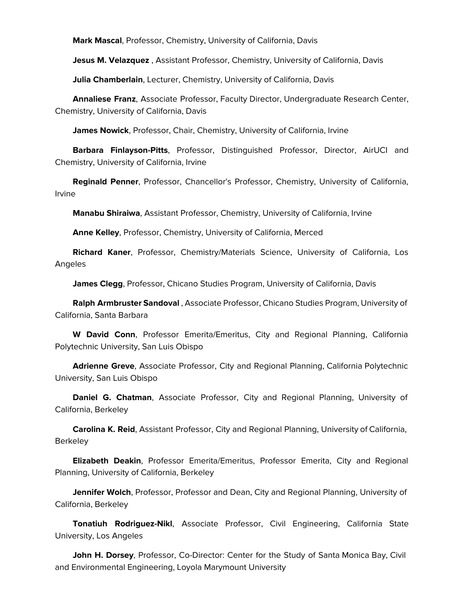**Mark Mascal**, Professor, Chemistry, University of California, Davis

**Jesus M. Velazquez** , Assistant Professor, Chemistry, University of California, Davis

**Julia Chamberlain**, Lecturer, Chemistry, University of California, Davis

 **Annaliese Franz**, Associate Professor, Faculty Director, Undergraduate Research Center, Chemistry, University of California, Davis

**James Nowick**, Professor, Chair, Chemistry, University of California, Irvine

 **Barbara Finlayson-Pitts**, Professor, Distinguished Professor, Director, AirUCI and Chemistry, University of California, Irvine

 **Reginald Penner**, Professor, Chancellor's Professor, Chemistry, University of California, Irvine

**Manabu Shiraiwa**, Assistant Professor, Chemistry, University of California, Irvine

**Anne Kelley**, Professor, Chemistry, University of California, Merced

 **Richard Kaner**, Professor, Chemistry/Materials Science, University of California, Los Angeles

**James Clegg**, Professor, Chicano Studies Program, University of California, Davis

 **Ralph Armbruster Sandoval** , Associate Professor, Chicano Studies Program, University of California, Santa Barbara

 **W David Conn**, Professor Emerita/Emeritus, City and Regional Planning, California Polytechnic University, San Luis Obispo

 **Adrienne Greve**, Associate Professor, City and Regional Planning, California Polytechnic University, San Luis Obispo

 **Daniel G. Chatman**, Associate Professor, City and Regional Planning, University of California, Berkeley

 **Carolina K. Reid**, Assistant Professor, City and Regional Planning, University of California, **Berkeley** 

 **Elizabeth Deakin**, Professor Emerita/Emeritus, Professor Emerita, City and Regional Planning, University of California, Berkeley

 **Jennifer Wolch**, Professor, Professor and Dean, City and Regional Planning, University of California, Berkeley

 **Tonatiuh Rodriguez-Nikl**, Associate Professor, Civil Engineering, California State University, Los Angeles

 **John H. Dorsey**, Professor, Co-Director: Center for the Study of Santa Monica Bay, Civil and Environmental Engineering, Loyola Marymount University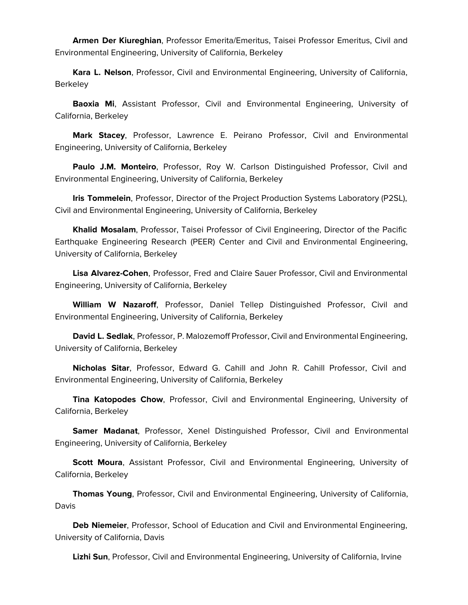**Armen Der Kiureghian**, Professor Emerita/Emeritus, Taisei Professor Emeritus, Civil and Environmental Engineering, University of California, Berkeley

 **Kara L. Nelson**, Professor, Civil and Environmental Engineering, University of California, Berkeley

 **Baoxia Mi**, Assistant Professor, Civil and Environmental Engineering, University of California, Berkeley

 **Mark Stacey**, Professor, Lawrence E. Peirano Professor, Civil and Environmental Engineering, University of California, Berkeley

 **Paulo J.M. Monteiro**, Professor, Roy W. Carlson Distinguished Professor, Civil and Environmental Engineering, University of California, Berkeley

 **Iris Tommelein**, Professor, Director of the Project Production Systems Laboratory (P2SL), Civil and Environmental Engineering, University of California, Berkeley

 **Khalid Mosalam**, Professor, Taisei Professor of Civil Engineering, Director of the Pacific Earthquake Engineering Research (PEER) Center and Civil and Environmental Engineering, University of California, Berkeley

 **Lisa Alvarez-Cohen**, Professor, Fred and Claire Sauer Professor, Civil and Environmental Engineering, University of California, Berkeley

 **William W Nazaroff**, Professor, Daniel Tellep Distinguished Professor, Civil and Environmental Engineering, University of California, Berkeley

 **David L. Sedlak**, Professor, P. Malozemoff Professor, Civil and Environmental Engineering, University of California, Berkeley

 **Nicholas Sitar**, Professor, Edward G. Cahill and John R. Cahill Professor, Civil and Environmental Engineering, University of California, Berkeley

 **Tina Katopodes Chow**, Professor, Civil and Environmental Engineering, University of California, Berkeley

 **Samer Madanat**, Professor, Xenel Distinguished Professor, Civil and Environmental Engineering, University of California, Berkeley

 **Scott Moura**, Assistant Professor, Civil and Environmental Engineering, University of California, Berkeley

 **Thomas Young**, Professor, Civil and Environmental Engineering, University of California, Davis

 **Deb Niemeier**, Professor, School of Education and Civil and Environmental Engineering, University of California, Davis

**Lizhi Sun**, Professor, Civil and Environmental Engineering, University of California, Irvine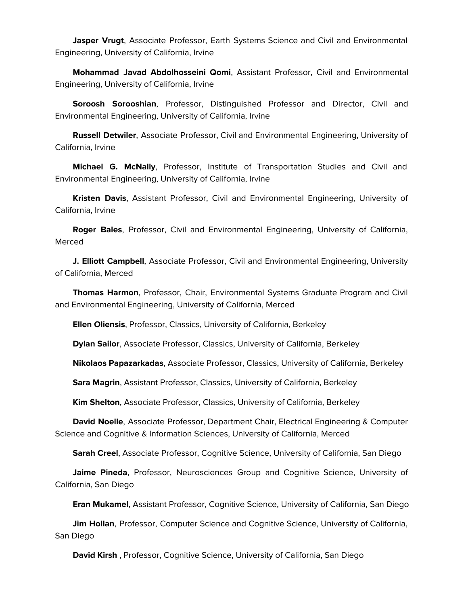**Jasper Vrugt**, Associate Professor, Earth Systems Science and Civil and Environmental Engineering, University of California, Irvine

 **Mohammad Javad Abdolhosseini Qomi**, Assistant Professor, Civil and Environmental Engineering, University of California, Irvine

 **Soroosh Sorooshian**, Professor, Distinguished Professor and Director, Civil and Environmental Engineering, University of California, Irvine

 **Russell Detwiler**, Associate Professor, Civil and Environmental Engineering, University of California, Irvine

 **Michael G. McNally**, Professor, Institute of Transportation Studies and Civil and Environmental Engineering, University of California, Irvine

 **Kristen Davis**, Assistant Professor, Civil and Environmental Engineering, University of California, Irvine

 **Roger Bales**, Professor, Civil and Environmental Engineering, University of California, Merced

 **J. Elliott Campbell**, Associate Professor, Civil and Environmental Engineering, University of California, Merced

 **Thomas Harmon**, Professor, Chair, Environmental Systems Graduate Program and Civil and Environmental Engineering, University of California, Merced

**Ellen Oliensis**, Professor, Classics, University of California, Berkeley

**Dylan Sailor**, Associate Professor, Classics, University of California, Berkeley

**Nikolaos Papazarkadas**, Associate Professor, Classics, University of California, Berkeley

**Sara Magrin**, Assistant Professor, Classics, University of California, Berkeley

**Kim Shelton**, Associate Professor, Classics, University of California, Berkeley

 **David Noelle**, Associate Professor, Department Chair, Electrical Engineering & Computer Science and Cognitive & Information Sciences, University of California, Merced

**Sarah Creel**, Associate Professor, Cognitive Science, University of California, San Diego

 **Jaime Pineda**, Professor, Neurosciences Group and Cognitive Science, University of California, San Diego

**Eran Mukamel**, Assistant Professor, Cognitive Science, University of California, San Diego

 **Jim Hollan**, Professor, Computer Science and Cognitive Science, University of California, San Diego

**David Kirsh** , Professor, Cognitive Science, University of California, San Diego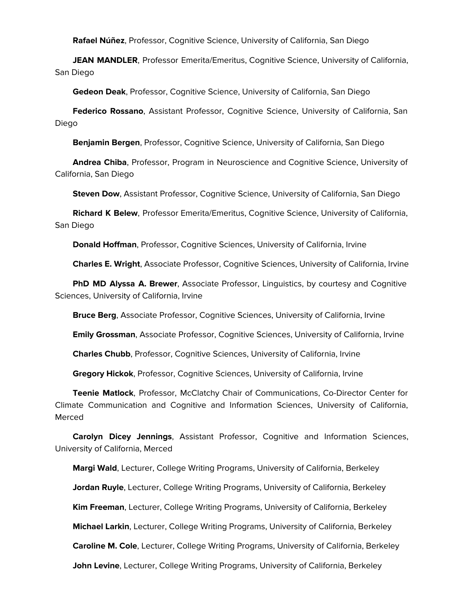**Rafael Núñez**, Professor, Cognitive Science, University of California, San Diego

 **JEAN MANDLER**, Professor Emerita/Emeritus, Cognitive Science, University of California, San Diego

**Gedeon Deak**, Professor, Cognitive Science, University of California, San Diego

 **Federico Rossano**, Assistant Professor, Cognitive Science, University of California, San Diego

**Benjamin Bergen**, Professor, Cognitive Science, University of California, San Diego

 **Andrea Chiba**, Professor, Program in Neuroscience and Cognitive Science, University of California, San Diego

**Steven Dow**, Assistant Professor, Cognitive Science, University of California, San Diego

 **Richard K Belew**, Professor Emerita/Emeritus, Cognitive Science, University of California, San Diego

**Donald Hoffman**, Professor, Cognitive Sciences, University of California, Irvine

**Charles E. Wright**, Associate Professor, Cognitive Sciences, University of California, Irvine

 **PhD MD Alyssa A. Brewer**, Associate Professor, Linguistics, by courtesy and Cognitive Sciences, University of California, Irvine

**Bruce Berg**, Associate Professor, Cognitive Sciences, University of California, Irvine

**Emily Grossman**, Associate Professor, Cognitive Sciences, University of California, Irvine

**Charles Chubb**, Professor, Cognitive Sciences, University of California, Irvine

**Gregory Hickok**, Professor, Cognitive Sciences, University of California, Irvine

 **Teenie Matlock**, Professor, McClatchy Chair of Communications, Co-Director Center for Climate Communication and Cognitive and Information Sciences, University of California, Merced

 **Carolyn Dicey Jennings**, Assistant Professor, Cognitive and Information Sciences, University of California, Merced

 **Margi Wald**, Lecturer, College Writing Programs, University of California, Berkeley **Jordan Ruyle**, Lecturer, College Writing Programs, University of California, Berkeley **Kim Freeman**, Lecturer, College Writing Programs, University of California, Berkeley **Michael Larkin**, Lecturer, College Writing Programs, University of California, Berkeley **Caroline M. Cole**, Lecturer, College Writing Programs, University of California, Berkeley **John Levine**, Lecturer, College Writing Programs, University of California, Berkeley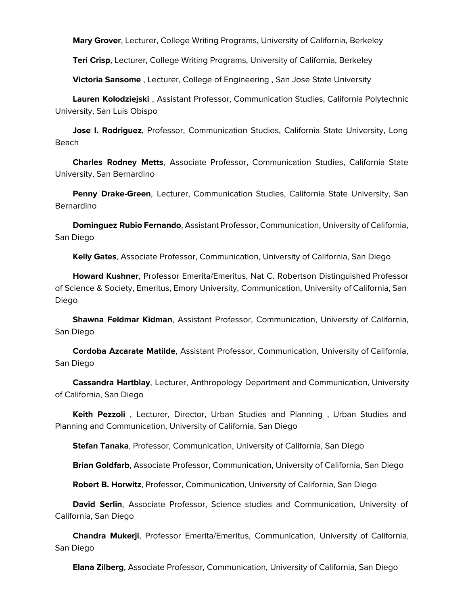**Mary Grover**, Lecturer, College Writing Programs, University of California, Berkeley

**Teri Crisp**, Lecturer, College Writing Programs, University of California, Berkeley

**Victoria Sansome** , Lecturer, College of Engineering , San Jose State University

 **Lauren Kolodziejski** , Assistant Professor, Communication Studies, California Polytechnic University, San Luis Obispo

 **Jose I. Rodriguez**, Professor, Communication Studies, California State University, Long Beach

 **Charles Rodney Metts**, Associate Professor, Communication Studies, California State University, San Bernardino

 **Penny Drake-Green**, Lecturer, Communication Studies, California State University, San Bernardino

 **Dominguez Rubio Fernando**, Assistant Professor, Communication, University of California, San Diego

**Kelly Gates**, Associate Professor, Communication, University of California, San Diego

 **Howard Kushner**, Professor Emerita/Emeritus, Nat C. Robertson Distinguished Professor of Science & Society, Emeritus, Emory University, Communication, University of California, San Diego

 **Shawna Feldmar Kidman**, Assistant Professor, Communication, University of California, San Diego

 **Cordoba Azcarate Matilde**, Assistant Professor, Communication, University of California, San Diego

 **Cassandra Hartblay**, Lecturer, Anthropology Department and Communication, University of California, San Diego

 **Keith Pezzoli** , Lecturer, Director, Urban Studies and Planning , Urban Studies and Planning and Communication, University of California, San Diego

**Stefan Tanaka**, Professor, Communication, University of California, San Diego

**Brian Goldfarb**, Associate Professor, Communication, University of California, San Diego

**Robert B. Horwitz**, Professor, Communication, University of California, San Diego

 **David Serlin**, Associate Professor, Science studies and Communication, University of California, San Diego

 **Chandra Mukerji**, Professor Emerita/Emeritus, Communication, University of California, San Diego

**Elana Zilberg**, Associate Professor, Communication, University of California, San Diego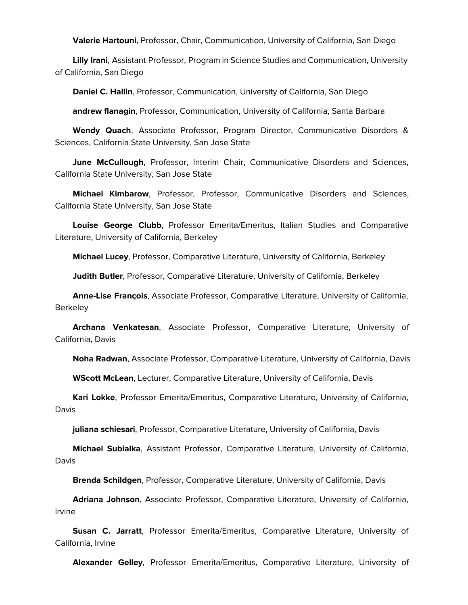**Valerie Hartouni**, Professor, Chair, Communication, University of California, San Diego

 **Lilly Irani**, Assistant Professor, Program in Science Studies and Communication, University of California, San Diego

**Daniel C. Hallin**, Professor, Communication, University of California, San Diego

**andrew flanagin**, Professor, Communication, University of California, Santa Barbara

 **Wendy Quach**, Associate Professor, Program Director, Communicative Disorders & Sciences, California State University, San Jose State

 **June McCullough**, Professor, Interim Chair, Communicative Disorders and Sciences, California State University, San Jose State

 **Michael Kimbarow**, Professor, Professor, Communicative Disorders and Sciences, California State University, San Jose State

 **Louise George Clubb**, Professor Emerita/Emeritus, Italian Studies and Comparative Literature, University of California, Berkeley

**Michael Lucey**, Professor, Comparative Literature, University of California, Berkeley

**Judith Butler**, Professor, Comparative Literature, University of California, Berkeley

 **Anne-Lise François**, Associate Professor, Comparative Literature, University of California, Berkeley

 **Archana Venkatesan**, Associate Professor, Comparative Literature, University of California, Davis

**Noha Radwan**, Associate Professor, Comparative Literature, University of California, Davis

**WScott McLean**, Lecturer, Comparative Literature, University of California, Davis

 **Kari Lokke**, Professor Emerita/Emeritus, Comparative Literature, University of California, Davis

**juliana schiesari**, Professor, Comparative Literature, University of California, Davis

 **Michael Subialka**, Assistant Professor, Comparative Literature, University of California, Davis

**Brenda Schildgen**, Professor, Comparative Literature, University of California, Davis

 **Adriana Johnson**, Associate Professor, Comparative Literature, University of California, Irvine

 **Susan C. Jarratt**, Professor Emerita/Emeritus, Comparative Literature, University of California, Irvine

**Alexander Gelley**, Professor Emerita/Emeritus, Comparative Literature, University of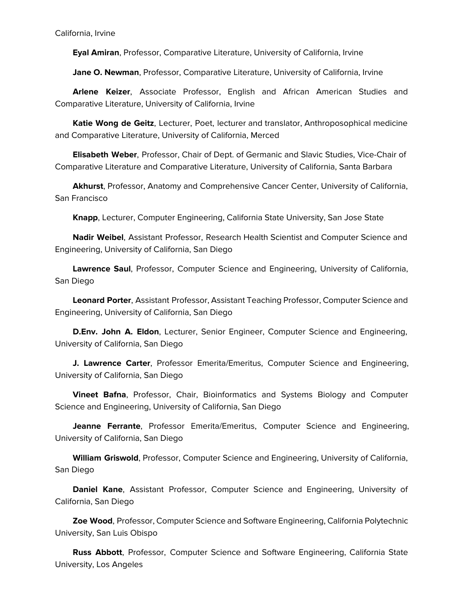California, Irvine

**Eyal Amiran**, Professor, Comparative Literature, University of California, Irvine

**Jane O. Newman**, Professor, Comparative Literature, University of California, Irvine

 **Arlene Keizer**, Associate Professor, English and African American Studies and Comparative Literature, University of California, Irvine

 **Katie Wong de Geitz**, Lecturer, Poet, lecturer and translator, Anthroposophical medicine and Comparative Literature, University of California, Merced

 **Elisabeth Weber**, Professor, Chair of Dept. of Germanic and Slavic Studies, Vice-Chair of Comparative Literature and Comparative Literature, University of California, Santa Barbara

 **Akhurst**, Professor, Anatomy and Comprehensive Cancer Center, University of California, San Francisco

**Knapp**, Lecturer, Computer Engineering, California State University, San Jose State

 **Nadir Weibel**, Assistant Professor, Research Health Scientist and Computer Science and Engineering, University of California, San Diego

 **Lawrence Saul**, Professor, Computer Science and Engineering, University of California, San Diego

 **Leonard Porter**, Assistant Professor, Assistant Teaching Professor, Computer Science and Engineering, University of California, San Diego

 **D.Env. John A. Eldon**, Lecturer, Senior Engineer, Computer Science and Engineering, University of California, San Diego

 **J. Lawrence Carter**, Professor Emerita/Emeritus, Computer Science and Engineering, University of California, San Diego

 **Vineet Bafna**, Professor, Chair, Bioinformatics and Systems Biology and Computer Science and Engineering, University of California, San Diego

 **Jeanne Ferrante**, Professor Emerita/Emeritus, Computer Science and Engineering, University of California, San Diego

 **William Griswold**, Professor, Computer Science and Engineering, University of California, San Diego

 **Daniel Kane**, Assistant Professor, Computer Science and Engineering, University of California, San Diego

 **Zoe Wood**, Professor, Computer Science and Software Engineering, California Polytechnic University, San Luis Obispo

 **Russ Abbott**, Professor, Computer Science and Software Engineering, California State University, Los Angeles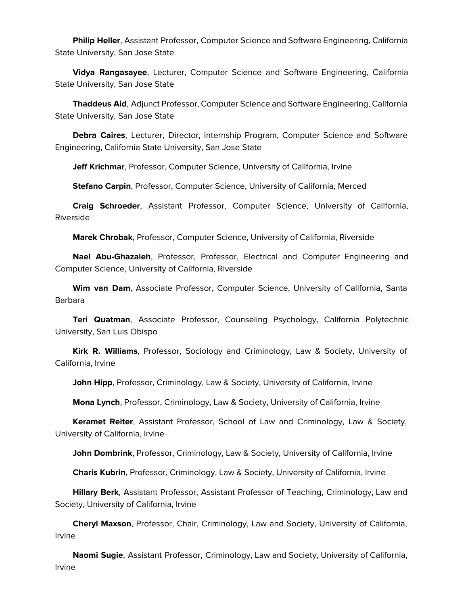**Philip Heller**, Assistant Professor, Computer Science and Software Engineering, California State University, San Jose State

 **Vidya Rangasayee**, Lecturer, Computer Science and Software Engineering, California State University, San Jose State

 **Thaddeus Aid**, Adjunct Professor, Computer Science and Software Engineering, California State University, San Jose State

 **Debra Caires**, Lecturer, Director, Internship Program, Computer Science and Software Engineering, California State University, San Jose State

**Jeff Krichmar**, Professor, Computer Science, University of California, Irvine

**Stefano Carpin**, Professor, Computer Science, University of California, Merced

 **Craig Schroeder**, Assistant Professor, Computer Science, University of California, Riverside

**Marek Chrobak**, Professor, Computer Science, University of California, Riverside

 **Nael Abu-Ghazaleh**, Professor, Professor, Electrical and Computer Engineering and Computer Science, University of California, Riverside

 **Wim van Dam**, Associate Professor, Computer Science, University of California, Santa Barbara

 **Teri Quatman**, Associate Professor, Counseling Psychology, California Polytechnic University, San Luis Obispo

 **Kirk R. Williams**, Professor, Sociology and Criminology, Law & Society, University of California, Irvine

**John Hipp**, Professor, Criminology, Law & Society, University of California, Irvine

**Mona Lynch**, Professor, Criminology, Law & Society, University of California, Irvine

 **Keramet Reiter**, Assistant Professor, School of Law and Criminology, Law & Society, University of California, Irvine

**John Dombrink**, Professor, Criminology, Law & Society, University of California, Irvine

**Charis Kubrin**, Professor, Criminology, Law & Society, University of California, Irvine

 **Hillary Berk**, Assistant Professor, Assistant Professor of Teaching, Criminology, Law and Society, University of California, Irvine

 **Cheryl Maxson**, Professor, Chair, Criminology, Law and Society, University of California, Irvine

 **Naomi Sugie**, Assistant Professor, Criminology, Law and Society, University of California, Irvine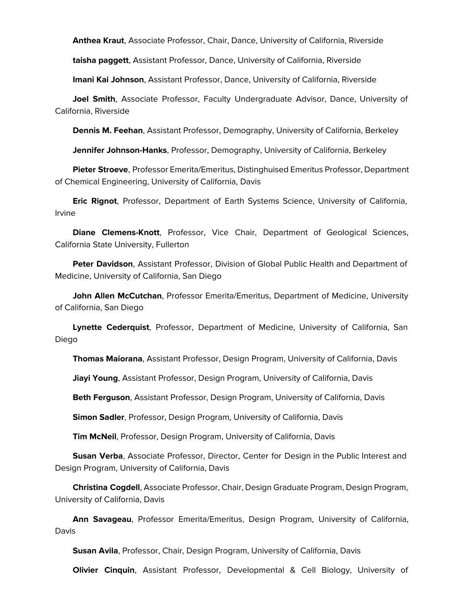**Anthea Kraut**, Associate Professor, Chair, Dance, University of California, Riverside

**taisha paggett**, Assistant Professor, Dance, University of California, Riverside

**Imani Kai Johnson**, Assistant Professor, Dance, University of California, Riverside

 **Joel Smith**, Associate Professor, Faculty Undergraduate Advisor, Dance, University of California, Riverside

**Dennis M. Feehan**, Assistant Professor, Demography, University of California, Berkeley

**Jennifer Johnson-Hanks**, Professor, Demography, University of California, Berkeley

 **Pieter Stroeve**, Professor Emerita/Emeritus, Distinghuised Emeritus Professor, Department of Chemical Engineering, University of California, Davis

 **Eric Rignot**, Professor, Department of Earth Systems Science, University of California, Irvine

 **Diane Clemens-Knott**, Professor, Vice Chair, Department of Geological Sciences, California State University, Fullerton

 **Peter Davidson**, Assistant Professor, Division of Global Public Health and Department of Medicine, University of California, San Diego

 **John Allen McCutchan**, Professor Emerita/Emeritus, Department of Medicine, University of California, San Diego

 **Lynette Cederquist**, Professor, Department of Medicine, University of California, San Diego

**Thomas Maiorana**, Assistant Professor, Design Program, University of California, Davis

**Jiayi Young**, Assistant Professor, Design Program, University of California, Davis

**Beth Ferguson**, Assistant Professor, Design Program, University of California, Davis

**Simon Sadler**, Professor, Design Program, University of California, Davis

**Tim McNeil**, Professor, Design Program, University of California, Davis

 **Susan Verba**, Associate Professor, Director, Center for Design in the Public Interest and Design Program, University of California, Davis

 **Christina Cogdell**, Associate Professor, Chair, Design Graduate Program, Design Program, University of California, Davis

 **Ann Savageau**, Professor Emerita/Emeritus, Design Program, University of California, Davis

**Susan Avila**, Professor, Chair, Design Program, University of California, Davis

**Olivier Cinquin**, Assistant Professor, Developmental & Cell Biology, University of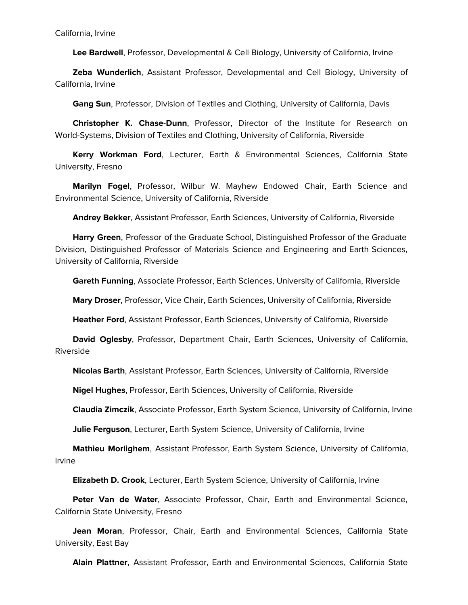**Lee Bardwell**, Professor, Developmental & Cell Biology, University of California, Irvine

 **Zeba Wunderlich**, Assistant Professor, Developmental and Cell Biology, University of California, Irvine

**Gang Sun**, Professor, Division of Textiles and Clothing, University of California, Davis

 **Christopher K. Chase-Dunn**, Professor, Director of the Institute for Research on World-Systems, Division of Textiles and Clothing, University of California, Riverside

 **Kerry Workman Ford**, Lecturer, Earth & Environmental Sciences, California State University, Fresno

 **Marilyn Fogel**, Professor, Wilbur W. Mayhew Endowed Chair, Earth Science and Environmental Science, University of California, Riverside

**Andrey Bekker**, Assistant Professor, Earth Sciences, University of California, Riverside

 **Harry Green**, Professor of the Graduate School, Distinguished Professor of the Graduate Division, Distinguished Professor of Materials Science and Engineering and Earth Sciences, University of California, Riverside

**Gareth Funning**, Associate Professor, Earth Sciences, University of California, Riverside

**Mary Droser**, Professor, Vice Chair, Earth Sciences, University of California, Riverside

**Heather Ford**, Assistant Professor, Earth Sciences, University of California, Riverside

 **David Oglesby**, Professor, Department Chair, Earth Sciences, University of California, Riverside

**Nicolas Barth**, Assistant Professor, Earth Sciences, University of California, Riverside

**Nigel Hughes**, Professor, Earth Sciences, University of California, Riverside

**Claudia Zimczik**, Associate Professor, Earth System Science, University of California, Irvine

**Julie Ferguson**, Lecturer, Earth System Science, University of California, Irvine

 **Mathieu Morlighem**, Assistant Professor, Earth System Science, University of California, Irvine

**Elizabeth D. Crook**, Lecturer, Earth System Science, University of California, Irvine

 **Peter Van de Water**, Associate Professor, Chair, Earth and Environmental Science, California State University, Fresno

 **Jean Moran**, Professor, Chair, Earth and Environmental Sciences, California State University, East Bay

**Alain Plattner**, Assistant Professor, Earth and Environmental Sciences, California State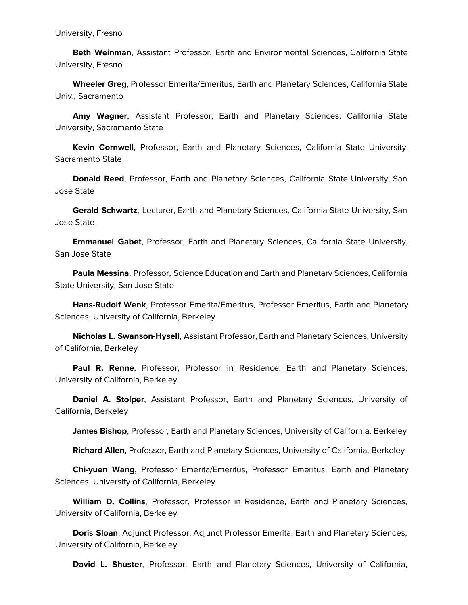**Beth Weinman**, Assistant Professor, Earth and Environmental Sciences, California State University, Fresno

 **Wheeler Greg**, Professor Emerita/Emeritus, Earth and Planetary Sciences, California State Univ., Sacramento

 **Amy Wagner**, Assistant Professor, Earth and Planetary Sciences, California State University, Sacramento State

 **Kevin Cornwell**, Professor, Earth and Planetary Sciences, California State University, Sacramento State

 **Donald Reed**, Professor, Earth and Planetary Sciences, California State University, San Jose State

 **Gerald Schwartz**, Lecturer, Earth and Planetary Sciences, California State University, San Jose State

 **Emmanuel Gabet**, Professor, Earth and Planetary Sciences, California State University, San Jose State

 **Paula Messina**, Professor, Science Education and Earth and Planetary Sciences, California State University, San Jose State

 **Hans-Rudolf Wenk**, Professor Emerita/Emeritus, Professor Emeritus, Earth and Planetary Sciences, University of California, Berkeley

 **Nicholas L. Swanson-Hysell**, Assistant Professor, Earth and Planetary Sciences, University of California, Berkeley

 **Paul R. Renne**, Professor, Professor in Residence, Earth and Planetary Sciences, University of California, Berkeley

 **Daniel A. Stolper**, Assistant Professor, Earth and Planetary Sciences, University of California, Berkeley

**James Bishop**, Professor, Earth and Planetary Sciences, University of California, Berkeley

**Richard Allen**, Professor, Earth and Planetary Sciences, University of California, Berkeley

 **Chi-yuen Wang**, Professor Emerita/Emeritus, Professor Emeritus, Earth and Planetary Sciences, University of California, Berkeley

 **William D. Collins**, Professor, Professor in Residence, Earth and Planetary Sciences, University of California, Berkeley

 **Doris Sloan**, Adjunct Professor, Adjunct Professor Emerita, Earth and Planetary Sciences, University of California, Berkeley

**David L. Shuster**, Professor, Earth and Planetary Sciences, University of California,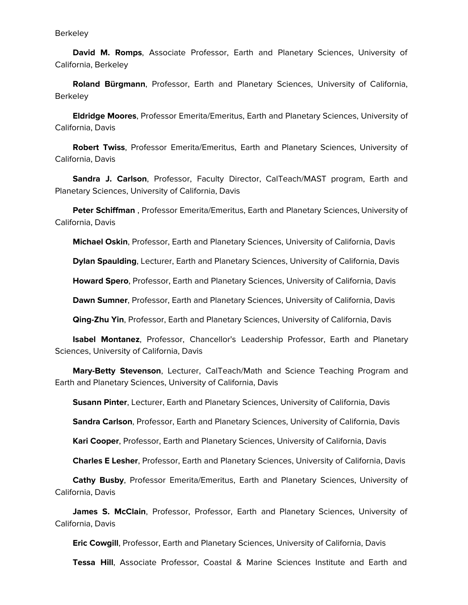**Berkeley** 

 **David M. Romps**, Associate Professor, Earth and Planetary Sciences, University of California, Berkeley

 **Roland Bürgmann**, Professor, Earth and Planetary Sciences, University of California, **Berkeley** 

 **Eldridge Moores**, Professor Emerita/Emeritus, Earth and Planetary Sciences, University of California, Davis

 **Robert Twiss**, Professor Emerita/Emeritus, Earth and Planetary Sciences, University of California, Davis

 **Sandra J. Carlson**, Professor, Faculty Director, CalTeach/MAST program, Earth and Planetary Sciences, University of California, Davis

 **Peter Schiffman** , Professor Emerita/Emeritus, Earth and Planetary Sciences, University of California, Davis

**Michael Oskin**, Professor, Earth and Planetary Sciences, University of California, Davis

**Dylan Spaulding**, Lecturer, Earth and Planetary Sciences, University of California, Davis

**Howard Spero**, Professor, Earth and Planetary Sciences, University of California, Davis

**Dawn Sumner**, Professor, Earth and Planetary Sciences, University of California, Davis

**Qing-Zhu Yin**, Professor, Earth and Planetary Sciences, University of California, Davis

 **Isabel Montanez**, Professor, Chancellor's Leadership Professor, Earth and Planetary Sciences, University of California, Davis

 **Mary-Betty Stevenson**, Lecturer, CalTeach/Math and Science Teaching Program and Earth and Planetary Sciences, University of California, Davis

**Susann Pinter**, Lecturer, Earth and Planetary Sciences, University of California, Davis

**Sandra Carlson**, Professor, Earth and Planetary Sciences, University of California, Davis

**Kari Cooper**, Professor, Earth and Planetary Sciences, University of California, Davis

**Charles E Lesher**, Professor, Earth and Planetary Sciences, University of California, Davis

 **Cathy Busby**, Professor Emerita/Emeritus, Earth and Planetary Sciences, University of California, Davis

 **James S. McClain**, Professor, Professor, Earth and Planetary Sciences, University of California, Davis

**Eric Cowgill**, Professor, Earth and Planetary Sciences, University of California, Davis

**Tessa Hill**, Associate Professor, Coastal & Marine Sciences Institute and Earth and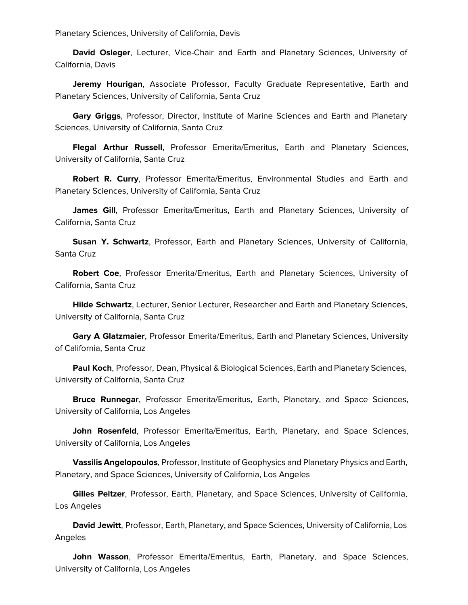Planetary Sciences, University of California, Davis

 **David Osleger**, Lecturer, Vice-Chair and Earth and Planetary Sciences, University of California, Davis

 **Jeremy Hourigan**, Associate Professor, Faculty Graduate Representative, Earth and Planetary Sciences, University of California, Santa Cruz

 **Gary Griggs**, Professor, Director, Institute of Marine Sciences and Earth and Planetary Sciences, University of California, Santa Cruz

 **Flegal Arthur Russell**, Professor Emerita/Emeritus, Earth and Planetary Sciences, University of California, Santa Cruz

 **Robert R. Curry**, Professor Emerita/Emeritus, Environmental Studies and Earth and Planetary Sciences, University of California, Santa Cruz

 **James Gill**, Professor Emerita/Emeritus, Earth and Planetary Sciences, University of California, Santa Cruz

 **Susan Y. Schwartz**, Professor, Earth and Planetary Sciences, University of California, Santa Cruz

 **Robert Coe**, Professor Emerita/Emeritus, Earth and Planetary Sciences, University of California, Santa Cruz

 **Hilde Schwartz**, Lecturer, Senior Lecturer, Researcher and Earth and Planetary Sciences, University of California, Santa Cruz

 **Gary A Glatzmaier**, Professor Emerita/Emeritus, Earth and Planetary Sciences, University of California, Santa Cruz

 **Paul Koch**, Professor, Dean, Physical & Biological Sciences, Earth and Planetary Sciences, University of California, Santa Cruz

 **Bruce Runnegar**, Professor Emerita/Emeritus, Earth, Planetary, and Space Sciences, University of California, Los Angeles

 **John Rosenfeld**, Professor Emerita/Emeritus, Earth, Planetary, and Space Sciences, University of California, Los Angeles

 **Vassilis Angelopoulos**, Professor, Institute of Geophysics and Planetary Physics and Earth, Planetary, and Space Sciences, University of California, Los Angeles

 **Gilles Peltzer**, Professor, Earth, Planetary, and Space Sciences, University of California, Los Angeles

 **David Jewitt**, Professor, Earth, Planetary, and Space Sciences, University of California, Los Angeles

 **John Wasson**, Professor Emerita/Emeritus, Earth, Planetary, and Space Sciences, University of California, Los Angeles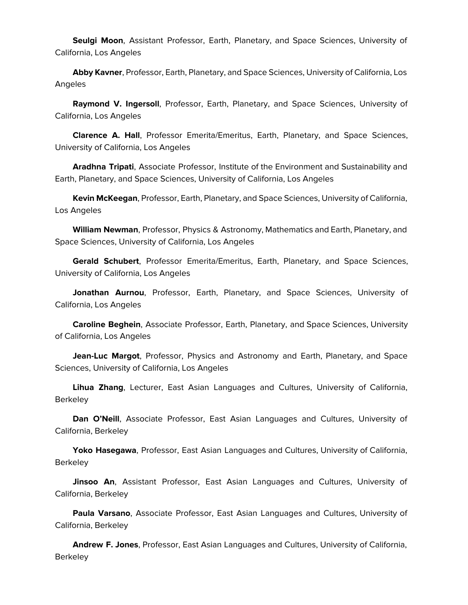**Seulgi Moon**, Assistant Professor, Earth, Planetary, and Space Sciences, University of California, Los Angeles

 **Abby Kavner**, Professor, Earth, Planetary, and Space Sciences, University of California, Los Angeles

 **Raymond V. Ingersoll**, Professor, Earth, Planetary, and Space Sciences, University of California, Los Angeles

 **Clarence A. Hall**, Professor Emerita/Emeritus, Earth, Planetary, and Space Sciences, University of California, Los Angeles

 **Aradhna Tripati**, Associate Professor, Institute of the Environment and Sustainability and Earth, Planetary, and Space Sciences, University of California, Los Angeles

 **Kevin McKeegan**, Professor, Earth, Planetary, and Space Sciences, University of California, Los Angeles

 **William Newman**, Professor, Physics & Astronomy, Mathematics and Earth, Planetary, and Space Sciences, University of California, Los Angeles

 **Gerald Schubert**, Professor Emerita/Emeritus, Earth, Planetary, and Space Sciences, University of California, Los Angeles

 **Jonathan Aurnou**, Professor, Earth, Planetary, and Space Sciences, University of California, Los Angeles

 **Caroline Beghein**, Associate Professor, Earth, Planetary, and Space Sciences, University of California, Los Angeles

 **Jean-Luc Margot**, Professor, Physics and Astronomy and Earth, Planetary, and Space Sciences, University of California, Los Angeles

 **Lihua Zhang**, Lecturer, East Asian Languages and Cultures, University of California, Berkeley

 **Dan O'Neill**, Associate Professor, East Asian Languages and Cultures, University of California, Berkeley

 **Yoko Hasegawa**, Professor, East Asian Languages and Cultures, University of California, Berkeley

 **Jinsoo An**, Assistant Professor, East Asian Languages and Cultures, University of California, Berkeley

 **Paula Varsano**, Associate Professor, East Asian Languages and Cultures, University of California, Berkeley

 **Andrew F. Jones**, Professor, East Asian Languages and Cultures, University of California, Berkeley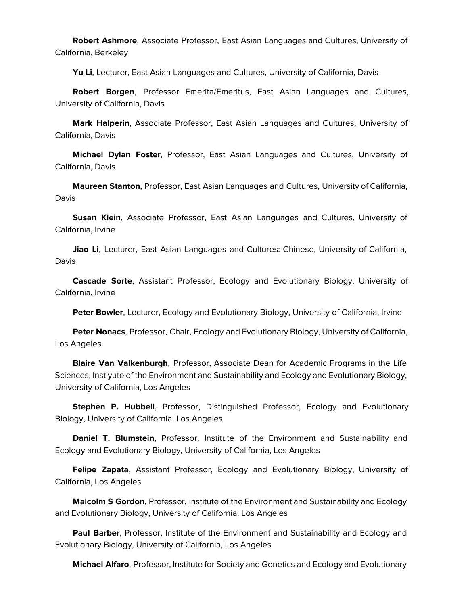**Robert Ashmore**, Associate Professor, East Asian Languages and Cultures, University of California, Berkeley

**Yu Li**, Lecturer, East Asian Languages and Cultures, University of California, Davis

 **Robert Borgen**, Professor Emerita/Emeritus, East Asian Languages and Cultures, University of California, Davis

 **Mark Halperin**, Associate Professor, East Asian Languages and Cultures, University of California, Davis

 **Michael Dylan Foster**, Professor, East Asian Languages and Cultures, University of California, Davis

 **Maureen Stanton**, Professor, East Asian Languages and Cultures, University of California, Davis

 **Susan Klein**, Associate Professor, East Asian Languages and Cultures, University of California, Irvine

 **Jiao Li**, Lecturer, East Asian Languages and Cultures: Chinese, University of California, Davis

 **Cascade Sorte**, Assistant Professor, Ecology and Evolutionary Biology, University of California, Irvine

**Peter Bowler**, Lecturer, Ecology and Evolutionary Biology, University of California, Irvine

 **Peter Nonacs**, Professor, Chair, Ecology and Evolutionary Biology, University of California, Los Angeles

 **Blaire Van Valkenburgh**, Professor, Associate Dean for Academic Programs in the Life Sciences, Instiyute of the Environment and Sustainability and Ecology and Evolutionary Biology, University of California, Los Angeles

 **Stephen P. Hubbell**, Professor, Distinguished Professor, Ecology and Evolutionary Biology, University of California, Los Angeles

 **Daniel T. Blumstein**, Professor, Institute of the Environment and Sustainability and Ecology and Evolutionary Biology, University of California, Los Angeles

 **Felipe Zapata**, Assistant Professor, Ecology and Evolutionary Biology, University of California, Los Angeles

 **Malcolm S Gordon**, Professor, Institute of the Environment and Sustainability and Ecology and Evolutionary Biology, University of California, Los Angeles

 **Paul Barber**, Professor, Institute of the Environment and Sustainability and Ecology and Evolutionary Biology, University of California, Los Angeles

**Michael Alfaro**, Professor, Institute for Society and Genetics and Ecology and Evolutionary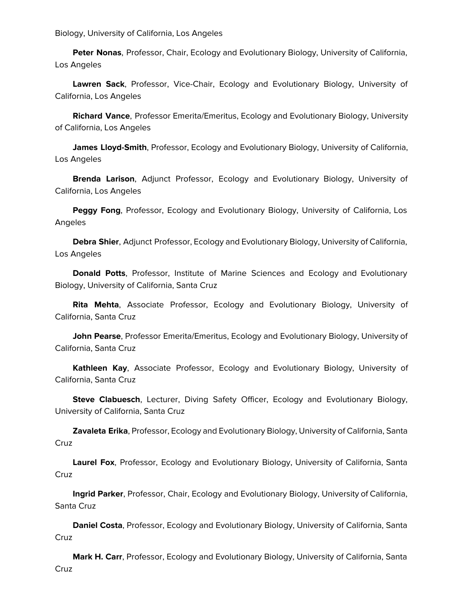Biology, University of California, Los Angeles

 **Peter Nonas**, Professor, Chair, Ecology and Evolutionary Biology, University of California, Los Angeles

 **Lawren Sack**, Professor, Vice-Chair, Ecology and Evolutionary Biology, University of California, Los Angeles

 **Richard Vance**, Professor Emerita/Emeritus, Ecology and Evolutionary Biology, University of California, Los Angeles

 **James Lloyd-Smith**, Professor, Ecology and Evolutionary Biology, University of California, Los Angeles

 **Brenda Larison**, Adjunct Professor, Ecology and Evolutionary Biology, University of California, Los Angeles

 **Peggy Fong**, Professor, Ecology and Evolutionary Biology, University of California, Los Angeles

 **Debra Shier**, Adjunct Professor, Ecology and Evolutionary Biology, University of California, Los Angeles

 **Donald Potts**, Professor, Institute of Marine Sciences and Ecology and Evolutionary Biology, University of California, Santa Cruz

 **Rita Mehta**, Associate Professor, Ecology and Evolutionary Biology, University of California, Santa Cruz

 **John Pearse**, Professor Emerita/Emeritus, Ecology and Evolutionary Biology, University of California, Santa Cruz

 **Kathleen Kay**, Associate Professor, Ecology and Evolutionary Biology, University of California, Santa Cruz

 **Steve Clabuesch**, Lecturer, Diving Safety Officer, Ecology and Evolutionary Biology, University of California, Santa Cruz

 **Zavaleta Erika**, Professor, Ecology and Evolutionary Biology, University of California, Santa **Cruz** 

 **Laurel Fox**, Professor, Ecology and Evolutionary Biology, University of California, Santa **Cruz** 

 **Ingrid Parker**, Professor, Chair, Ecology and Evolutionary Biology, University of California, Santa Cruz

 **Daniel Costa**, Professor, Ecology and Evolutionary Biology, University of California, Santa Cruz

 **Mark H. Carr**, Professor, Ecology and Evolutionary Biology, University of California, Santa **Cruz**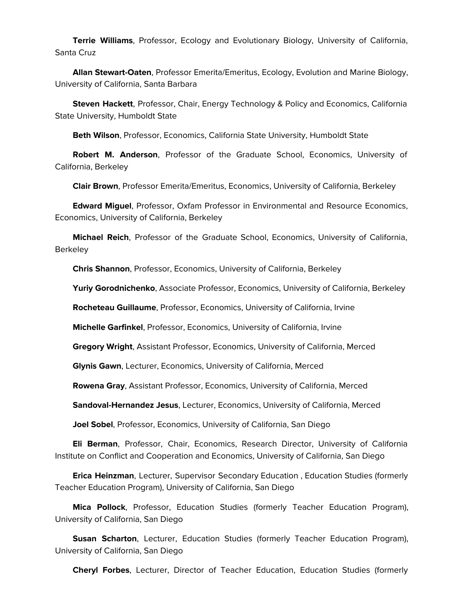**Terrie Williams**, Professor, Ecology and Evolutionary Biology, University of California, Santa Cruz

 **Allan Stewart-Oaten**, Professor Emerita/Emeritus, Ecology, Evolution and Marine Biology, University of California, Santa Barbara

 **Steven Hackett**, Professor, Chair, Energy Technology & Policy and Economics, California State University, Humboldt State

**Beth Wilson**, Professor, Economics, California State University, Humboldt State

 **Robert M. Anderson**, Professor of the Graduate School, Economics, University of California, Berkeley

**Clair Brown**, Professor Emerita/Emeritus, Economics, University of California, Berkeley

 **Edward Miguel**, Professor, Oxfam Professor in Environmental and Resource Economics, Economics, University of California, Berkeley

 **Michael Reich**, Professor of the Graduate School, Economics, University of California, **Berkeley** 

**Chris Shannon**, Professor, Economics, University of California, Berkeley

**Yuriy Gorodnichenko**, Associate Professor, Economics, University of California, Berkeley

**Rocheteau Guillaume**, Professor, Economics, University of California, Irvine

**Michelle Garfinkel**, Professor, Economics, University of California, Irvine

**Gregory Wright**, Assistant Professor, Economics, University of California, Merced

**Glynis Gawn**, Lecturer, Economics, University of California, Merced

**Rowena Gray**, Assistant Professor, Economics, University of California, Merced

**Sandoval-Hernandez Jesus**, Lecturer, Economics, University of California, Merced

**Joel Sobel**, Professor, Economics, University of California, San Diego

 **Eli Berman**, Professor, Chair, Economics, Research Director, University of California Institute on Conflict and Cooperation and Economics, University of California, San Diego

 **Erica Heinzman**, Lecturer, Supervisor Secondary Education , Education Studies (formerly Teacher Education Program), University of California, San Diego

 **Mica Pollock**, Professor, Education Studies (formerly Teacher Education Program), University of California, San Diego

 **Susan Scharton**, Lecturer, Education Studies (formerly Teacher Education Program), University of California, San Diego

**Cheryl Forbes**, Lecturer, Director of Teacher Education, Education Studies (formerly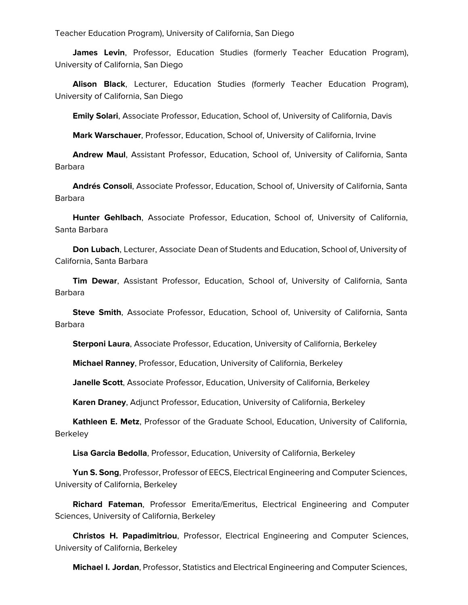Teacher Education Program), University of California, San Diego

 **James Levin**, Professor, Education Studies (formerly Teacher Education Program), University of California, San Diego

 **Alison Black**, Lecturer, Education Studies (formerly Teacher Education Program), University of California, San Diego

**Emily Solari**, Associate Professor, Education, School of, University of California, Davis

**Mark Warschauer**, Professor, Education, School of, University of California, Irvine

 **Andrew Maul**, Assistant Professor, Education, School of, University of California, Santa Barbara

 **Andrés Consoli**, Associate Professor, Education, School of, University of California, Santa Barbara

 **Hunter Gehlbach**, Associate Professor, Education, School of, University of California, Santa Barbara

 **Don Lubach**, Lecturer, Associate Dean of Students and Education, School of, University of California, Santa Barbara

 **Tim Dewar**, Assistant Professor, Education, School of, University of California, Santa Barbara

 **Steve Smith**, Associate Professor, Education, School of, University of California, Santa Barbara

**Sterponi Laura**, Associate Professor, Education, University of California, Berkeley

**Michael Ranney**, Professor, Education, University of California, Berkeley

**Janelle Scott**, Associate Professor, Education, University of California, Berkeley

**Karen Draney**, Adjunct Professor, Education, University of California, Berkeley

 **Kathleen E. Metz**, Professor of the Graduate School, Education, University of California, **Berkeley** 

**Lisa Garcia Bedolla**, Professor, Education, University of California, Berkeley

 **Yun S. Song**, Professor, Professor of EECS, Electrical Engineering and Computer Sciences, University of California, Berkeley

 **Richard Fateman**, Professor Emerita/Emeritus, Electrical Engineering and Computer Sciences, University of California, Berkeley

 **Christos H. Papadimitriou**, Professor, Electrical Engineering and Computer Sciences, University of California, Berkeley

**Michael I. Jordan**, Professor, Statistics and Electrical Engineering and Computer Sciences,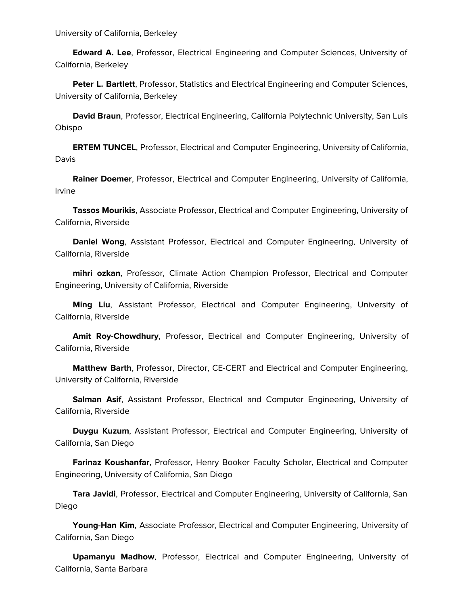University of California, Berkeley

 **Edward A. Lee**, Professor, Electrical Engineering and Computer Sciences, University of California, Berkeley

 **Peter L. Bartlett**, Professor, Statistics and Electrical Engineering and Computer Sciences, University of California, Berkeley

 **David Braun**, Professor, Electrical Engineering, California Polytechnic University, San Luis Obispo

 **ERTEM TUNCEL**, Professor, Electrical and Computer Engineering, University of California, Davis

 **Rainer Doemer**, Professor, Electrical and Computer Engineering, University of California, Irvine

 **Tassos Mourikis**, Associate Professor, Electrical and Computer Engineering, University of California, Riverside

 **Daniel Wong**, Assistant Professor, Electrical and Computer Engineering, University of California, Riverside

 **mihri ozkan**, Professor, Climate Action Champion Professor, Electrical and Computer Engineering, University of California, Riverside

 **Ming Liu**, Assistant Professor, Electrical and Computer Engineering, University of California, Riverside

 **Amit Roy-Chowdhury**, Professor, Electrical and Computer Engineering, University of California, Riverside

 **Matthew Barth**, Professor, Director, CE-CERT and Electrical and Computer Engineering, University of California, Riverside

 **Salman Asif**, Assistant Professor, Electrical and Computer Engineering, University of California, Riverside

 **Duygu Kuzum**, Assistant Professor, Electrical and Computer Engineering, University of California, San Diego

 **Farinaz Koushanfar**, Professor, Henry Booker Faculty Scholar, Electrical and Computer Engineering, University of California, San Diego

 **Tara Javidi**, Professor, Electrical and Computer Engineering, University of California, San Diego

 **Young-Han Kim**, Associate Professor, Electrical and Computer Engineering, University of California, San Diego

 **Upamanyu Madhow**, Professor, Electrical and Computer Engineering, University of California, Santa Barbara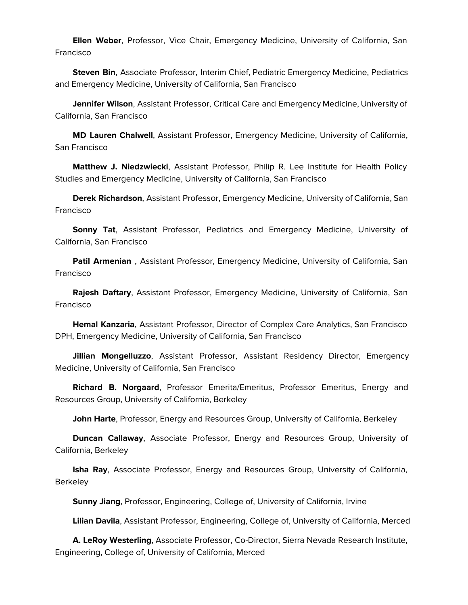**Ellen Weber**, Professor, Vice Chair, Emergency Medicine, University of California, San Francisco

 **Steven Bin**, Associate Professor, Interim Chief, Pediatric Emergency Medicine, Pediatrics and Emergency Medicine, University of California, San Francisco

 **Jennifer Wilson**, Assistant Professor, Critical Care and Emergency Medicine, University of California, San Francisco

 **MD Lauren Chalwell**, Assistant Professor, Emergency Medicine, University of California, San Francisco

 **Matthew J. Niedzwiecki**, Assistant Professor, Philip R. Lee Institute for Health Policy Studies and Emergency Medicine, University of California, San Francisco

 **Derek Richardson**, Assistant Professor, Emergency Medicine, University of California, San Francisco

 **Sonny Tat**, Assistant Professor, Pediatrics and Emergency Medicine, University of California, San Francisco

 **Patil Armenian** , Assistant Professor, Emergency Medicine, University of California, San Francisco

 **Rajesh Daftary**, Assistant Professor, Emergency Medicine, University of California, San Francisco

 **Hemal Kanzaria**, Assistant Professor, Director of Complex Care Analytics, San Francisco DPH, Emergency Medicine, University of California, San Francisco

 **Jillian Mongelluzzo**, Assistant Professor, Assistant Residency Director, Emergency Medicine, University of California, San Francisco

 **Richard B. Norgaard**, Professor Emerita/Emeritus, Professor Emeritus, Energy and Resources Group, University of California, Berkeley

**John Harte**, Professor, Energy and Resources Group, University of California, Berkeley

 **Duncan Callaway**, Associate Professor, Energy and Resources Group, University of California, Berkeley

 **Isha Ray**, Associate Professor, Energy and Resources Group, University of California, **Berkeley** 

**Sunny Jiang**, Professor, Engineering, College of, University of California, Irvine

**Lilian Davila**, Assistant Professor, Engineering, College of, University of California, Merced

 **A. LeRoy Westerling**, Associate Professor, Co-Director, Sierra Nevada Research Institute, Engineering, College of, University of California, Merced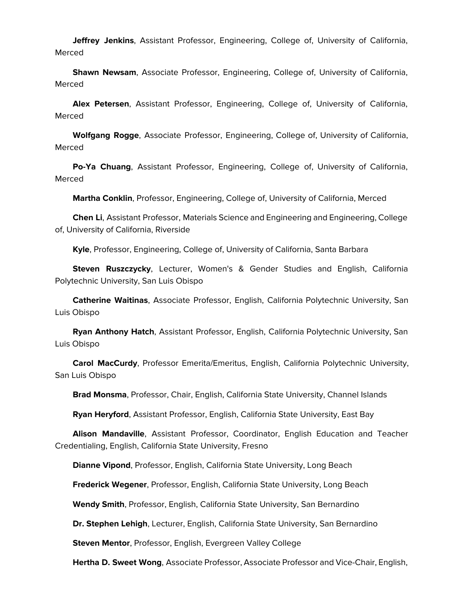**Jeffrey Jenkins**, Assistant Professor, Engineering, College of, University of California, Merced

 **Shawn Newsam**, Associate Professor, Engineering, College of, University of California, Merced

 **Alex Petersen**, Assistant Professor, Engineering, College of, University of California, Merced

 **Wolfgang Rogge**, Associate Professor, Engineering, College of, University of California, Merced

 **Po-Ya Chuang**, Assistant Professor, Engineering, College of, University of California, Merced

**Martha Conklin**, Professor, Engineering, College of, University of California, Merced

 **Chen Li**, Assistant Professor, Materials Science and Engineering and Engineering, College of, University of California, Riverside

**Kyle**, Professor, Engineering, College of, University of California, Santa Barbara

 **Steven Ruszczycky**, Lecturer, Women's & Gender Studies and English, California Polytechnic University, San Luis Obispo

 **Catherine Waitinas**, Associate Professor, English, California Polytechnic University, San Luis Obispo

 **Ryan Anthony Hatch**, Assistant Professor, English, California Polytechnic University, San Luis Obispo

 **Carol MacCurdy**, Professor Emerita/Emeritus, English, California Polytechnic University, San Luis Obispo

**Brad Monsma**, Professor, Chair, English, California State University, Channel Islands

**Ryan Heryford**, Assistant Professor, English, California State University, East Bay

 **Alison Mandaville**, Assistant Professor, Coordinator, English Education and Teacher Credentialing, English, California State University, Fresno

**Dianne Vipond**, Professor, English, California State University, Long Beach

**Frederick Wegener**, Professor, English, California State University, Long Beach

**Wendy Smith**, Professor, English, California State University, San Bernardino

**Dr. Stephen Lehigh**, Lecturer, English, California State University, San Bernardino

**Steven Mentor**, Professor, English, Evergreen Valley College

**Hertha D. Sweet Wong**, Associate Professor, Associate Professor and Vice-Chair, English,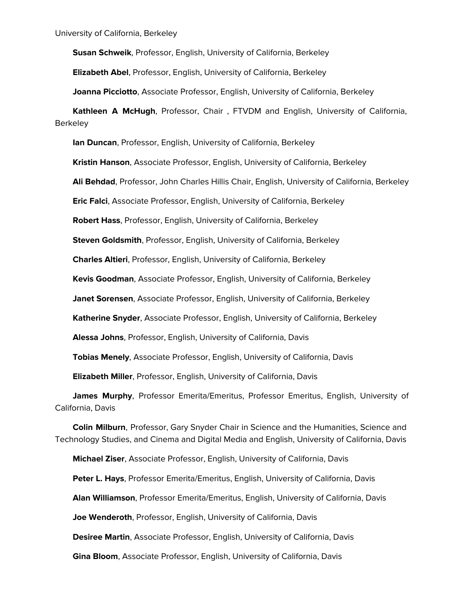**Susan Schweik**, Professor, English, University of California, Berkeley

**Elizabeth Abel**, Professor, English, University of California, Berkeley

**Joanna Picciotto**, Associate Professor, English, University of California, Berkeley

 **Kathleen A McHugh**, Professor, Chair , FTVDM and English, University of California, Berkeley

**Ian Duncan**, Professor, English, University of California, Berkeley

**Kristin Hanson**, Associate Professor, English, University of California, Berkeley

**Ali Behdad**, Professor, John Charles Hillis Chair, English, University of California, Berkeley

**Eric Falci**, Associate Professor, English, University of California, Berkeley

**Robert Hass**, Professor, English, University of California, Berkeley

**Steven Goldsmith**, Professor, English, University of California, Berkeley

**Charles Altieri**, Professor, English, University of California, Berkeley

**Kevis Goodman**, Associate Professor, English, University of California, Berkeley

**Janet Sorensen**, Associate Professor, English, University of California, Berkeley

**Katherine Snyder**, Associate Professor, English, University of California, Berkeley

**Alessa Johns**, Professor, English, University of California, Davis

**Tobias Menely**, Associate Professor, English, University of California, Davis

**Elizabeth Miller**, Professor, English, University of California, Davis

 **James Murphy**, Professor Emerita/Emeritus, Professor Emeritus, English, University of California, Davis

 **Colin Milburn**, Professor, Gary Snyder Chair in Science and the Humanities, Science and Technology Studies, and Cinema and Digital Media and English, University of California, Davis

**Michael Ziser**, Associate Professor, English, University of California, Davis

**Peter L. Hays**, Professor Emerita/Emeritus, English, University of California, Davis

**Alan Williamson**, Professor Emerita/Emeritus, English, University of California, Davis

**Joe Wenderoth**, Professor, English, University of California, Davis

**Desiree Martin**, Associate Professor, English, University of California, Davis

**Gina Bloom**, Associate Professor, English, University of California, Davis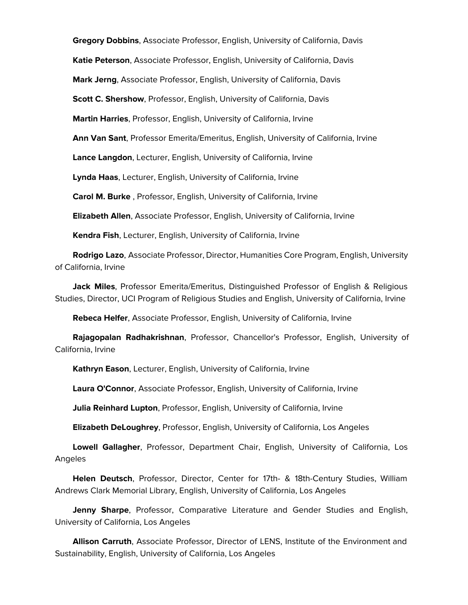**Gregory Dobbins**, Associate Professor, English, University of California, Davis **Katie Peterson**, Associate Professor, English, University of California, Davis **Mark Jerng**, Associate Professor, English, University of California, Davis **Scott C. Shershow, Professor, English, University of California, Davis Martin Harries**, Professor, English, University of California, Irvine **Ann Van Sant**, Professor Emerita/Emeritus, English, University of California, Irvine **Lance Langdon**, Lecturer, English, University of California, Irvine **Lynda Haas**, Lecturer, English, University of California, Irvine **Carol M. Burke** , Professor, English, University of California, Irvine **Elizabeth Allen**, Associate Professor, English, University of California, Irvine **Kendra Fish**, Lecturer, English, University of California, Irvine

 **Rodrigo Lazo**, Associate Professor, Director, Humanities Core Program, English, University of California, Irvine

 **Jack Miles**, Professor Emerita/Emeritus, Distinguished Professor of English & Religious Studies, Director, UCI Program of Religious Studies and English, University of California, Irvine

**Rebeca Helfer**, Associate Professor, English, University of California, Irvine

 **Rajagopalan Radhakrishnan**, Professor, Chancellor's Professor, English, University of California, Irvine

**Kathryn Eason**, Lecturer, English, University of California, Irvine

**Laura O'Connor**, Associate Professor, English, University of California, Irvine

**Julia Reinhard Lupton**, Professor, English, University of California, Irvine

**Elizabeth DeLoughrey**, Professor, English, University of California, Los Angeles

 **Lowell Gallagher**, Professor, Department Chair, English, University of California, Los Angeles

 **Helen Deutsch**, Professor, Director, Center for 17th- & 18th-Century Studies, William Andrews Clark Memorial Library, English, University of California, Los Angeles

 **Jenny Sharpe**, Professor, Comparative Literature and Gender Studies and English, University of California, Los Angeles

 **Allison Carruth**, Associate Professor, Director of LENS, Institute of the Environment and Sustainability, English, University of California, Los Angeles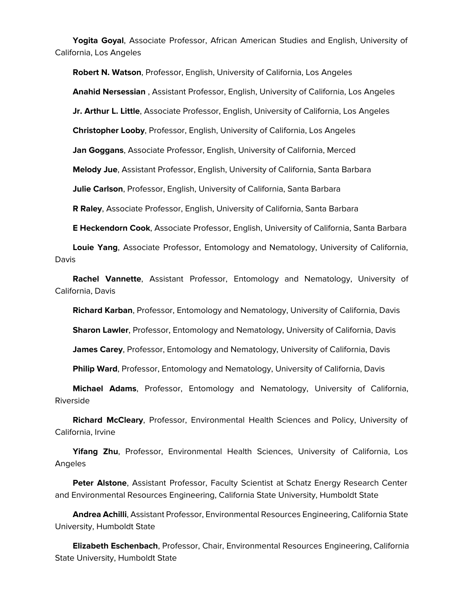**Yogita Goyal**, Associate Professor, African American Studies and English, University of California, Los Angeles

 **Robert N. Watson**, Professor, English, University of California, Los Angeles **Anahid Nersessian** , Assistant Professor, English, University of California, Los Angeles **Jr. Arthur L. Little**, Associate Professor, English, University of California, Los Angeles **Christopher Looby**, Professor, English, University of California, Los Angeles **Jan Goggans**, Associate Professor, English, University of California, Merced **Melody Jue**, Assistant Professor, English, University of California, Santa Barbara **Julie Carlson**, Professor, English, University of California, Santa Barbara **R Raley**, Associate Professor, English, University of California, Santa Barbara **E Heckendorn Cook**, Associate Professor, English, University of California, Santa Barbara

 **Louie Yang**, Associate Professor, Entomology and Nematology, University of California, Davis

 **Rachel Vannette**, Assistant Professor, Entomology and Nematology, University of California, Davis

**Richard Karban**, Professor, Entomology and Nematology, University of California, Davis

**Sharon Lawler**, Professor, Entomology and Nematology, University of California, Davis

**James Carey**, Professor, Entomology and Nematology, University of California, Davis

**Philip Ward**, Professor, Entomology and Nematology, University of California, Davis

 **Michael Adams**, Professor, Entomology and Nematology, University of California, Riverside

 **Richard McCleary**, Professor, Environmental Health Sciences and Policy, University of California, Irvine

 **Yifang Zhu**, Professor, Environmental Health Sciences, University of California, Los Angeles

 **Peter Alstone**, Assistant Professor, Faculty Scientist at Schatz Energy Research Center and Environmental Resources Engineering, California State University, Humboldt State

 **Andrea Achilli**, Assistant Professor, Environmental Resources Engineering, California State University, Humboldt State

 **Elizabeth Eschenbach**, Professor, Chair, Environmental Resources Engineering, California State University, Humboldt State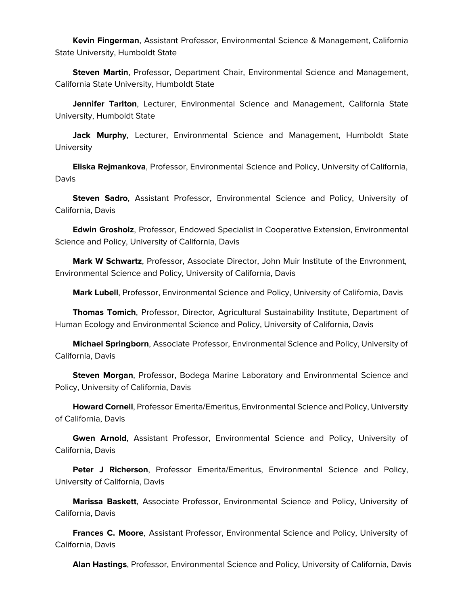**Kevin Fingerman**, Assistant Professor, Environmental Science & Management, California State University, Humboldt State

 **Steven Martin**, Professor, Department Chair, Environmental Science and Management, California State University, Humboldt State

 **Jennifer Tarlton**, Lecturer, Environmental Science and Management, California State University, Humboldt State

 **Jack Murphy**, Lecturer, Environmental Science and Management, Humboldt State **University** 

 **Eliska Rejmankova**, Professor, Environmental Science and Policy, University of California, Davis

 **Steven Sadro**, Assistant Professor, Environmental Science and Policy, University of California, Davis

 **Edwin Grosholz**, Professor, Endowed Specialist in Cooperative Extension, Environmental Science and Policy, University of California, Davis

 **Mark W Schwartz**, Professor, Associate Director, John Muir Institute of the Envronment, Environmental Science and Policy, University of California, Davis

**Mark Lubell**, Professor, Environmental Science and Policy, University of California, Davis

 **Thomas Tomich**, Professor, Director, Agricultural Sustainability Institute, Department of Human Ecology and Environmental Science and Policy, University of California, Davis

 **Michael Springborn**, Associate Professor, Environmental Science and Policy, University of California, Davis

 **Steven Morgan**, Professor, Bodega Marine Laboratory and Environmental Science and Policy, University of California, Davis

 **Howard Cornell**, Professor Emerita/Emeritus, Environmental Science and Policy, University of California, Davis

 **Gwen Arnold**, Assistant Professor, Environmental Science and Policy, University of California, Davis

 **Peter J Richerson**, Professor Emerita/Emeritus, Environmental Science and Policy, University of California, Davis

 **Marissa Baskett**, Associate Professor, Environmental Science and Policy, University of California, Davis

 **Frances C. Moore**, Assistant Professor, Environmental Science and Policy, University of California, Davis

**Alan Hastings**, Professor, Environmental Science and Policy, University of California, Davis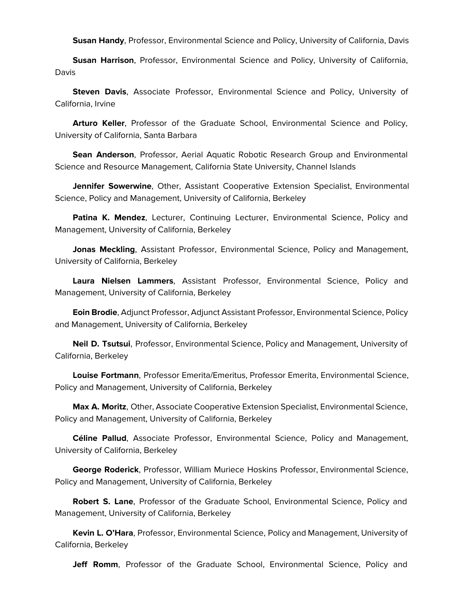**Susan Handy**, Professor, Environmental Science and Policy, University of California, Davis

 **Susan Harrison**, Professor, Environmental Science and Policy, University of California, Davis

 **Steven Davis**, Associate Professor, Environmental Science and Policy, University of California, Irvine

 **Arturo Keller**, Professor of the Graduate School, Environmental Science and Policy, University of California, Santa Barbara

 **Sean Anderson**, Professor, Aerial Aquatic Robotic Research Group and Environmental Science and Resource Management, California State University, Channel Islands

 **Jennifer Sowerwine**, Other, Assistant Cooperative Extension Specialist, Environmental Science, Policy and Management, University of California, Berkeley

 **Patina K. Mendez**, Lecturer, Continuing Lecturer, Environmental Science, Policy and Management, University of California, Berkeley

 **Jonas Meckling**, Assistant Professor, Environmental Science, Policy and Management, University of California, Berkeley

 **Laura Nielsen Lammers**, Assistant Professor, Environmental Science, Policy and Management, University of California, Berkeley

 **Eoin Brodie**, Adjunct Professor, Adjunct Assistant Professor, Environmental Science, Policy and Management, University of California, Berkeley

 **Neil D. Tsutsui**, Professor, Environmental Science, Policy and Management, University of California, Berkeley

 **Louise Fortmann**, Professor Emerita/Emeritus, Professor Emerita, Environmental Science, Policy and Management, University of California, Berkeley

 **Max A. Moritz**, Other, Associate Cooperative Extension Specialist, Environmental Science, Policy and Management, University of California, Berkeley

 **Céline Pallud**, Associate Professor, Environmental Science, Policy and Management, University of California, Berkeley

 **George Roderick**, Professor, William Muriece Hoskins Professor, Environmental Science, Policy and Management, University of California, Berkeley

 **Robert S. Lane**, Professor of the Graduate School, Environmental Science, Policy and Management, University of California, Berkeley

 **Kevin L. O'Hara**, Professor, Environmental Science, Policy and Management, University of California, Berkeley

**Jeff Romm**, Professor of the Graduate School, Environmental Science, Policy and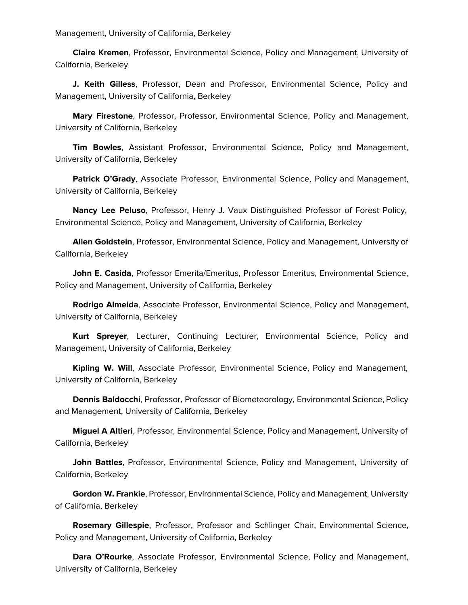Management, University of California, Berkeley

 **Claire Kremen**, Professor, Environmental Science, Policy and Management, University of California, Berkeley

 **J. Keith Gilless**, Professor, Dean and Professor, Environmental Science, Policy and Management, University of California, Berkeley

 **Mary Firestone**, Professor, Professor, Environmental Science, Policy and Management, University of California, Berkeley

 **Tim Bowles**, Assistant Professor, Environmental Science, Policy and Management, University of California, Berkeley

 **Patrick O'Grady**, Associate Professor, Environmental Science, Policy and Management, University of California, Berkeley

 **Nancy Lee Peluso**, Professor, Henry J. Vaux Distinguished Professor of Forest Policy, Environmental Science, Policy and Management, University of California, Berkeley

 **Allen Goldstein**, Professor, Environmental Science, Policy and Management, University of California, Berkeley

 **John E. Casida**, Professor Emerita/Emeritus, Professor Emeritus, Environmental Science, Policy and Management, University of California, Berkeley

 **Rodrigo Almeida**, Associate Professor, Environmental Science, Policy and Management, University of California, Berkeley

 **Kurt Spreyer**, Lecturer, Continuing Lecturer, Environmental Science, Policy and Management, University of California, Berkeley

 **Kipling W. Will**, Associate Professor, Environmental Science, Policy and Management, University of California, Berkeley

 **Dennis Baldocchi**, Professor, Professor of Biometeorology, Environmental Science, Policy and Management, University of California, Berkeley

 **Miguel A Altieri**, Professor, Environmental Science, Policy and Management, University of California, Berkeley

 **John Battles**, Professor, Environmental Science, Policy and Management, University of California, Berkeley

 **Gordon W. Frankie**, Professor, Environmental Science, Policy and Management, University of California, Berkeley

 **Rosemary Gillespie**, Professor, Professor and Schlinger Chair, Environmental Science, Policy and Management, University of California, Berkeley

 **Dara O'Rourke**, Associate Professor, Environmental Science, Policy and Management, University of California, Berkeley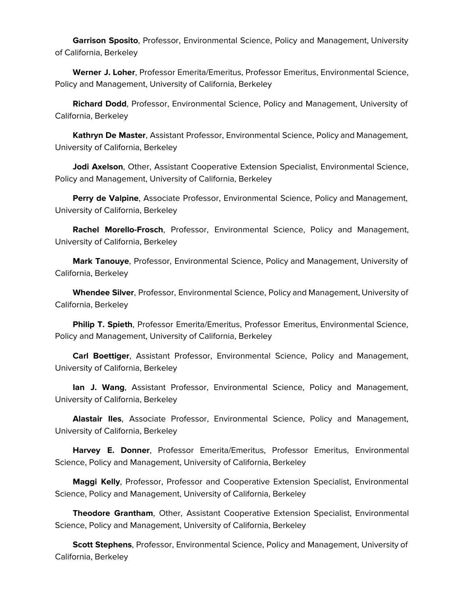**Garrison Sposito**, Professor, Environmental Science, Policy and Management, University of California, Berkeley

 **Werner J. Loher**, Professor Emerita/Emeritus, Professor Emeritus, Environmental Science, Policy and Management, University of California, Berkeley

 **Richard Dodd**, Professor, Environmental Science, Policy and Management, University of California, Berkeley

 **Kathryn De Master**, Assistant Professor, Environmental Science, Policy and Management, University of California, Berkeley

 **Jodi Axelson**, Other, Assistant Cooperative Extension Specialist, Environmental Science, Policy and Management, University of California, Berkeley

 **Perry de Valpine**, Associate Professor, Environmental Science, Policy and Management, University of California, Berkeley

 **Rachel Morello-Frosch**, Professor, Environmental Science, Policy and Management, University of California, Berkeley

 **Mark Tanouye**, Professor, Environmental Science, Policy and Management, University of California, Berkeley

 **Whendee Silver**, Professor, Environmental Science, Policy and Management, University of California, Berkeley

 **Philip T. Spieth**, Professor Emerita/Emeritus, Professor Emeritus, Environmental Science, Policy and Management, University of California, Berkeley

 **Carl Boettiger**, Assistant Professor, Environmental Science, Policy and Management, University of California, Berkeley

 **Ian J. Wang**, Assistant Professor, Environmental Science, Policy and Management, University of California, Berkeley

 **Alastair Iles**, Associate Professor, Environmental Science, Policy and Management, University of California, Berkeley

 **Harvey E. Donner**, Professor Emerita/Emeritus, Professor Emeritus, Environmental Science, Policy and Management, University of California, Berkeley

 **Maggi Kelly**, Professor, Professor and Cooperative Extension Specialist, Environmental Science, Policy and Management, University of California, Berkeley

 **Theodore Grantham**, Other, Assistant Cooperative Extension Specialist, Environmental Science, Policy and Management, University of California, Berkeley

 **Scott Stephens**, Professor, Environmental Science, Policy and Management, University of California, Berkeley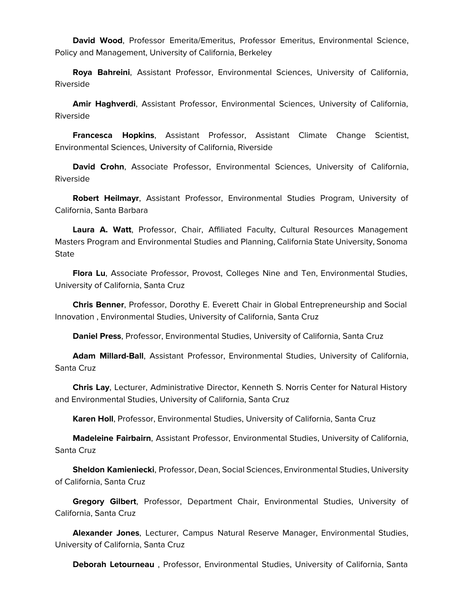**David Wood**, Professor Emerita/Emeritus, Professor Emeritus, Environmental Science, Policy and Management, University of California, Berkeley

 **Roya Bahreini**, Assistant Professor, Environmental Sciences, University of California, Riverside

 **Amir Haghverdi**, Assistant Professor, Environmental Sciences, University of California, Riverside

 **Francesca Hopkins**, Assistant Professor, Assistant Climate Change Scientist, Environmental Sciences, University of California, Riverside

 **David Crohn**, Associate Professor, Environmental Sciences, University of California, Riverside

 **Robert Heilmayr**, Assistant Professor, Environmental Studies Program, University of California, Santa Barbara

 **Laura A. Watt**, Professor, Chair, Affiliated Faculty, Cultural Resources Management Masters Program and Environmental Studies and Planning, California State University, Sonoma **State** 

 **Flora Lu**, Associate Professor, Provost, Colleges Nine and Ten, Environmental Studies, University of California, Santa Cruz

 **Chris Benner**, Professor, Dorothy E. Everett Chair in Global Entrepreneurship and Social Innovation , Environmental Studies, University of California, Santa Cruz

**Daniel Press**, Professor, Environmental Studies, University of California, Santa Cruz

 **Adam Millard-Ball**, Assistant Professor, Environmental Studies, University of California, Santa Cruz

 **Chris Lay**, Lecturer, Administrative Director, Kenneth S. Norris Center for Natural History and Environmental Studies, University of California, Santa Cruz

**Karen Holl**, Professor, Environmental Studies, University of California, Santa Cruz

 **Madeleine Fairbairn**, Assistant Professor, Environmental Studies, University of California, Santa Cruz

 **Sheldon Kamieniecki**, Professor, Dean, Social Sciences, Environmental Studies, University of California, Santa Cruz

 **Gregory Gilbert**, Professor, Department Chair, Environmental Studies, University of California, Santa Cruz

 **Alexander Jones**, Lecturer, Campus Natural Reserve Manager, Environmental Studies, University of California, Santa Cruz

**Deborah Letourneau** , Professor, Environmental Studies, University of California, Santa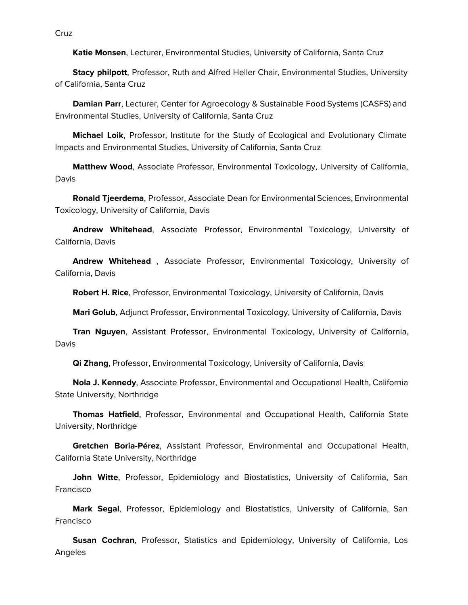Cruz

**Katie Monsen**, Lecturer, Environmental Studies, University of California, Santa Cruz

 **Stacy philpott**, Professor, Ruth and Alfred Heller Chair, Environmental Studies, University of California, Santa Cruz

 **Damian Parr**, Lecturer, Center for Agroecology & Sustainable Food Systems (CASFS) and Environmental Studies, University of California, Santa Cruz

 **Michael Loik**, Professor, Institute for the Study of Ecological and Evolutionary Climate Impacts and Environmental Studies, University of California, Santa Cruz

 **Matthew Wood**, Associate Professor, Environmental Toxicology, University of California, Davis

 **Ronald Tjeerdema**, Professor, Associate Dean for Environmental Sciences, Environmental Toxicology, University of California, Davis

 **Andrew Whitehead**, Associate Professor, Environmental Toxicology, University of California, Davis

 **Andrew Whitehead** , Associate Professor, Environmental Toxicology, University of California, Davis

**Robert H. Rice**, Professor, Environmental Toxicology, University of California, Davis

**Mari Golub**, Adjunct Professor, Environmental Toxicology, University of California, Davis

 **Tran Nguyen**, Assistant Professor, Environmental Toxicology, University of California, Davis

**Qi Zhang**, Professor, Environmental Toxicology, University of California, Davis

 **Nola J. Kennedy**, Associate Professor, Environmental and Occupational Health, California State University, Northridge

 **Thomas Hatfield**, Professor, Environmental and Occupational Health, California State University, Northridge

 **Gretchen Boria-Pérez**, Assistant Professor, Environmental and Occupational Health, California State University, Northridge

 **John Witte**, Professor, Epidemiology and Biostatistics, University of California, San **Francisco** 

 **Mark Segal**, Professor, Epidemiology and Biostatistics, University of California, San Francisco

 **Susan Cochran**, Professor, Statistics and Epidemiology, University of California, Los Angeles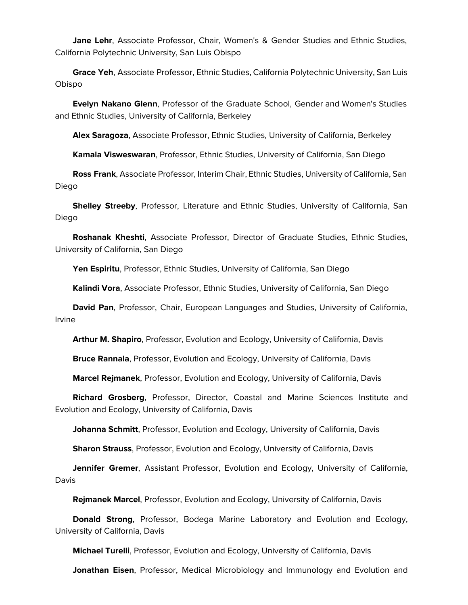**Jane Lehr**, Associate Professor, Chair, Women's & Gender Studies and Ethnic Studies, California Polytechnic University, San Luis Obispo

 **Grace Yeh**, Associate Professor, Ethnic Studies, California Polytechnic University, San Luis Obispo

 **Evelyn Nakano Glenn**, Professor of the Graduate School, Gender and Women's Studies and Ethnic Studies, University of California, Berkeley

**Alex Saragoza**, Associate Professor, Ethnic Studies, University of California, Berkeley

**Kamala Visweswaran**, Professor, Ethnic Studies, University of California, San Diego

 **Ross Frank**, Associate Professor, Interim Chair, Ethnic Studies, University of California, San Diego

 **Shelley Streeby**, Professor, Literature and Ethnic Studies, University of California, San Diego

 **Roshanak Kheshti**, Associate Professor, Director of Graduate Studies, Ethnic Studies, University of California, San Diego

Yen Espiritu, Professor, Ethnic Studies, University of California, San Diego

**Kalindi Vora**, Associate Professor, Ethnic Studies, University of California, San Diego

 **David Pan**, Professor, Chair, European Languages and Studies, University of California, Irvine

**Arthur M. Shapiro**, Professor, Evolution and Ecology, University of California, Davis

**Bruce Rannala**, Professor, Evolution and Ecology, University of California, Davis

**Marcel Rejmanek**, Professor, Evolution and Ecology, University of California, Davis

 **Richard Grosberg**, Professor, Director, Coastal and Marine Sciences Institute and Evolution and Ecology, University of California, Davis

**Johanna Schmitt**, Professor, Evolution and Ecology, University of California, Davis

**Sharon Strauss**, Professor, Evolution and Ecology, University of California, Davis

 **Jennifer Gremer**, Assistant Professor, Evolution and Ecology, University of California, Davis

**Rejmanek Marcel**, Professor, Evolution and Ecology, University of California, Davis

 **Donald Strong**, Professor, Bodega Marine Laboratory and Evolution and Ecology, University of California, Davis

**Michael Turelli**, Professor, Evolution and Ecology, University of California, Davis

**Jonathan Eisen**, Professor, Medical Microbiology and Immunology and Evolution and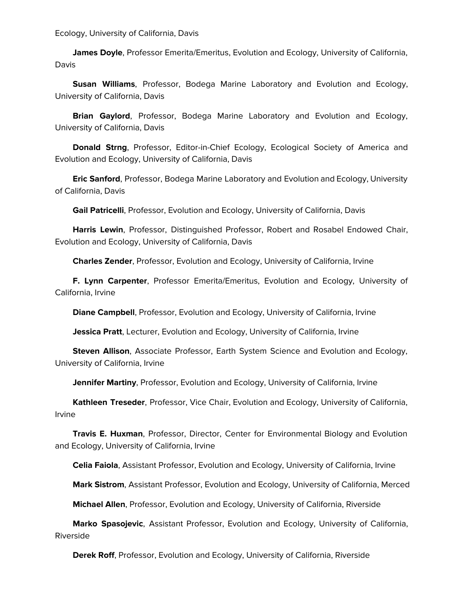Ecology, University of California, Davis

 **James Doyle**, Professor Emerita/Emeritus, Evolution and Ecology, University of California, Davis

 **Susan Williams**, Professor, Bodega Marine Laboratory and Evolution and Ecology, University of California, Davis

 **Brian Gaylord**, Professor, Bodega Marine Laboratory and Evolution and Ecology, University of California, Davis

 **Donald Strng**, Professor, Editor-in-Chief Ecology, Ecological Society of America and Evolution and Ecology, University of California, Davis

 **Eric Sanford**, Professor, Bodega Marine Laboratory and Evolution and Ecology, University of California, Davis

**Gail Patricelli**, Professor, Evolution and Ecology, University of California, Davis

 **Harris Lewin**, Professor, Distinguished Professor, Robert and Rosabel Endowed Chair, Evolution and Ecology, University of California, Davis

**Charles Zender**, Professor, Evolution and Ecology, University of California, Irvine

 **F. Lynn Carpenter**, Professor Emerita/Emeritus, Evolution and Ecology, University of California, Irvine

**Diane Campbell**, Professor, Evolution and Ecology, University of California, Irvine

**Jessica Pratt**, Lecturer, Evolution and Ecology, University of California, Irvine

 **Steven Allison**, Associate Professor, Earth System Science and Evolution and Ecology, University of California, Irvine

**Jennifer Martiny**, Professor, Evolution and Ecology, University of California, Irvine

 **Kathleen Treseder**, Professor, Vice Chair, Evolution and Ecology, University of California, Irvine

 **Travis E. Huxman**, Professor, Director, Center for Environmental Biology and Evolution and Ecology, University of California, Irvine

**Celia Faiola**, Assistant Professor, Evolution and Ecology, University of California, Irvine

**Mark Sistrom**, Assistant Professor, Evolution and Ecology, University of California, Merced

**Michael Allen**, Professor, Evolution and Ecology, University of California, Riverside

 **Marko Spasojevic**, Assistant Professor, Evolution and Ecology, University of California, Riverside

**Derek Roff**, Professor, Evolution and Ecology, University of California, Riverside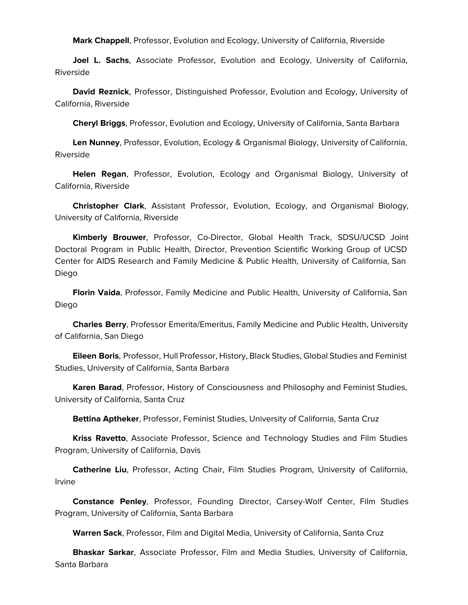**Mark Chappell**, Professor, Evolution and Ecology, University of California, Riverside

 **Joel L. Sachs**, Associate Professor, Evolution and Ecology, University of California, Riverside

 **David Reznick**, Professor, Distinguished Professor, Evolution and Ecology, University of California, Riverside

**Cheryl Briggs**, Professor, Evolution and Ecology, University of California, Santa Barbara

 **Len Nunney**, Professor, Evolution, Ecology & Organismal Biology, University of California, Riverside

 **Helen Regan**, Professor, Evolution, Ecology and Organismal Biology, University of California, Riverside

 **Christopher Clark**, Assistant Professor, Evolution, Ecology, and Organismal Biology, University of California, Riverside

 **Kimberly Brouwer**, Professor, Co-Director, Global Health Track, SDSU/UCSD Joint Doctoral Program in Public Health, Director, Prevention Scientific Working Group of UCSD Center for AIDS Research and Family Medicine & Public Health, University of California, San Diego

 **Florin Vaida**, Professor, Family Medicine and Public Health, University of California, San Diego

 **Charles Berry**, Professor Emerita/Emeritus, Family Medicine and Public Health, University of California, San Diego

 **Eileen Boris**, Professor, Hull Professor, History, Black Studies, Global Studies and Feminist Studies, University of California, Santa Barbara

 **Karen Barad**, Professor, History of Consciousness and Philosophy and Feminist Studies, University of California, Santa Cruz

**Bettina Aptheker**, Professor, Feminist Studies, University of California, Santa Cruz

 **Kriss Ravetto**, Associate Professor, Science and Technology Studies and Film Studies Program, University of California, Davis

 **Catherine Liu**, Professor, Acting Chair, Film Studies Program, University of California, Irvine

 **Constance Penley**, Professor, Founding Director, Carsey-Wolf Center, Film Studies Program, University of California, Santa Barbara

**Warren Sack**, Professor, Film and Digital Media, University of California, Santa Cruz

 **Bhaskar Sarkar**, Associate Professor, Film and Media Studies, University of California, Santa Barbara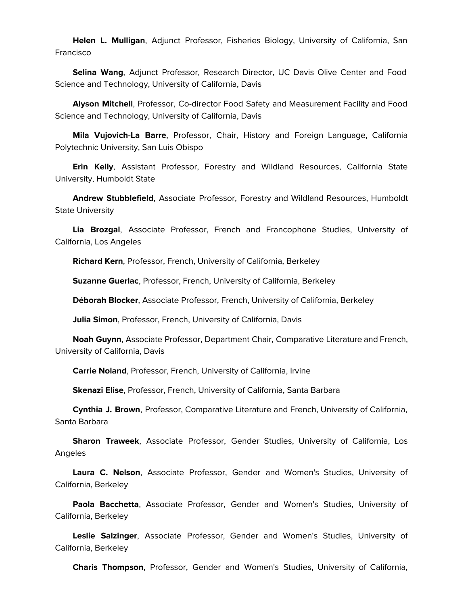**Helen L. Mulligan**, Adjunct Professor, Fisheries Biology, University of California, San Francisco

 **Selina Wang**, Adjunct Professor, Research Director, UC Davis Olive Center and Food Science and Technology, University of California, Davis

 **Alyson Mitchell**, Professor, Co-director Food Safety and Measurement Facility and Food Science and Technology, University of California, Davis

 **Mila Vujovich-La Barre**, Professor, Chair, History and Foreign Language, California Polytechnic University, San Luis Obispo

 **Erin Kelly**, Assistant Professor, Forestry and Wildland Resources, California State University, Humboldt State

 **Andrew Stubblefield**, Associate Professor, Forestry and Wildland Resources, Humboldt State University

 **Lia Brozgal**, Associate Professor, French and Francophone Studies, University of California, Los Angeles

**Richard Kern**, Professor, French, University of California, Berkeley

**Suzanne Guerlac**, Professor, French, University of California, Berkeley

**Déborah Blocker**, Associate Professor, French, University of California, Berkeley

**Julia Simon**, Professor, French, University of California, Davis

 **Noah Guynn**, Associate Professor, Department Chair, Comparative Literature and French, University of California, Davis

**Carrie Noland**, Professor, French, University of California, Irvine

**Skenazi Elise**, Professor, French, University of California, Santa Barbara

 **Cynthia J. Brown**, Professor, Comparative Literature and French, University of California, Santa Barbara

 **Sharon Traweek**, Associate Professor, Gender Studies, University of California, Los Angeles

 **Laura C. Nelson**, Associate Professor, Gender and Women's Studies, University of California, Berkeley

 **Paola Bacchetta**, Associate Professor, Gender and Women's Studies, University of California, Berkeley

 **Leslie Salzinger**, Associate Professor, Gender and Women's Studies, University of California, Berkeley

**Charis Thompson**, Professor, Gender and Women's Studies, University of California,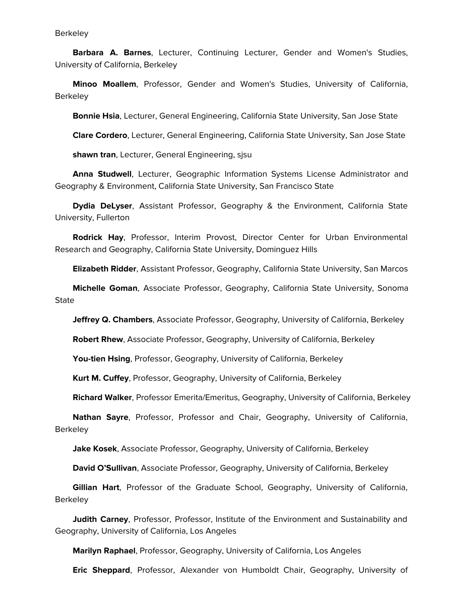## **Berkeley**

 **Barbara A. Barnes**, Lecturer, Continuing Lecturer, Gender and Women's Studies, University of California, Berkeley

 **Minoo Moallem**, Professor, Gender and Women's Studies, University of California, **Berkeley** 

**Bonnie Hsia**, Lecturer, General Engineering, California State University, San Jose State

**Clare Cordero**, Lecturer, General Engineering, California State University, San Jose State

**shawn tran**, Lecturer, General Engineering, sjsu

 **Anna Studwell**, Lecturer, Geographic Information Systems License Administrator and Geography & Environment, California State University, San Francisco State

 **Dydia DeLyser**, Assistant Professor, Geography & the Environment, California State University, Fullerton

 **Rodrick Hay**, Professor, Interim Provost, Director Center for Urban Environmental Research and Geography, California State University, Dominguez Hills

**Elizabeth Ridder**, Assistant Professor, Geography, California State University, San Marcos

 **Michelle Goman**, Associate Professor, Geography, California State University, Sonoma **State** 

**Jeffrey Q. Chambers**, Associate Professor, Geography, University of California, Berkeley

**Robert Rhew**, Associate Professor, Geography, University of California, Berkeley

**You-tien Hsing**, Professor, Geography, University of California, Berkeley

**Kurt M. Cuffey**, Professor, Geography, University of California, Berkeley

**Richard Walker**, Professor Emerita/Emeritus, Geography, University of California, Berkeley

 **Nathan Sayre**, Professor, Professor and Chair, Geography, University of California, **Berkeley** 

**Jake Kosek**, Associate Professor, Geography, University of California, Berkeley

**David O'Sullivan**, Associate Professor, Geography, University of California, Berkeley

 **Gillian Hart**, Professor of the Graduate School, Geography, University of California, **Berkeley** 

 **Judith Carney**, Professor, Professor, Institute of the Environment and Sustainability and Geography, University of California, Los Angeles

**Marilyn Raphael**, Professor, Geography, University of California, Los Angeles

**Eric Sheppard**, Professor, Alexander von Humboldt Chair, Geography, University of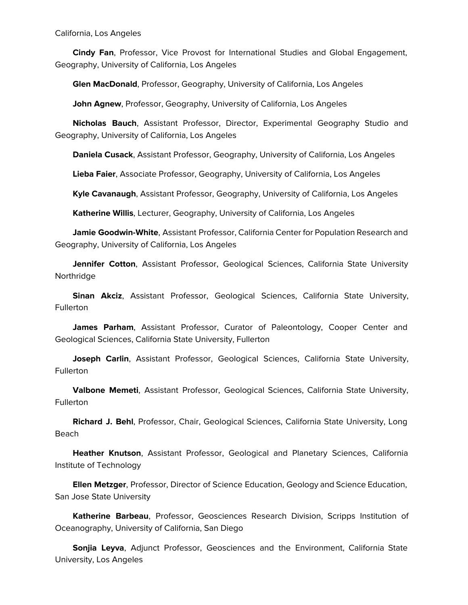California, Los Angeles

 **Cindy Fan**, Professor, Vice Provost for International Studies and Global Engagement, Geography, University of California, Los Angeles

**Glen MacDonald**, Professor, Geography, University of California, Los Angeles

**John Agnew**, Professor, Geography, University of California, Los Angeles

 **Nicholas Bauch**, Assistant Professor, Director, Experimental Geography Studio and Geography, University of California, Los Angeles

**Daniela Cusack**, Assistant Professor, Geography, University of California, Los Angeles

**Lieba Faier**, Associate Professor, Geography, University of California, Los Angeles

**Kyle Cavanaugh**, Assistant Professor, Geography, University of California, Los Angeles

**Katherine Willis**, Lecturer, Geography, University of California, Los Angeles

 **Jamie Goodwin-White**, Assistant Professor, California Center for Population Research and Geography, University of California, Los Angeles

 **Jennifer Cotton**, Assistant Professor, Geological Sciences, California State University Northridge

 **Sinan Akciz**, Assistant Professor, Geological Sciences, California State University, Fullerton

 **James Parham**, Assistant Professor, Curator of Paleontology, Cooper Center and Geological Sciences, California State University, Fullerton

 **Joseph Carlin**, Assistant Professor, Geological Sciences, California State University, **Fullerton** 

 **Valbone Memeti**, Assistant Professor, Geological Sciences, California State University, Fullerton

 **Richard J. Behl**, Professor, Chair, Geological Sciences, California State University, Long Beach

 **Heather Knutson**, Assistant Professor, Geological and Planetary Sciences, California Institute of Technology

 **Ellen Metzger**, Professor, Director of Science Education, Geology and Science Education, San Jose State University

 **Katherine Barbeau**, Professor, Geosciences Research Division, Scripps Institution of Oceanography, University of California, San Diego

 **Sonjia Leyva**, Adjunct Professor, Geosciences and the Environment, California State University, Los Angeles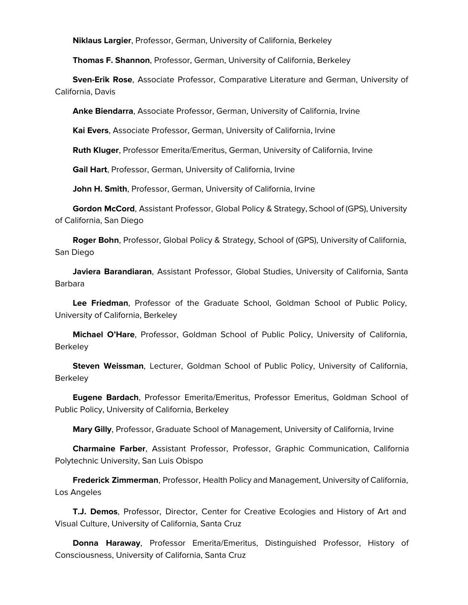**Niklaus Largier**, Professor, German, University of California, Berkeley

**Thomas F. Shannon**, Professor, German, University of California, Berkeley

 **Sven-Erik Rose**, Associate Professor, Comparative Literature and German, University of California, Davis

**Anke Biendarra**, Associate Professor, German, University of California, Irvine

**Kai Evers**, Associate Professor, German, University of California, Irvine

**Ruth Kluger**, Professor Emerita/Emeritus, German, University of California, Irvine

**Gail Hart**, Professor, German, University of California, Irvine

**John H. Smith**, Professor, German, University of California, Irvine

 **Gordon McCord**, Assistant Professor, Global Policy & Strategy, School of (GPS), University of California, San Diego

 **Roger Bohn**, Professor, Global Policy & Strategy, School of (GPS), University of California, San Diego

 **Javiera Barandiaran**, Assistant Professor, Global Studies, University of California, Santa Barbara

 **Lee Friedman**, Professor of the Graduate School, Goldman School of Public Policy, University of California, Berkeley

 **Michael O'Hare**, Professor, Goldman School of Public Policy, University of California, **Berkeley** 

 **Steven Weissman**, Lecturer, Goldman School of Public Policy, University of California, **Berkeley** 

 **Eugene Bardach**, Professor Emerita/Emeritus, Professor Emeritus, Goldman School of Public Policy, University of California, Berkeley

**Mary Gilly**, Professor, Graduate School of Management, University of California, Irvine

 **Charmaine Farber**, Assistant Professor, Professor, Graphic Communication, California Polytechnic University, San Luis Obispo

 **Frederick Zimmerman**, Professor, Health Policy and Management, University of California, Los Angeles

 **T.J. Demos**, Professor, Director, Center for Creative Ecologies and History of Art and Visual Culture, University of California, Santa Cruz

 **Donna Haraway**, Professor Emerita/Emeritus, Distinguished Professor, History of Consciousness, University of California, Santa Cruz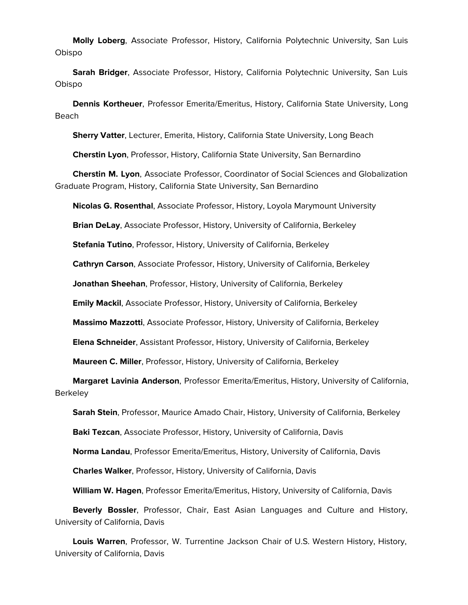**Molly Loberg**, Associate Professor, History, California Polytechnic University, San Luis Obispo

 **Sarah Bridger**, Associate Professor, History, California Polytechnic University, San Luis Obispo

 **Dennis Kortheuer**, Professor Emerita/Emeritus, History, California State University, Long Beach

**Sherry Vatter**, Lecturer, Emerita, History, California State University, Long Beach

**Cherstin Lyon**, Professor, History, California State University, San Bernardino

 **Cherstin M. Lyon**, Associate Professor, Coordinator of Social Sciences and Globalization Graduate Program, History, California State University, San Bernardino

**Nicolas G. Rosenthal**, Associate Professor, History, Loyola Marymount University

**Brian DeLay**, Associate Professor, History, University of California, Berkeley

**Stefania Tutino**, Professor, History, University of California, Berkeley

**Cathryn Carson**, Associate Professor, History, University of California, Berkeley

**Jonathan Sheehan**, Professor, History, University of California, Berkeley

**Emily Mackil**, Associate Professor, History, University of California, Berkeley

**Massimo Mazzotti**, Associate Professor, History, University of California, Berkeley

**Elena Schneider**, Assistant Professor, History, University of California, Berkeley

**Maureen C. Miller**, Professor, History, University of California, Berkeley

 **Margaret Lavinia Anderson**, Professor Emerita/Emeritus, History, University of California, **Berkeley** 

**Sarah Stein**, Professor, Maurice Amado Chair, History, University of California, Berkeley

**Baki Tezcan**, Associate Professor, History, University of California, Davis

**Norma Landau**, Professor Emerita/Emeritus, History, University of California, Davis

**Charles Walker**, Professor, History, University of California, Davis

**William W. Hagen**, Professor Emerita/Emeritus, History, University of California, Davis

 **Beverly Bossler**, Professor, Chair, East Asian Languages and Culture and History, University of California, Davis

 **Louis Warren**, Professor, W. Turrentine Jackson Chair of U.S. Western History, History, University of California, Davis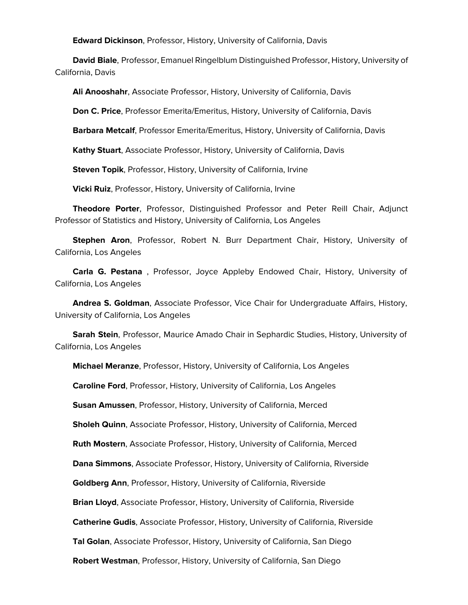**Edward Dickinson**, Professor, History, University of California, Davis

 **David Biale**, Professor, Emanuel Ringelblum Distinguished Professor, History, University of California, Davis

**Ali Anooshahr**, Associate Professor, History, University of California, Davis

**Don C. Price**, Professor Emerita/Emeritus, History, University of California, Davis

**Barbara Metcalf**, Professor Emerita/Emeritus, History, University of California, Davis

**Kathy Stuart**, Associate Professor, History, University of California, Davis

**Steven Topik**, Professor, History, University of California, Irvine

**Vicki Ruiz**, Professor, History, University of California, Irvine

 **Theodore Porter**, Professor, Distinguished Professor and Peter Reill Chair, Adjunct Professor of Statistics and History, University of California, Los Angeles

 **Stephen Aron**, Professor, Robert N. Burr Department Chair, History, University of California, Los Angeles

 **Carla G. Pestana** , Professor, Joyce Appleby Endowed Chair, History, University of California, Los Angeles

 **Andrea S. Goldman**, Associate Professor, Vice Chair for Undergraduate Affairs, History, University of California, Los Angeles

 **Sarah Stein**, Professor, Maurice Amado Chair in Sephardic Studies, History, University of California, Los Angeles

**Michael Meranze**, Professor, History, University of California, Los Angeles

**Caroline Ford**, Professor, History, University of California, Los Angeles

**Susan Amussen**, Professor, History, University of California, Merced

**Sholeh Quinn**, Associate Professor, History, University of California, Merced

**Ruth Mostern**, Associate Professor, History, University of California, Merced

**Dana Simmons**, Associate Professor, History, University of California, Riverside

**Goldberg Ann**, Professor, History, University of California, Riverside

**Brian Lloyd**, Associate Professor, History, University of California, Riverside

**Catherine Gudis**, Associate Professor, History, University of California, Riverside

**Tal Golan**, Associate Professor, History, University of California, San Diego

**Robert Westman**, Professor, History, University of California, San Diego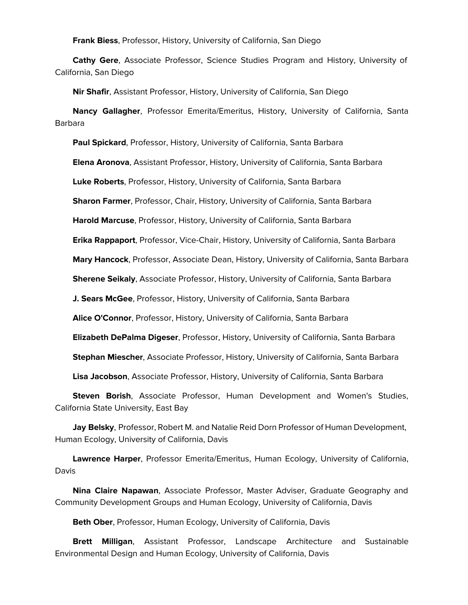**Frank Biess**, Professor, History, University of California, San Diego

 **Cathy Gere**, Associate Professor, Science Studies Program and History, University of California, San Diego

**Nir Shafir**, Assistant Professor, History, University of California, San Diego

 **Nancy Gallagher**, Professor Emerita/Emeritus, History, University of California, Santa Barbara

**Paul Spickard**, Professor, History, University of California, Santa Barbara

**Elena Aronova**, Assistant Professor, History, University of California, Santa Barbara

**Luke Roberts**, Professor, History, University of California, Santa Barbara

**Sharon Farmer**, Professor, Chair, History, University of California, Santa Barbara

**Harold Marcuse**, Professor, History, University of California, Santa Barbara

**Erika Rappaport**, Professor, Vice-Chair, History, University of California, Santa Barbara

**Mary Hancock**, Professor, Associate Dean, History, University of California, Santa Barbara

**Sherene Seikaly**, Associate Professor, History, University of California, Santa Barbara

**J. Sears McGee**, Professor, History, University of California, Santa Barbara

**Alice O'Connor**, Professor, History, University of California, Santa Barbara

**Elizabeth DePalma Digeser**, Professor, History, University of California, Santa Barbara

**Stephan Miescher**, Associate Professor, History, University of California, Santa Barbara

**Lisa Jacobson**, Associate Professor, History, University of California, Santa Barbara

 **Steven Borish**, Associate Professor, Human Development and Women's Studies, California State University, East Bay

 **Jay Belsky**, Professor, Robert M. and Natalie Reid Dorn Professor of Human Development, Human Ecology, University of California, Davis

 **Lawrence Harper**, Professor Emerita/Emeritus, Human Ecology, University of California, Davis

 **Nina Claire Napawan**, Associate Professor, Master Adviser, Graduate Geography and Community Development Groups and Human Ecology, University of California, Davis

**Beth Ober**, Professor, Human Ecology, University of California, Davis

 **Brett Milligan**, Assistant Professor, Landscape Architecture and Sustainable Environmental Design and Human Ecology, University of California, Davis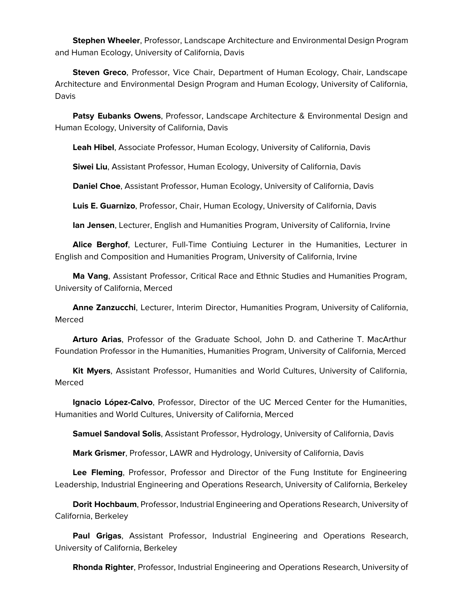**Stephen Wheeler**, Professor, Landscape Architecture and Environmental Design Program and Human Ecology, University of California, Davis

 **Steven Greco**, Professor, Vice Chair, Department of Human Ecology, Chair, Landscape Architecture and Environmental Design Program and Human Ecology, University of California, Davis

 **Patsy Eubanks Owens**, Professor, Landscape Architecture & Environmental Design and Human Ecology, University of California, Davis

**Leah Hibel**, Associate Professor, Human Ecology, University of California, Davis

**Siwei Liu**, Assistant Professor, Human Ecology, University of California, Davis

**Daniel Choe**, Assistant Professor, Human Ecology, University of California, Davis

**Luis E. Guarnizo**, Professor, Chair, Human Ecology, University of California, Davis

**Ian Jensen**, Lecturer, English and Humanities Program, University of California, Irvine

 **Alice Berghof**, Lecturer, Full-Time Contiuing Lecturer in the Humanities, Lecturer in English and Composition and Humanities Program, University of California, Irvine

 **Ma Vang**, Assistant Professor, Critical Race and Ethnic Studies and Humanities Program, University of California, Merced

 **Anne Zanzucchi**, Lecturer, Interim Director, Humanities Program, University of California, Merced

 **Arturo Arias**, Professor of the Graduate School, John D. and Catherine T. MacArthur Foundation Professor in the Humanities, Humanities Program, University of California, Merced

 **Kit Myers**, Assistant Professor, Humanities and World Cultures, University of California, Merced

 **Ignacio López-Calvo**, Professor, Director of the UC Merced Center for the Humanities, Humanities and World Cultures, University of California, Merced

**Samuel Sandoval Solis**, Assistant Professor, Hydrology, University of California, Davis

**Mark Grismer**, Professor, LAWR and Hydrology, University of California, Davis

 **Lee Fleming**, Professor, Professor and Director of the Fung Institute for Engineering Leadership, Industrial Engineering and Operations Research, University of California, Berkeley

 **Dorit Hochbaum**, Professor, Industrial Engineering and Operations Research, University of California, Berkeley

 **Paul Grigas**, Assistant Professor, Industrial Engineering and Operations Research, University of California, Berkeley

**Rhonda Righter**, Professor, Industrial Engineering and Operations Research, University of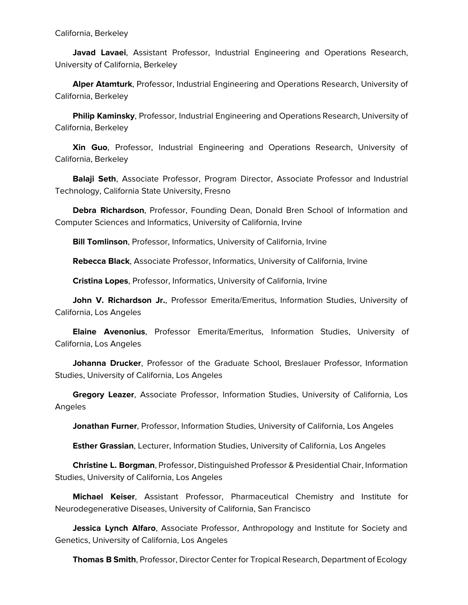**Javad Lavaei**, Assistant Professor, Industrial Engineering and Operations Research, University of California, Berkeley

 **Alper Atamturk**, Professor, Industrial Engineering and Operations Research, University of California, Berkeley

 **Philip Kaminsky**, Professor, Industrial Engineering and Operations Research, University of California, Berkeley

 **Xin Guo**, Professor, Industrial Engineering and Operations Research, University of California, Berkeley

 **Balaji Seth**, Associate Professor, Program Director, Associate Professor and Industrial Technology, California State University, Fresno

 **Debra Richardson**, Professor, Founding Dean, Donald Bren School of Information and Computer Sciences and Informatics, University of California, Irvine

**Bill Tomlinson**, Professor, Informatics, University of California, Irvine

**Rebecca Black**, Associate Professor, Informatics, University of California, Irvine

**Cristina Lopes**, Professor, Informatics, University of California, Irvine

 **John V. Richardson Jr.**, Professor Emerita/Emeritus, Information Studies, University of California, Los Angeles

 **Elaine Avenonius**, Professor Emerita/Emeritus, Information Studies, University of California, Los Angeles

 **Johanna Drucker**, Professor of the Graduate School, Breslauer Professor, Information Studies, University of California, Los Angeles

 **Gregory Leazer**, Associate Professor, Information Studies, University of California, Los Angeles

**Jonathan Furner**, Professor, Information Studies, University of California, Los Angeles

**Esther Grassian**, Lecturer, Information Studies, University of California, Los Angeles

 **Christine L. Borgman**, Professor, Distinguished Professor & Presidential Chair, Information Studies, University of California, Los Angeles

 **Michael Keiser**, Assistant Professor, Pharmaceutical Chemistry and Institute for Neurodegenerative Diseases, University of California, San Francisco

 **Jessica Lynch Alfaro**, Associate Professor, Anthropology and Institute for Society and Genetics, University of California, Los Angeles

**Thomas B Smith**, Professor, Director Center for Tropical Research, Department of Ecology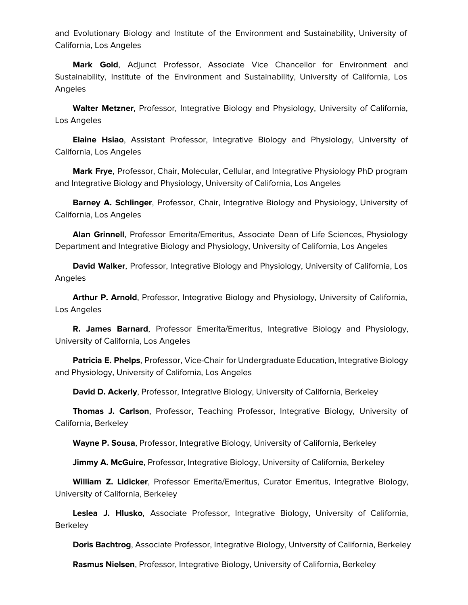and Evolutionary Biology and Institute of the Environment and Sustainability, University of California, Los Angeles

 **Mark Gold**, Adjunct Professor, Associate Vice Chancellor for Environment and Sustainability, Institute of the Environment and Sustainability, University of California, Los Angeles

 **Walter Metzner**, Professor, Integrative Biology and Physiology, University of California, Los Angeles

 **Elaine Hsiao**, Assistant Professor, Integrative Biology and Physiology, University of California, Los Angeles

 **Mark Frye**, Professor, Chair, Molecular, Cellular, and Integrative Physiology PhD program and Integrative Biology and Physiology, University of California, Los Angeles

 **Barney A. Schlinger**, Professor, Chair, Integrative Biology and Physiology, University of California, Los Angeles

 **Alan Grinnell**, Professor Emerita/Emeritus, Associate Dean of Life Sciences, Physiology Department and Integrative Biology and Physiology, University of California, Los Angeles

 **David Walker**, Professor, Integrative Biology and Physiology, University of California, Los Angeles

 **Arthur P. Arnold**, Professor, Integrative Biology and Physiology, University of California, Los Angeles

 **R. James Barnard**, Professor Emerita/Emeritus, Integrative Biology and Physiology, University of California, Los Angeles

 **Patricia E. Phelps**, Professor, Vice-Chair for Undergraduate Education, Integrative Biology and Physiology, University of California, Los Angeles

**David D. Ackerly**, Professor, Integrative Biology, University of California, Berkeley

 **Thomas J. Carlson**, Professor, Teaching Professor, Integrative Biology, University of California, Berkeley

**Wayne P. Sousa**, Professor, Integrative Biology, University of California, Berkeley

**Jimmy A. McGuire**, Professor, Integrative Biology, University of California, Berkeley

 **William Z. Lidicker**, Professor Emerita/Emeritus, Curator Emeritus, Integrative Biology, University of California, Berkeley

 **Leslea J. Hlusko**, Associate Professor, Integrative Biology, University of California, **Berkeley** 

**Doris Bachtrog**, Associate Professor, Integrative Biology, University of California, Berkeley

**Rasmus Nielsen**, Professor, Integrative Biology, University of California, Berkeley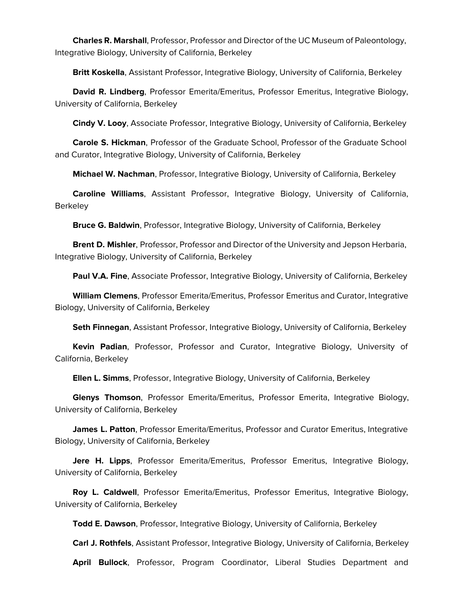**Charles R. Marshall**, Professor, Professor and Director of the UC Museum of Paleontology, Integrative Biology, University of California, Berkeley

**Britt Koskella**, Assistant Professor, Integrative Biology, University of California, Berkeley

 **David R. Lindberg**, Professor Emerita/Emeritus, Professor Emeritus, Integrative Biology, University of California, Berkeley

**Cindy V. Looy**, Associate Professor, Integrative Biology, University of California, Berkeley

 **Carole S. Hickman**, Professor of the Graduate School, Professor of the Graduate School and Curator, Integrative Biology, University of California, Berkeley

**Michael W. Nachman**, Professor, Integrative Biology, University of California, Berkeley

 **Caroline Williams**, Assistant Professor, Integrative Biology, University of California, Berkeley

**Bruce G. Baldwin**, Professor, Integrative Biology, University of California, Berkeley

 **Brent D. Mishler**, Professor, Professor and Director of the University and Jepson Herbaria, Integrative Biology, University of California, Berkeley

**Paul V.A. Fine**, Associate Professor, Integrative Biology, University of California, Berkeley

 **William Clemens**, Professor Emerita/Emeritus, Professor Emeritus and Curator, Integrative Biology, University of California, Berkeley

**Seth Finnegan**, Assistant Professor, Integrative Biology, University of California, Berkeley

 **Kevin Padian**, Professor, Professor and Curator, Integrative Biology, University of California, Berkeley

**Ellen L. Simms**, Professor, Integrative Biology, University of California, Berkeley

 **Glenys Thomson**, Professor Emerita/Emeritus, Professor Emerita, Integrative Biology, University of California, Berkeley

 **James L. Patton**, Professor Emerita/Emeritus, Professor and Curator Emeritus, Integrative Biology, University of California, Berkeley

 **Jere H. Lipps**, Professor Emerita/Emeritus, Professor Emeritus, Integrative Biology, University of California, Berkeley

 **Roy L. Caldwell**, Professor Emerita/Emeritus, Professor Emeritus, Integrative Biology, University of California, Berkeley

**Todd E. Dawson**, Professor, Integrative Biology, University of California, Berkeley

**Carl J. Rothfels**, Assistant Professor, Integrative Biology, University of California, Berkeley

**April Bullock**, Professor, Program Coordinator, Liberal Studies Department and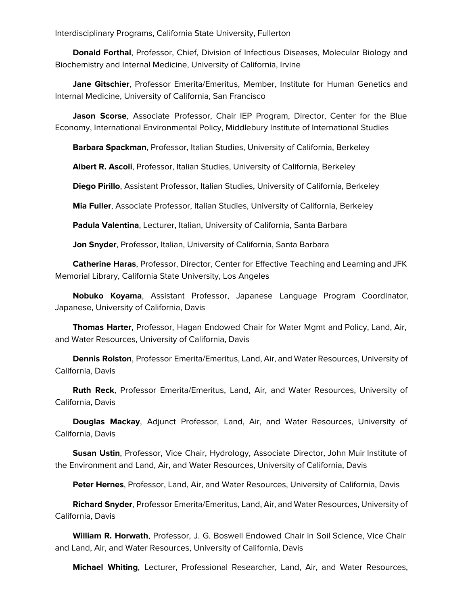Interdisciplinary Programs, California State University, Fullerton

 **Donald Forthal**, Professor, Chief, Division of Infectious Diseases, Molecular Biology and Biochemistry and Internal Medicine, University of California, Irvine

 **Jane Gitschier**, Professor Emerita/Emeritus, Member, Institute for Human Genetics and Internal Medicine, University of California, San Francisco

 **Jason Scorse**, Associate Professor, Chair IEP Program, Director, Center for the Blue Economy, International Environmental Policy, Middlebury Institute of International Studies

**Barbara Spackman**, Professor, Italian Studies, University of California, Berkeley

**Albert R. Ascoli**, Professor, Italian Studies, University of California, Berkeley

**Diego Pirillo**, Assistant Professor, Italian Studies, University of California, Berkeley

**Mia Fuller**, Associate Professor, Italian Studies, University of California, Berkeley

**Padula Valentina**, Lecturer, Italian, University of California, Santa Barbara

**Jon Snyder**, Professor, Italian, University of California, Santa Barbara

 **Catherine Haras**, Professor, Director, Center for Effective Teaching and Learning and JFK Memorial Library, California State University, Los Angeles

 **Nobuko Koyama**, Assistant Professor, Japanese Language Program Coordinator, Japanese, University of California, Davis

 **Thomas Harter**, Professor, Hagan Endowed Chair for Water Mgmt and Policy, Land, Air, and Water Resources, University of California, Davis

 **Dennis Rolston**, Professor Emerita/Emeritus, Land, Air, and Water Resources, University of California, Davis

 **Ruth Reck**, Professor Emerita/Emeritus, Land, Air, and Water Resources, University of California, Davis

 **Douglas Mackay**, Adjunct Professor, Land, Air, and Water Resources, University of California, Davis

 **Susan Ustin**, Professor, Vice Chair, Hydrology, Associate Director, John Muir Institute of the Environment and Land, Air, and Water Resources, University of California, Davis

**Peter Hernes**, Professor, Land, Air, and Water Resources, University of California, Davis

 **Richard Snyder**, Professor Emerita/Emeritus, Land, Air, and Water Resources, University of California, Davis

 **William R. Horwath**, Professor, J. G. Boswell Endowed Chair in Soil Science, Vice Chair and Land, Air, and Water Resources, University of California, Davis

**Michael Whiting**, Lecturer, Professional Researcher, Land, Air, and Water Resources,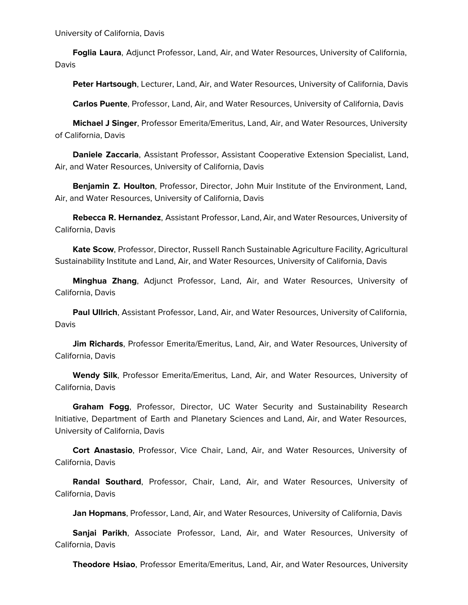University of California, Davis

 **Foglia Laura**, Adjunct Professor, Land, Air, and Water Resources, University of California, Davis

**Peter Hartsough**, Lecturer, Land, Air, and Water Resources, University of California, Davis

**Carlos Puente**, Professor, Land, Air, and Water Resources, University of California, Davis

 **Michael J Singer**, Professor Emerita/Emeritus, Land, Air, and Water Resources, University of California, Davis

 **Daniele Zaccaria**, Assistant Professor, Assistant Cooperative Extension Specialist, Land, Air, and Water Resources, University of California, Davis

 **Benjamin Z. Houlton**, Professor, Director, John Muir Institute of the Environment, Land, Air, and Water Resources, University of California, Davis

 **Rebecca R. Hernandez**, Assistant Professor, Land, Air, and Water Resources, University of California, Davis

 **Kate Scow**, Professor, Director, Russell Ranch Sustainable Agriculture Facility, Agricultural Sustainability Institute and Land, Air, and Water Resources, University of California, Davis

 **Minghua Zhang**, Adjunct Professor, Land, Air, and Water Resources, University of California, Davis

 **Paul Ullrich**, Assistant Professor, Land, Air, and Water Resources, University of California, Davis

 **Jim Richards**, Professor Emerita/Emeritus, Land, Air, and Water Resources, University of California, Davis

 **Wendy Silk**, Professor Emerita/Emeritus, Land, Air, and Water Resources, University of California, Davis

 **Graham Fogg**, Professor, Director, UC Water Security and Sustainability Research Initiative, Department of Earth and Planetary Sciences and Land, Air, and Water Resources, University of California, Davis

 **Cort Anastasio**, Professor, Vice Chair, Land, Air, and Water Resources, University of California, Davis

 **Randal Southard**, Professor, Chair, Land, Air, and Water Resources, University of California, Davis

**Jan Hopmans**, Professor, Land, Air, and Water Resources, University of California, Davis

 **Sanjai Parikh**, Associate Professor, Land, Air, and Water Resources, University of California, Davis

**Theodore Hsiao**, Professor Emerita/Emeritus, Land, Air, and Water Resources, University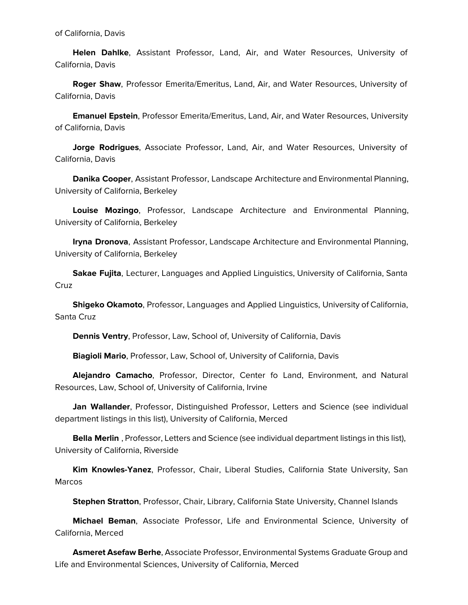**Helen Dahlke**, Assistant Professor, Land, Air, and Water Resources, University of California, Davis

 **Roger Shaw**, Professor Emerita/Emeritus, Land, Air, and Water Resources, University of California, Davis

 **Emanuel Epstein**, Professor Emerita/Emeritus, Land, Air, and Water Resources, University of California, Davis

 **Jorge Rodrigues**, Associate Professor, Land, Air, and Water Resources, University of California, Davis

 **Danika Cooper**, Assistant Professor, Landscape Architecture and Environmental Planning, University of California, Berkeley

 **Louise Mozingo**, Professor, Landscape Architecture and Environmental Planning, University of California, Berkeley

 **Iryna Dronova**, Assistant Professor, Landscape Architecture and Environmental Planning, University of California, Berkeley

 **Sakae Fujita**, Lecturer, Languages and Applied Linguistics, University of California, Santa Cruz

 **Shigeko Okamoto**, Professor, Languages and Applied Linguistics, University of California, Santa Cruz

**Dennis Ventry**, Professor, Law, School of, University of California, Davis

**Biagioli Mario**, Professor, Law, School of, University of California, Davis

 **Alejandro Camacho**, Professor, Director, Center fo Land, Environment, and Natural Resources, Law, School of, University of California, Irvine

 **Jan Wallander**, Professor, Distinguished Professor, Letters and Science (see individual department listings in this list), University of California, Merced

 **Bella Merlin** , Professor, Letters and Science (see individual department listings in this list), University of California, Riverside

 **Kim Knowles-Yanez**, Professor, Chair, Liberal Studies, California State University, San Marcos

**Stephen Stratton**, Professor, Chair, Library, California State University, Channel Islands

 **Michael Beman**, Associate Professor, Life and Environmental Science, University of California, Merced

 **Asmeret Asefaw Berhe**, Associate Professor, Environmental Systems Graduate Group and Life and Environmental Sciences, University of California, Merced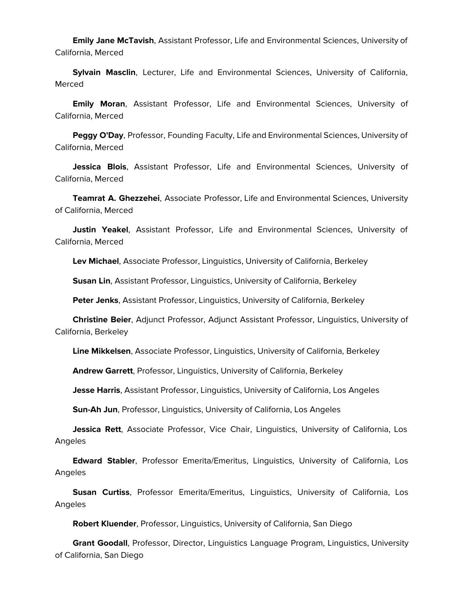**Emily Jane McTavish**, Assistant Professor, Life and Environmental Sciences, University of California, Merced

 **Sylvain Masclin**, Lecturer, Life and Environmental Sciences, University of California, Merced

 **Emily Moran**, Assistant Professor, Life and Environmental Sciences, University of California, Merced

 **Peggy O'Day**, Professor, Founding Faculty, Life and Environmental Sciences, University of California, Merced

 **Jessica Blois**, Assistant Professor, Life and Environmental Sciences, University of California, Merced

 **Teamrat A. Ghezzehei**, Associate Professor, Life and Environmental Sciences, University of California, Merced

 **Justin Yeakel**, Assistant Professor, Life and Environmental Sciences, University of California, Merced

**Lev Michael**, Associate Professor, Linguistics, University of California, Berkeley

**Susan Lin**, Assistant Professor, Linguistics, University of California, Berkeley

**Peter Jenks**, Assistant Professor, Linguistics, University of California, Berkeley

 **Christine Beier**, Adjunct Professor, Adjunct Assistant Professor, Linguistics, University of California, Berkeley

**Line Mikkelsen**, Associate Professor, Linguistics, University of California, Berkeley

**Andrew Garrett**, Professor, Linguistics, University of California, Berkeley

**Jesse Harris**, Assistant Professor, Linguistics, University of California, Los Angeles

**Sun-Ah Jun**, Professor, Linguistics, University of California, Los Angeles

 **Jessica Rett**, Associate Professor, Vice Chair, Linguistics, University of California, Los Angeles

 **Edward Stabler**, Professor Emerita/Emeritus, Linguistics, University of California, Los Angeles

 **Susan Curtiss**, Professor Emerita/Emeritus, Linguistics, University of California, Los Angeles

**Robert Kluender**, Professor, Linguistics, University of California, San Diego

 **Grant Goodall**, Professor, Director, Linguistics Language Program, Linguistics, University of California, San Diego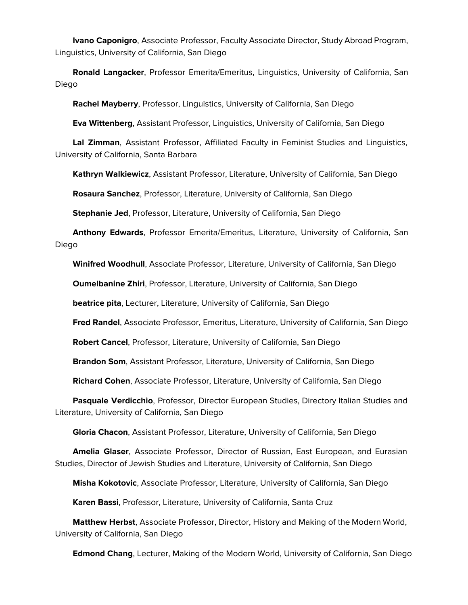**Ivano Caponigro**, Associate Professor, Faculty Associate Director, Study Abroad Program, Linguistics, University of California, San Diego

 **Ronald Langacker**, Professor Emerita/Emeritus, Linguistics, University of California, San Diego

**Rachel Mayberry**, Professor, Linguistics, University of California, San Diego

**Eva Wittenberg**, Assistant Professor, Linguistics, University of California, San Diego

 **Lal Zimman**, Assistant Professor, Affiliated Faculty in Feminist Studies and Linguistics, University of California, Santa Barbara

**Kathryn Walkiewicz**, Assistant Professor, Literature, University of California, San Diego

**Rosaura Sanchez**, Professor, Literature, University of California, San Diego

**Stephanie Jed**, Professor, Literature, University of California, San Diego

 **Anthony Edwards**, Professor Emerita/Emeritus, Literature, University of California, San Diego

**Winifred Woodhull**, Associate Professor, Literature, University of California, San Diego

**Oumelbanine Zhiri**, Professor, Literature, University of California, San Diego

**beatrice pita**, Lecturer, Literature, University of California, San Diego

**Fred Randel**, Associate Professor, Emeritus, Literature, University of California, San Diego

**Robert Cancel**, Professor, Literature, University of California, San Diego

**Brandon Som**, Assistant Professor, Literature, University of California, San Diego

**Richard Cohen**, Associate Professor, Literature, University of California, San Diego

 **Pasquale Verdicchio**, Professor, Director European Studies, Directory Italian Studies and Literature, University of California, San Diego

**Gloria Chacon**, Assistant Professor, Literature, University of California, San Diego

 **Amelia Glaser**, Associate Professor, Director of Russian, East European, and Eurasian Studies, Director of Jewish Studies and Literature, University of California, San Diego

**Misha Kokotovic**, Associate Professor, Literature, University of California, San Diego

**Karen Bassi**, Professor, Literature, University of California, Santa Cruz

 **Matthew Herbst**, Associate Professor, Director, History and Making of the Modern World, University of California, San Diego

**Edmond Chang**, Lecturer, Making of the Modern World, University of California, San Diego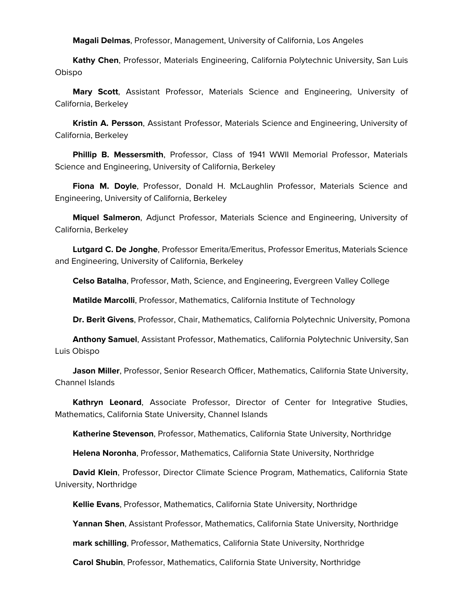**Magali Delmas**, Professor, Management, University of California, Los Angeles

 **Kathy Chen**, Professor, Materials Engineering, California Polytechnic University, San Luis Obispo

 **Mary Scott**, Assistant Professor, Materials Science and Engineering, University of California, Berkeley

 **Kristin A. Persson**, Assistant Professor, Materials Science and Engineering, University of California, Berkeley

 **Phillip B. Messersmith**, Professor, Class of 1941 WWII Memorial Professor, Materials Science and Engineering, University of California, Berkeley

 **Fiona M. Doyle**, Professor, Donald H. McLaughlin Professor, Materials Science and Engineering, University of California, Berkeley

 **Miquel Salmeron**, Adjunct Professor, Materials Science and Engineering, University of California, Berkeley

 **Lutgard C. De Jonghe**, Professor Emerita/Emeritus, Professor Emeritus, Materials Science and Engineering, University of California, Berkeley

**Celso Batalha**, Professor, Math, Science, and Engineering, Evergreen Valley College

**Matilde Marcolli**, Professor, Mathematics, California Institute of Technology

**Dr. Berit Givens**, Professor, Chair, Mathematics, California Polytechnic University, Pomona

 **Anthony Samuel**, Assistant Professor, Mathematics, California Polytechnic University, San Luis Obispo

 **Jason Miller**, Professor, Senior Research Officer, Mathematics, California State University, Channel Islands

 **Kathryn Leonard**, Associate Professor, Director of Center for Integrative Studies, Mathematics, California State University, Channel Islands

**Katherine Stevenson**, Professor, Mathematics, California State University, Northridge

**Helena Noronha**, Professor, Mathematics, California State University, Northridge

 **David Klein**, Professor, Director Climate Science Program, Mathematics, California State University, Northridge

**Kellie Evans**, Professor, Mathematics, California State University, Northridge

**Yannan Shen**, Assistant Professor, Mathematics, California State University, Northridge

**mark schilling**, Professor, Mathematics, California State University, Northridge

**Carol Shubin**, Professor, Mathematics, California State University, Northridge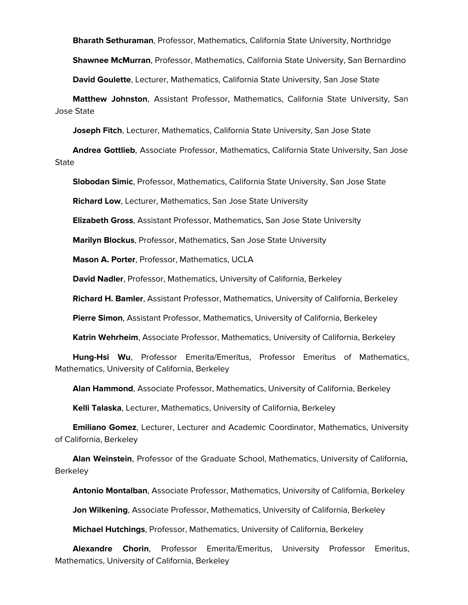**Bharath Sethuraman**, Professor, Mathematics, California State University, Northridge

**Shawnee McMurran**, Professor, Mathematics, California State University, San Bernardino

**David Goulette**, Lecturer, Mathematics, California State University, San Jose State

 **Matthew Johnston**, Assistant Professor, Mathematics, California State University, San Jose State

**Joseph Fitch**, Lecturer, Mathematics, California State University, San Jose State

 **Andrea Gottlieb**, Associate Professor, Mathematics, California State University, San Jose **State** 

**Slobodan Simic**, Professor, Mathematics, California State University, San Jose State

**Richard Low**, Lecturer, Mathematics, San Jose State University

**Elizabeth Gross**, Assistant Professor, Mathematics, San Jose State University

**Marilyn Blockus**, Professor, Mathematics, San Jose State University

**Mason A. Porter**, Professor, Mathematics, UCLA

**David Nadler**, Professor, Mathematics, University of California, Berkeley

**Richard H. Bamler**, Assistant Professor, Mathematics, University of California, Berkeley

**Pierre Simon**, Assistant Professor, Mathematics, University of California, Berkeley

**Katrin Wehrheim**, Associate Professor, Mathematics, University of California, Berkeley

 **Hung-Hsi Wu**, Professor Emerita/Emeritus, Professor Emeritus of Mathematics, Mathematics, University of California, Berkeley

**Alan Hammond**, Associate Professor, Mathematics, University of California, Berkeley

**Kelli Talaska**, Lecturer, Mathematics, University of California, Berkeley

 **Emiliano Gomez**, Lecturer, Lecturer and Academic Coordinator, Mathematics, University of California, Berkeley

 **Alan Weinstein**, Professor of the Graduate School, Mathematics, University of California, **Berkeley** 

**Antonio Montalban**, Associate Professor, Mathematics, University of California, Berkeley

**Jon Wilkening**, Associate Professor, Mathematics, University of California, Berkeley

**Michael Hutchings**, Professor, Mathematics, University of California, Berkeley

 **Alexandre Chorin**, Professor Emerita/Emeritus, University Professor Emeritus, Mathematics, University of California, Berkeley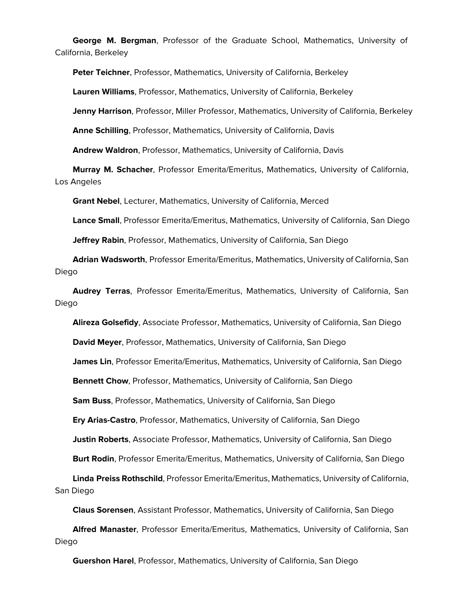**George M. Bergman**, Professor of the Graduate School, Mathematics, University of California, Berkeley

**Peter Teichner**, Professor, Mathematics, University of California, Berkeley

**Lauren Williams**, Professor, Mathematics, University of California, Berkeley

**Jenny Harrison**, Professor, Miller Professor, Mathematics, University of California, Berkeley

**Anne Schilling**, Professor, Mathematics, University of California, Davis

**Andrew Waldron**, Professor, Mathematics, University of California, Davis

 **Murray M. Schacher**, Professor Emerita/Emeritus, Mathematics, University of California, Los Angeles

**Grant Nebel**, Lecturer, Mathematics, University of California, Merced

**Lance Small**, Professor Emerita/Emeritus, Mathematics, University of California, San Diego

**Jeffrey Rabin**, Professor, Mathematics, University of California, San Diego

 **Adrian Wadsworth**, Professor Emerita/Emeritus, Mathematics, University of California, San Diego

 **Audrey Terras**, Professor Emerita/Emeritus, Mathematics, University of California, San Diego

**Alireza Golsefidy**, Associate Professor, Mathematics, University of California, San Diego

**David Meyer**, Professor, Mathematics, University of California, San Diego

**James Lin**, Professor Emerita/Emeritus, Mathematics, University of California, San Diego

**Bennett Chow**, Professor, Mathematics, University of California, San Diego

**Sam Buss**, Professor, Mathematics, University of California, San Diego

**Ery Arias-Castro**, Professor, Mathematics, University of California, San Diego

**Justin Roberts**, Associate Professor, Mathematics, University of California, San Diego

**Burt Rodin**, Professor Emerita/Emeritus, Mathematics, University of California, San Diego

 **Linda Preiss Rothschild**, Professor Emerita/Emeritus, Mathematics, University of California, San Diego

**Claus Sorensen**, Assistant Professor, Mathematics, University of California, San Diego

 **Alfred Manaster**, Professor Emerita/Emeritus, Mathematics, University of California, San Diego

**Guershon Harel**, Professor, Mathematics, University of California, San Diego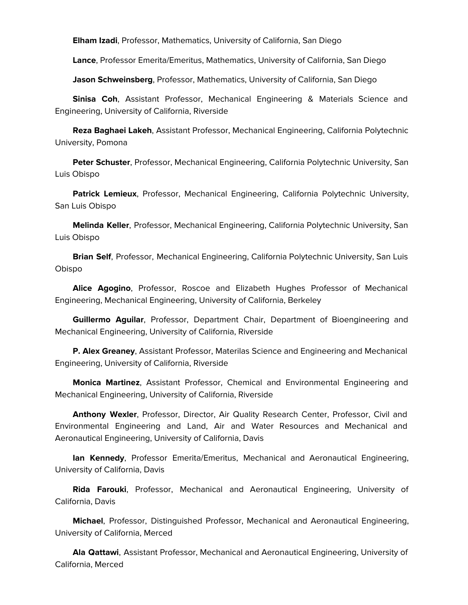**Elham Izadi**, Professor, Mathematics, University of California, San Diego

**Lance**, Professor Emerita/Emeritus, Mathematics, University of California, San Diego

**Jason Schweinsberg**, Professor, Mathematics, University of California, San Diego

 **Sinisa Coh**, Assistant Professor, Mechanical Engineering & Materials Science and Engineering, University of California, Riverside

 **Reza Baghaei Lakeh**, Assistant Professor, Mechanical Engineering, California Polytechnic University, Pomona

 **Peter Schuster**, Professor, Mechanical Engineering, California Polytechnic University, San Luis Obispo

 **Patrick Lemieux**, Professor, Mechanical Engineering, California Polytechnic University, San Luis Obispo

 **Melinda Keller**, Professor, Mechanical Engineering, California Polytechnic University, San Luis Obispo

 **Brian Self**, Professor, Mechanical Engineering, California Polytechnic University, San Luis Obispo

 **Alice Agogino**, Professor, Roscoe and Elizabeth Hughes Professor of Mechanical Engineering, Mechanical Engineering, University of California, Berkeley

 **Guillermo Aguilar**, Professor, Department Chair, Department of Bioengineering and Mechanical Engineering, University of California, Riverside

 **P. Alex Greaney**, Assistant Professor, Materilas Science and Engineering and Mechanical Engineering, University of California, Riverside

 **Monica Martinez**, Assistant Professor, Chemical and Environmental Engineering and Mechanical Engineering, University of California, Riverside

 **Anthony Wexler**, Professor, Director, Air Quality Research Center, Professor, Civil and Environmental Engineering and Land, Air and Water Resources and Mechanical and Aeronautical Engineering, University of California, Davis

 **Ian Kennedy**, Professor Emerita/Emeritus, Mechanical and Aeronautical Engineering, University of California, Davis

 **Rida Farouki**, Professor, Mechanical and Aeronautical Engineering, University of California, Davis

 **Michael**, Professor, Distinguished Professor, Mechanical and Aeronautical Engineering, University of California, Merced

 **Ala Qattawi**, Assistant Professor, Mechanical and Aeronautical Engineering, University of California, Merced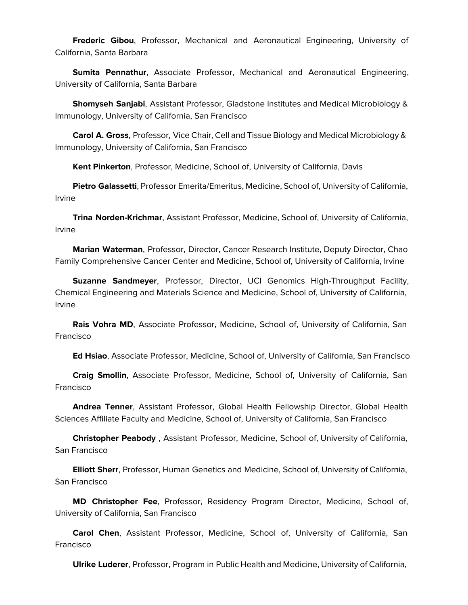**Frederic Gibou**, Professor, Mechanical and Aeronautical Engineering, University of California, Santa Barbara

 **Sumita Pennathur**, Associate Professor, Mechanical and Aeronautical Engineering, University of California, Santa Barbara

 **Shomyseh Sanjabi**, Assistant Professor, Gladstone Institutes and Medical Microbiology & Immunology, University of California, San Francisco

 **Carol A. Gross**, Professor, Vice Chair, Cell and Tissue Biology and Medical Microbiology & Immunology, University of California, San Francisco

**Kent Pinkerton**, Professor, Medicine, School of, University of California, Davis

 **Pietro Galassetti**, Professor Emerita/Emeritus, Medicine, School of, University of California, Irvine

 **Trina Norden-Krichmar**, Assistant Professor, Medicine, School of, University of California, Irvine

 **Marian Waterman**, Professor, Director, Cancer Research Institute, Deputy Director, Chao Family Comprehensive Cancer Center and Medicine, School of, University of California, Irvine

 **Suzanne Sandmeyer**, Professor, Director, UCI Genomics High-Throughput Facility, Chemical Engineering and Materials Science and Medicine, School of, University of California, Irvine

 **Rais Vohra MD**, Associate Professor, Medicine, School of, University of California, San Francisco

**Ed Hsiao**, Associate Professor, Medicine, School of, University of California, San Francisco

 **Craig Smollin**, Associate Professor, Medicine, School of, University of California, San Francisco

 **Andrea Tenner**, Assistant Professor, Global Health Fellowship Director, Global Health Sciences Affiliate Faculty and Medicine, School of, University of California, San Francisco

 **Christopher Peabody** , Assistant Professor, Medicine, School of, University of California, San Francisco

 **Elliott Sherr**, Professor, Human Genetics and Medicine, School of, University of California, San Francisco

 **MD Christopher Fee**, Professor, Residency Program Director, Medicine, School of, University of California, San Francisco

 **Carol Chen**, Assistant Professor, Medicine, School of, University of California, San Francisco

**Ulrike Luderer**, Professor, Program in Public Health and Medicine, University of California,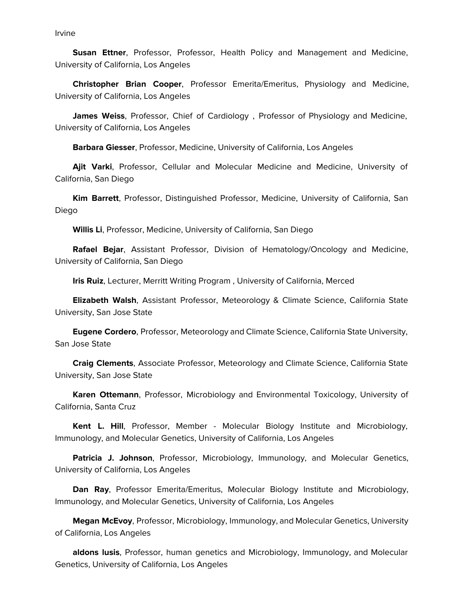Irvine

 **Susan Ettner**, Professor, Professor, Health Policy and Management and Medicine, University of California, Los Angeles

 **Christopher Brian Cooper**, Professor Emerita/Emeritus, Physiology and Medicine, University of California, Los Angeles

 **James Weiss**, Professor, Chief of Cardiology , Professor of Physiology and Medicine, University of California, Los Angeles

**Barbara Giesser**, Professor, Medicine, University of California, Los Angeles

 **Ajit Varki**, Professor, Cellular and Molecular Medicine and Medicine, University of California, San Diego

 **Kim Barrett**, Professor, Distinguished Professor, Medicine, University of California, San Diego

**Willis Li**, Professor, Medicine, University of California, San Diego

 **Rafael Bejar**, Assistant Professor, Division of Hematology/Oncology and Medicine, University of California, San Diego

**Iris Ruiz**, Lecturer, Merritt Writing Program , University of California, Merced

 **Elizabeth Walsh**, Assistant Professor, Meteorology & Climate Science, California State University, San Jose State

 **Eugene Cordero**, Professor, Meteorology and Climate Science, California State University, San Jose State

 **Craig Clements**, Associate Professor, Meteorology and Climate Science, California State University, San Jose State

 **Karen Ottemann**, Professor, Microbiology and Environmental Toxicology, University of California, Santa Cruz

 **Kent L. Hill**, Professor, Member - Molecular Biology Institute and Microbiology, Immunology, and Molecular Genetics, University of California, Los Angeles

 **Patricia J. Johnson**, Professor, Microbiology, Immunology, and Molecular Genetics, University of California, Los Angeles

 **Dan Ray**, Professor Emerita/Emeritus, Molecular Biology Institute and Microbiology, Immunology, and Molecular Genetics, University of California, Los Angeles

 **Megan McEvoy**, Professor, Microbiology, Immunology, and Molecular Genetics, University of California, Los Angeles

 **aldons lusis**, Professor, human genetics and Microbiology, Immunology, and Molecular Genetics, University of California, Los Angeles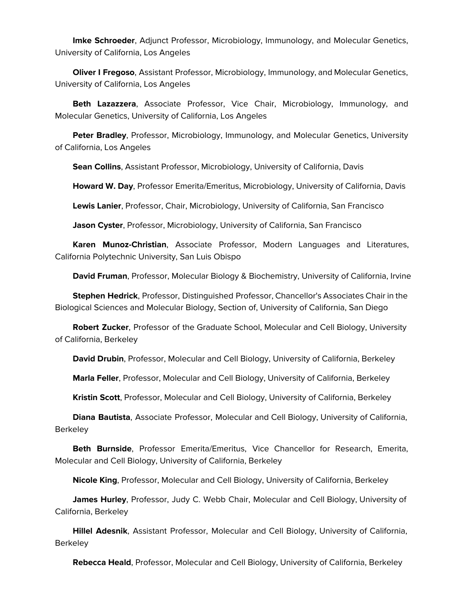**Imke Schroeder**, Adjunct Professor, Microbiology, Immunology, and Molecular Genetics, University of California, Los Angeles

 **Oliver I Fregoso**, Assistant Professor, Microbiology, Immunology, and Molecular Genetics, University of California, Los Angeles

 **Beth Lazazzera**, Associate Professor, Vice Chair, Microbiology, Immunology, and Molecular Genetics, University of California, Los Angeles

 **Peter Bradley**, Professor, Microbiology, Immunology, and Molecular Genetics, University of California, Los Angeles

**Sean Collins**, Assistant Professor, Microbiology, University of California, Davis

**Howard W. Day**, Professor Emerita/Emeritus, Microbiology, University of California, Davis

**Lewis Lanier**, Professor, Chair, Microbiology, University of California, San Francisco

**Jason Cyster**, Professor, Microbiology, University of California, San Francisco

 **Karen Munoz-Christian**, Associate Professor, Modern Languages and Literatures, California Polytechnic University, San Luis Obispo

**David Fruman**, Professor, Molecular Biology & Biochemistry, University of California, Irvine

 **Stephen Hedrick**, Professor, Distinguished Professor, Chancellor's Associates Chair in the Biological Sciences and Molecular Biology, Section of, University of California, San Diego

 **Robert Zucker**, Professor of the Graduate School, Molecular and Cell Biology, University of California, Berkeley

**David Drubin**, Professor, Molecular and Cell Biology, University of California, Berkeley

**Marla Feller**, Professor, Molecular and Cell Biology, University of California, Berkeley

**Kristin Scott**, Professor, Molecular and Cell Biology, University of California, Berkeley

 **Diana Bautista**, Associate Professor, Molecular and Cell Biology, University of California, Berkeley

 **Beth Burnside**, Professor Emerita/Emeritus, Vice Chancellor for Research, Emerita, Molecular and Cell Biology, University of California, Berkeley

**Nicole King**, Professor, Molecular and Cell Biology, University of California, Berkeley

 **James Hurley**, Professor, Judy C. Webb Chair, Molecular and Cell Biology, University of California, Berkeley

 **Hillel Adesnik**, Assistant Professor, Molecular and Cell Biology, University of California, **Berkeley** 

**Rebecca Heald**, Professor, Molecular and Cell Biology, University of California, Berkeley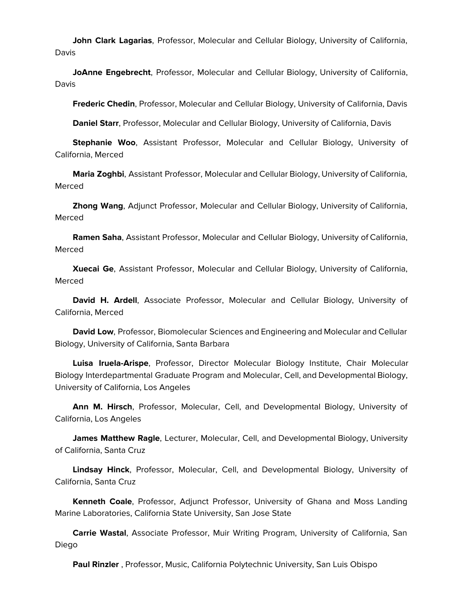**John Clark Lagarias**, Professor, Molecular and Cellular Biology, University of California, Davis

 **JoAnne Engebrecht**, Professor, Molecular and Cellular Biology, University of California, Davis

**Frederic Chedin**, Professor, Molecular and Cellular Biology, University of California, Davis

**Daniel Starr**, Professor, Molecular and Cellular Biology, University of California, Davis

 **Stephanie Woo**, Assistant Professor, Molecular and Cellular Biology, University of California, Merced

 **Maria Zoghbi**, Assistant Professor, Molecular and Cellular Biology, University of California, Merced

 **Zhong Wang**, Adjunct Professor, Molecular and Cellular Biology, University of California, Merced

 **Ramen Saha**, Assistant Professor, Molecular and Cellular Biology, University of California, Merced

 **Xuecai Ge**, Assistant Professor, Molecular and Cellular Biology, University of California, Merced

 **David H. Ardell**, Associate Professor, Molecular and Cellular Biology, University of California, Merced

 **David Low**, Professor, Biomolecular Sciences and Engineering and Molecular and Cellular Biology, University of California, Santa Barbara

 **Luisa Iruela-Arispe**, Professor, Director Molecular Biology Institute, Chair Molecular Biology Interdepartmental Graduate Program and Molecular, Cell, and Developmental Biology, University of California, Los Angeles

 **Ann M. Hirsch**, Professor, Molecular, Cell, and Developmental Biology, University of California, Los Angeles

 **James Matthew Ragle**, Lecturer, Molecular, Cell, and Developmental Biology, University of California, Santa Cruz

 **Lindsay Hinck**, Professor, Molecular, Cell, and Developmental Biology, University of California, Santa Cruz

 **Kenneth Coale**, Professor, Adjunct Professor, University of Ghana and Moss Landing Marine Laboratories, California State University, San Jose State

 **Carrie Wastal**, Associate Professor, Muir Writing Program, University of California, San Diego

**Paul Rinzler** , Professor, Music, California Polytechnic University, San Luis Obispo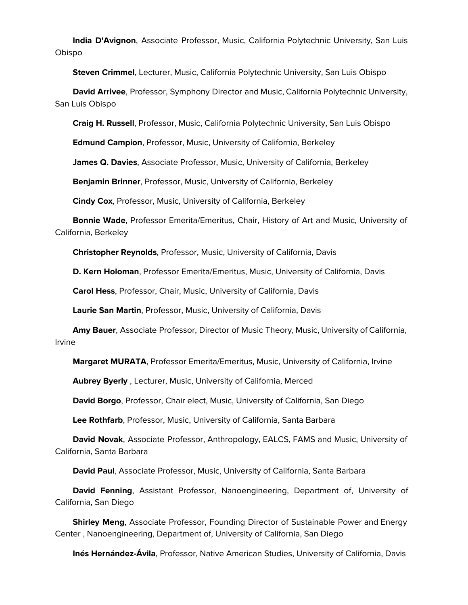**India D'Avignon**, Associate Professor, Music, California Polytechnic University, San Luis Obispo

**Steven Crimmel**, Lecturer, Music, California Polytechnic University, San Luis Obispo

 **David Arrivee**, Professor, Symphony Director and Music, California Polytechnic University, San Luis Obispo

**Craig H. Russell**, Professor, Music, California Polytechnic University, San Luis Obispo

**Edmund Campion**, Professor, Music, University of California, Berkeley

**James Q. Davies**, Associate Professor, Music, University of California, Berkeley

**Benjamin Brinner**, Professor, Music, University of California, Berkeley

**Cindy Cox**, Professor, Music, University of California, Berkeley

 **Bonnie Wade**, Professor Emerita/Emeritus, Chair, History of Art and Music, University of California, Berkeley

**Christopher Reynolds**, Professor, Music, University of California, Davis

**D. Kern Holoman**, Professor Emerita/Emeritus, Music, University of California, Davis

**Carol Hess**, Professor, Chair, Music, University of California, Davis

**Laurie San Martin**, Professor, Music, University of California, Davis

 **Amy Bauer**, Associate Professor, Director of Music Theory, Music, University of California, Irvine

**Margaret MURATA**, Professor Emerita/Emeritus, Music, University of California, Irvine

**Aubrey Byerly** , Lecturer, Music, University of California, Merced

**David Borgo**, Professor, Chair elect, Music, University of California, San Diego

**Lee Rothfarb**, Professor, Music, University of California, Santa Barbara

 **David Novak**, Associate Professor, Anthropology, EALCS, FAMS and Music, University of California, Santa Barbara

**David Paul**, Associate Professor, Music, University of California, Santa Barbara

 **David Fenning**, Assistant Professor, Nanoengineering, Department of, University of California, San Diego

 **Shirley Meng**, Associate Professor, Founding Director of Sustainable Power and Energy Center , Nanoengineering, Department of, University of California, San Diego

**Inés Hernández-Ávila**, Professor, Native American Studies, University of California, Davis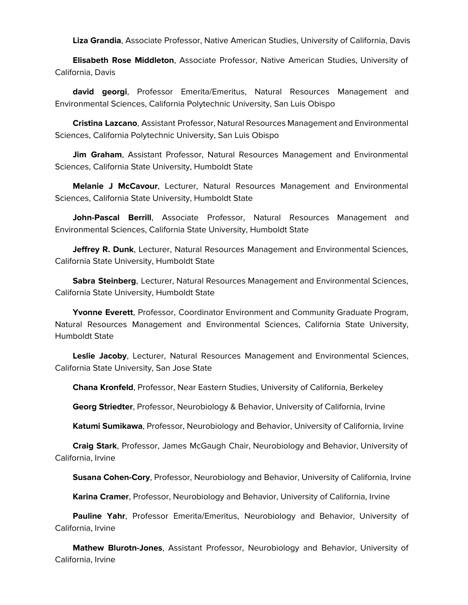**Liza Grandia**, Associate Professor, Native American Studies, University of California, Davis

 **Elisabeth Rose Middleton**, Associate Professor, Native American Studies, University of California, Davis

 **david georgi**, Professor Emerita/Emeritus, Natural Resources Management and Environmental Sciences, California Polytechnic University, San Luis Obispo

 **Cristina Lazcano**, Assistant Professor, Natural Resources Management and Environmental Sciences, California Polytechnic University, San Luis Obispo

 **Jim Graham**, Assistant Professor, Natural Resources Management and Environmental Sciences, California State University, Humboldt State

 **Melanie J McCavour**, Lecturer, Natural Resources Management and Environmental Sciences, California State University, Humboldt State

 **John-Pascal Berrill**, Associate Professor, Natural Resources Management and Environmental Sciences, California State University, Humboldt State

 **Jeffrey R. Dunk**, Lecturer, Natural Resources Management and Environmental Sciences, California State University, Humboldt State

 **Sabra Steinberg**, Lecturer, Natural Resources Management and Environmental Sciences, California State University, Humboldt State

 **Yvonne Everett**, Professor, Coordinator Environment and Community Graduate Program, Natural Resources Management and Environmental Sciences, California State University, Humboldt State

 **Leslie Jacoby**, Lecturer, Natural Resources Management and Environmental Sciences, California State University, San Jose State

**Chana Kronfeld**, Professor, Near Eastern Studies, University of California, Berkeley

**Georg Striedter**, Professor, Neurobiology & Behavior, University of California, Irvine

**Katumi Sumikawa**, Professor, Neurobiology and Behavior, University of California, Irvine

 **Craig Stark**, Professor, James McGaugh Chair, Neurobiology and Behavior, University of California, Irvine

**Susana Cohen-Cory**, Professor, Neurobiology and Behavior, University of California, Irvine

**Karina Cramer**, Professor, Neurobiology and Behavior, University of California, Irvine

 **Pauline Yahr**, Professor Emerita/Emeritus, Neurobiology and Behavior, University of California, Irvine

 **Mathew Blurotn-Jones**, Assistant Professor, Neurobiology and Behavior, University of California, Irvine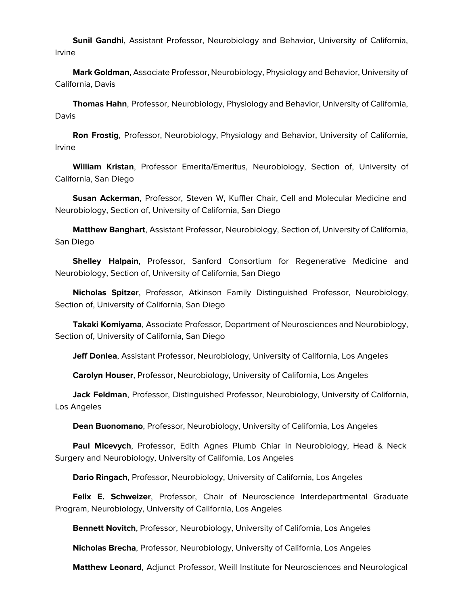**Sunil Gandhi**, Assistant Professor, Neurobiology and Behavior, University of California, Irvine

 **Mark Goldman**, Associate Professor, Neurobiology, Physiology and Behavior, University of California, Davis

 **Thomas Hahn**, Professor, Neurobiology, Physiology and Behavior, University of California, Davis

 **Ron Frostig**, Professor, Neurobiology, Physiology and Behavior, University of California, Irvine

 **William Kristan**, Professor Emerita/Emeritus, Neurobiology, Section of, University of California, San Diego

 **Susan Ackerman**, Professor, Steven W, Kuffler Chair, Cell and Molecular Medicine and Neurobiology, Section of, University of California, San Diego

 **Matthew Banghart**, Assistant Professor, Neurobiology, Section of, University of California, San Diego

 **Shelley Halpain**, Professor, Sanford Consortium for Regenerative Medicine and Neurobiology, Section of, University of California, San Diego

 **Nicholas Spitzer**, Professor, Atkinson Family Distinguished Professor, Neurobiology, Section of, University of California, San Diego

 **Takaki Komiyama**, Associate Professor, Department of Neurosciences and Neurobiology, Section of, University of California, San Diego

**Jeff Donlea**, Assistant Professor, Neurobiology, University of California, Los Angeles

**Carolyn Houser**, Professor, Neurobiology, University of California, Los Angeles

 **Jack Feldman**, Professor, Distinguished Professor, Neurobiology, University of California, Los Angeles

**Dean Buonomano**, Professor, Neurobiology, University of California, Los Angeles

 **Paul Micevych**, Professor, Edith Agnes Plumb Chiar in Neurobiology, Head & Neck Surgery and Neurobiology, University of California, Los Angeles

**Dario Ringach**, Professor, Neurobiology, University of California, Los Angeles

 **Felix E. Schweizer**, Professor, Chair of Neuroscience Interdepartmental Graduate Program, Neurobiology, University of California, Los Angeles

**Bennett Novitch**, Professor, Neurobiology, University of California, Los Angeles

**Nicholas Brecha**, Professor, Neurobiology, University of California, Los Angeles

**Matthew Leonard**, Adjunct Professor, Weill Institute for Neurosciences and Neurological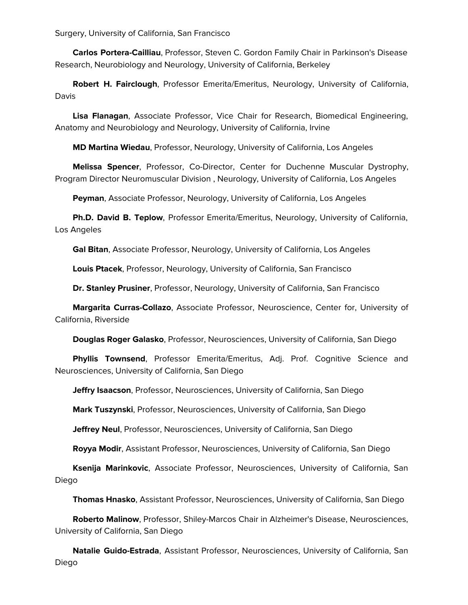Surgery, University of California, San Francisco

 **Carlos Portera-Cailliau**, Professor, Steven C. Gordon Family Chair in Parkinson's Disease Research, Neurobiology and Neurology, University of California, Berkeley

 **Robert H. Fairclough**, Professor Emerita/Emeritus, Neurology, University of California, Davis

 **Lisa Flanagan**, Associate Professor, Vice Chair for Research, Biomedical Engineering, Anatomy and Neurobiology and Neurology, University of California, Irvine

**MD Martina Wiedau**, Professor, Neurology, University of California, Los Angeles

 **Melissa Spencer**, Professor, Co-Director, Center for Duchenne Muscular Dystrophy, Program Director Neuromuscular Division , Neurology, University of California, Los Angeles

**Peyman**, Associate Professor, Neurology, University of California, Los Angeles

 **Ph.D. David B. Teplow**, Professor Emerita/Emeritus, Neurology, University of California, Los Angeles

**Gal Bitan**, Associate Professor, Neurology, University of California, Los Angeles

**Louis Ptacek**, Professor, Neurology, University of California, San Francisco

**Dr. Stanley Prusiner**, Professor, Neurology, University of California, San Francisco

 **Margarita Curras-Collazo**, Associate Professor, Neuroscience, Center for, University of California, Riverside

**Douglas Roger Galasko**, Professor, Neurosciences, University of California, San Diego

 **Phyllis Townsend**, Professor Emerita/Emeritus, Adj. Prof. Cognitive Science and Neurosciences, University of California, San Diego

**Jeffry Isaacson**, Professor, Neurosciences, University of California, San Diego

**Mark Tuszynski**, Professor, Neurosciences, University of California, San Diego

**Jeffrey Neul**, Professor, Neurosciences, University of California, San Diego

**Royya Modir**, Assistant Professor, Neurosciences, University of California, San Diego

 **Ksenija Marinkovic**, Associate Professor, Neurosciences, University of California, San Diego

**Thomas Hnasko**, Assistant Professor, Neurosciences, University of California, San Diego

 **Roberto Malinow**, Professor, Shiley-Marcos Chair in Alzheimer's Disease, Neurosciences, University of California, San Diego

 **Natalie Guido-Estrada**, Assistant Professor, Neurosciences, University of California, San Diego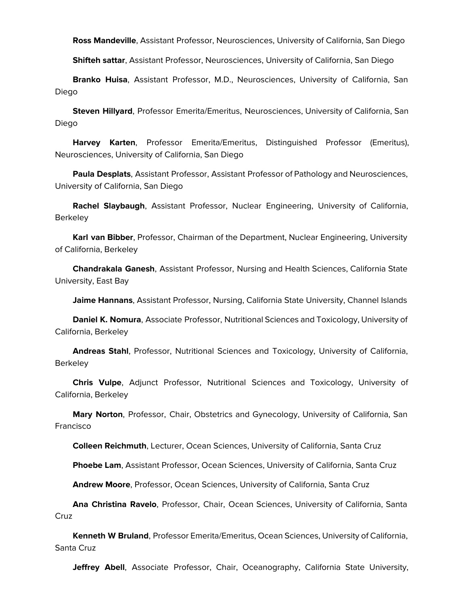**Ross Mandeville**, Assistant Professor, Neurosciences, University of California, San Diego

**Shifteh sattar**, Assistant Professor, Neurosciences, University of California, San Diego

 **Branko Huisa**, Assistant Professor, M.D., Neurosciences, University of California, San Diego

 **Steven Hillyard**, Professor Emerita/Emeritus, Neurosciences, University of California, San Diego

 **Harvey Karten**, Professor Emerita/Emeritus, Distinguished Professor (Emeritus), Neurosciences, University of California, San Diego

 **Paula Desplats**, Assistant Professor, Assistant Professor of Pathology and Neurosciences, University of California, San Diego

 **Rachel Slaybaugh**, Assistant Professor, Nuclear Engineering, University of California, **Berkeley** 

 **Karl van Bibber**, Professor, Chairman of the Department, Nuclear Engineering, University of California, Berkeley

 **Chandrakala Ganesh**, Assistant Professor, Nursing and Health Sciences, California State University, East Bay

**Jaime Hannans**, Assistant Professor, Nursing, California State University, Channel Islands

 **Daniel K. Nomura**, Associate Professor, Nutritional Sciences and Toxicology, University of California, Berkeley

 **Andreas Stahl**, Professor, Nutritional Sciences and Toxicology, University of California, **Berkeley** 

 **Chris Vulpe**, Adjunct Professor, Nutritional Sciences and Toxicology, University of California, Berkeley

 **Mary Norton**, Professor, Chair, Obstetrics and Gynecology, University of California, San Francisco

**Colleen Reichmuth**, Lecturer, Ocean Sciences, University of California, Santa Cruz

**Phoebe Lam**, Assistant Professor, Ocean Sciences, University of California, Santa Cruz

**Andrew Moore**, Professor, Ocean Sciences, University of California, Santa Cruz

 **Ana Christina Ravelo**, Professor, Chair, Ocean Sciences, University of California, Santa Cruz

 **Kenneth W Bruland**, Professor Emerita/Emeritus, Ocean Sciences, University of California, Santa Cruz

**Jeffrey Abell**, Associate Professor, Chair, Oceanography, California State University,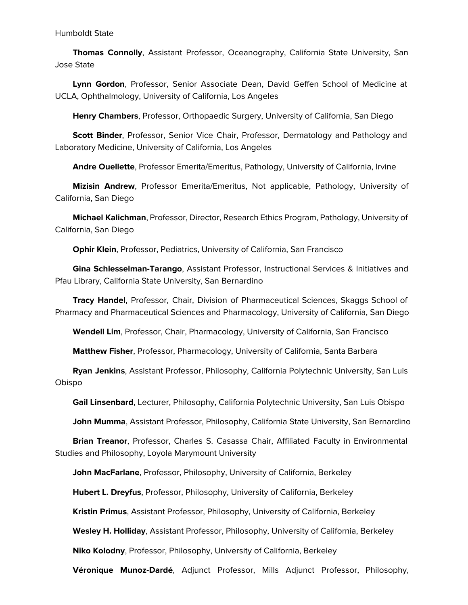## Humboldt State

 **Thomas Connolly**, Assistant Professor, Oceanography, California State University, San Jose State

 **Lynn Gordon**, Professor, Senior Associate Dean, David Geffen School of Medicine at UCLA, Ophthalmology, University of California, Los Angeles

**Henry Chambers**, Professor, Orthopaedic Surgery, University of California, San Diego

 **Scott Binder**, Professor, Senior Vice Chair, Professor, Dermatology and Pathology and Laboratory Medicine, University of California, Los Angeles

**Andre Ouellette**, Professor Emerita/Emeritus, Pathology, University of California, Irvine

 **Mizisin Andrew**, Professor Emerita/Emeritus, Not applicable, Pathology, University of California, San Diego

 **Michael Kalichman**, Professor, Director, Research Ethics Program, Pathology, University of California, San Diego

**Ophir Klein**, Professor, Pediatrics, University of California, San Francisco

 **Gina Schlesselman-Tarango**, Assistant Professor, Instructional Services & Initiatives and Pfau Library, California State University, San Bernardino

 **Tracy Handel**, Professor, Chair, Division of Pharmaceutical Sciences, Skaggs School of Pharmacy and Pharmaceutical Sciences and Pharmacology, University of California, San Diego

**Wendell Lim**, Professor, Chair, Pharmacology, University of California, San Francisco

**Matthew Fisher**, Professor, Pharmacology, University of California, Santa Barbara

 **Ryan Jenkins**, Assistant Professor, Philosophy, California Polytechnic University, San Luis Obispo

**Gail Linsenbard**, Lecturer, Philosophy, California Polytechnic University, San Luis Obispo

**John Mumma**, Assistant Professor, Philosophy, California State University, San Bernardino

 **Brian Treanor**, Professor, Charles S. Casassa Chair, Affiliated Faculty in Environmental Studies and Philosophy, Loyola Marymount University

**John MacFarlane**, Professor, Philosophy, University of California, Berkeley

**Hubert L. Dreyfus**, Professor, Philosophy, University of California, Berkeley

**Kristin Primus**, Assistant Professor, Philosophy, University of California, Berkeley

**Wesley H. Holliday**, Assistant Professor, Philosophy, University of California, Berkeley

**Niko Kolodny**, Professor, Philosophy, University of California, Berkeley

**Véronique Munoz-Dardé**, Adjunct Professor, Mills Adjunct Professor, Philosophy,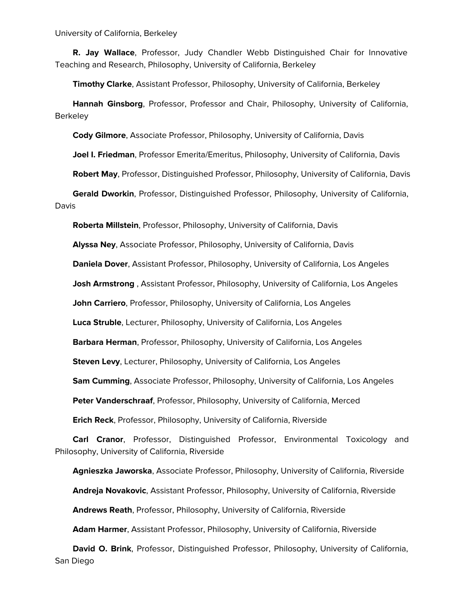University of California, Berkeley

 **R. Jay Wallace**, Professor, Judy Chandler Webb Distinguished Chair for Innovative Teaching and Research, Philosophy, University of California, Berkeley

**Timothy Clarke**, Assistant Professor, Philosophy, University of California, Berkeley

 **Hannah Ginsborg**, Professor, Professor and Chair, Philosophy, University of California, **Berkeley** 

**Cody Gilmore**, Associate Professor, Philosophy, University of California, Davis

**Joel I. Friedman**, Professor Emerita/Emeritus, Philosophy, University of California, Davis

**Robert May**, Professor, Distinguished Professor, Philosophy, University of California, Davis

 **Gerald Dworkin**, Professor, Distinguished Professor, Philosophy, University of California, Davis

**Roberta Millstein**, Professor, Philosophy, University of California, Davis

**Alyssa Ney**, Associate Professor, Philosophy, University of California, Davis

**Daniela Dover**, Assistant Professor, Philosophy, University of California, Los Angeles

**Josh Armstrong** , Assistant Professor, Philosophy, University of California, Los Angeles

**John Carriero**, Professor, Philosophy, University of California, Los Angeles

**Luca Struble**, Lecturer, Philosophy, University of California, Los Angeles

**Barbara Herman**, Professor, Philosophy, University of California, Los Angeles

**Steven Levy**, Lecturer, Philosophy, University of California, Los Angeles

**Sam Cumming**, Associate Professor, Philosophy, University of California, Los Angeles

**Peter Vanderschraaf**, Professor, Philosophy, University of California, Merced

**Erich Reck**, Professor, Philosophy, University of California, Riverside

 **Carl Cranor**, Professor, Distinguished Professor, Environmental Toxicology and Philosophy, University of California, Riverside

**Agnieszka Jaworska**, Associate Professor, Philosophy, University of California, Riverside

**Andreja Novakovic**, Assistant Professor, Philosophy, University of California, Riverside

**Andrews Reath**, Professor, Philosophy, University of California, Riverside

**Adam Harmer**, Assistant Professor, Philosophy, University of California, Riverside

 **David O. Brink**, Professor, Distinguished Professor, Philosophy, University of California, San Diego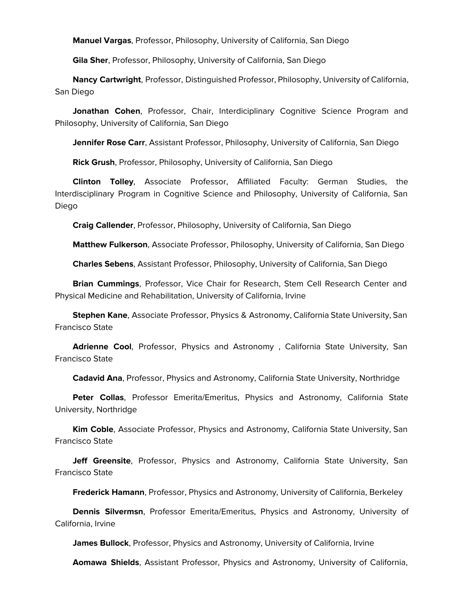**Manuel Vargas**, Professor, Philosophy, University of California, San Diego

**Gila Sher**, Professor, Philosophy, University of California, San Diego

 **Nancy Cartwright**, Professor, Distinguished Professor, Philosophy, University of California, San Diego

 **Jonathan Cohen**, Professor, Chair, Interdiciplinary Cognitive Science Program and Philosophy, University of California, San Diego

**Jennifer Rose Carr**, Assistant Professor, Philosophy, University of California, San Diego

**Rick Grush**, Professor, Philosophy, University of California, San Diego

 **Clinton Tolley**, Associate Professor, Affiliated Faculty: German Studies, the Interdisciplinary Program in Cognitive Science and Philosophy, University of California, San Diego

**Craig Callender**, Professor, Philosophy, University of California, San Diego

**Matthew Fulkerson**, Associate Professor, Philosophy, University of California, San Diego

**Charles Sebens**, Assistant Professor, Philosophy, University of California, San Diego

 **Brian Cummings**, Professor, Vice Chair for Research, Stem Cell Research Center and Physical Medicine and Rehabilitation, University of California, Irvine

 **Stephen Kane**, Associate Professor, Physics & Astronomy, California State University, San Francisco State

 **Adrienne Cool**, Professor, Physics and Astronomy , California State University, San Francisco State

**Cadavid Ana**, Professor, Physics and Astronomy, California State University, Northridge

 **Peter Collas**, Professor Emerita/Emeritus, Physics and Astronomy, California State University, Northridge

 **Kim Coble**, Associate Professor, Physics and Astronomy, California State University, San Francisco State

 **Jeff Greensite**, Professor, Physics and Astronomy, California State University, San Francisco State

**Frederick Hamann**, Professor, Physics and Astronomy, University of California, Berkeley

 **Dennis Silvermsn**, Professor Emerita/Emeritus, Physics and Astronomy, University of California, Irvine

**James Bullock**, Professor, Physics and Astronomy, University of California, Irvine

**Aomawa Shields**, Assistant Professor, Physics and Astronomy, University of California,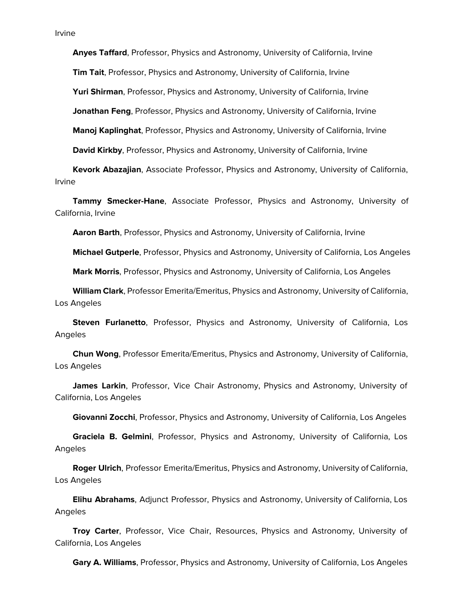**Anyes Taffard**, Professor, Physics and Astronomy, University of California, Irvine

**Tim Tait**, Professor, Physics and Astronomy, University of California, Irvine

**Yuri Shirman**, Professor, Physics and Astronomy, University of California, Irvine

**Jonathan Feng**, Professor, Physics and Astronomy, University of California, Irvine

**Manoj Kaplinghat**, Professor, Physics and Astronomy, University of California, Irvine

**David Kirkby**, Professor, Physics and Astronomy, University of California, Irvine

 **Kevork Abazajian**, Associate Professor, Physics and Astronomy, University of California, Irvine

 **Tammy Smecker-Hane**, Associate Professor, Physics and Astronomy, University of California, Irvine

**Aaron Barth**, Professor, Physics and Astronomy, University of California, Irvine

**Michael Gutperle**, Professor, Physics and Astronomy, University of California, Los Angeles

**Mark Morris**, Professor, Physics and Astronomy, University of California, Los Angeles

 **William Clark**, Professor Emerita/Emeritus, Physics and Astronomy, University of California, Los Angeles

 **Steven Furlanetto**, Professor, Physics and Astronomy, University of California, Los Angeles

 **Chun Wong**, Professor Emerita/Emeritus, Physics and Astronomy, University of California, Los Angeles

 **James Larkin**, Professor, Vice Chair Astronomy, Physics and Astronomy, University of California, Los Angeles

**Giovanni Zocchi**, Professor, Physics and Astronomy, University of California, Los Angeles

 **Graciela B. Gelmini**, Professor, Physics and Astronomy, University of California, Los Angeles

 **Roger Ulrich**, Professor Emerita/Emeritus, Physics and Astronomy, University of California, Los Angeles

 **Elihu Abrahams**, Adjunct Professor, Physics and Astronomy, University of California, Los Angeles

 **Troy Carter**, Professor, Vice Chair, Resources, Physics and Astronomy, University of California, Los Angeles

**Gary A. Williams**, Professor, Physics and Astronomy, University of California, Los Angeles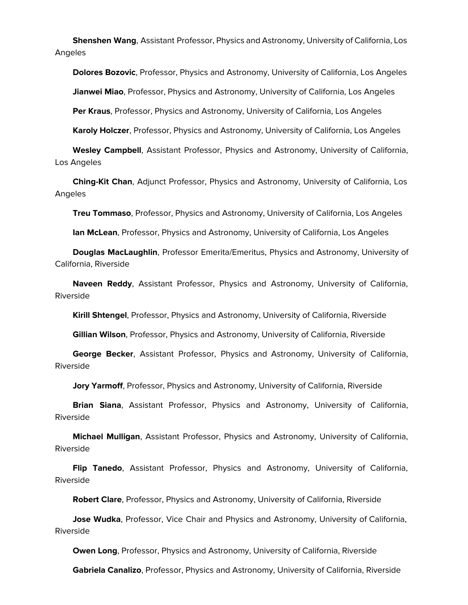**Shenshen Wang**, Assistant Professor, Physics and Astronomy, University of California, Los Angeles

 **Dolores Bozovic**, Professor, Physics and Astronomy, University of California, Los Angeles **Jianwei Miao**, Professor, Physics and Astronomy, University of California, Los Angeles

**Per Kraus**, Professor, Physics and Astronomy, University of California, Los Angeles

**Karoly Holczer**, Professor, Physics and Astronomy, University of California, Los Angeles

 **Wesley Campbell**, Assistant Professor, Physics and Astronomy, University of California, Los Angeles

 **Ching-Kit Chan**, Adjunct Professor, Physics and Astronomy, University of California, Los Angeles

**Treu Tommaso**, Professor, Physics and Astronomy, University of California, Los Angeles

**Ian McLean**, Professor, Physics and Astronomy, University of California, Los Angeles

 **Douglas MacLaughlin**, Professor Emerita/Emeritus, Physics and Astronomy, University of California, Riverside

 **Naveen Reddy**, Assistant Professor, Physics and Astronomy, University of California, Riverside

**Kirill Shtengel**, Professor, Physics and Astronomy, University of California, Riverside

**Gillian Wilson**, Professor, Physics and Astronomy, University of California, Riverside

 **George Becker**, Assistant Professor, Physics and Astronomy, University of California, Riverside

**Jory Yarmoff**, Professor, Physics and Astronomy, University of California, Riverside

 **Brian Siana**, Assistant Professor, Physics and Astronomy, University of California, Riverside

 **Michael Mulligan**, Assistant Professor, Physics and Astronomy, University of California, Riverside

 **Flip Tanedo**, Assistant Professor, Physics and Astronomy, University of California, Riverside

**Robert Clare**, Professor, Physics and Astronomy, University of California, Riverside

 **Jose Wudka**, Professor, Vice Chair and Physics and Astronomy, University of California, Riverside

**Owen Long**, Professor, Physics and Astronomy, University of California, Riverside

**Gabriela Canalizo**, Professor, Physics and Astronomy, University of California, Riverside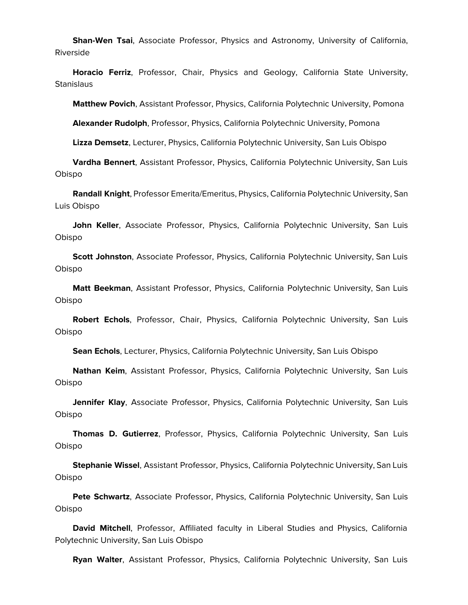**Shan-Wen Tsai**, Associate Professor, Physics and Astronomy, University of California, Riverside

 **Horacio Ferriz**, Professor, Chair, Physics and Geology, California State University, **Stanislaus** 

**Matthew Povich**, Assistant Professor, Physics, California Polytechnic University, Pomona

**Alexander Rudolph**, Professor, Physics, California Polytechnic University, Pomona

**Lizza Demsetz**, Lecturer, Physics, California Polytechnic University, San Luis Obispo

 **Vardha Bennert**, Assistant Professor, Physics, California Polytechnic University, San Luis Obispo

 **Randall Knight**, Professor Emerita/Emeritus, Physics, California Polytechnic University, San Luis Obispo

 **John Keller**, Associate Professor, Physics, California Polytechnic University, San Luis Obispo

 **Scott Johnston**, Associate Professor, Physics, California Polytechnic University, San Luis Obispo

 **Matt Beekman**, Assistant Professor, Physics, California Polytechnic University, San Luis Obispo

 **Robert Echols**, Professor, Chair, Physics, California Polytechnic University, San Luis Obispo

**Sean Echols**, Lecturer, Physics, California Polytechnic University, San Luis Obispo

 **Nathan Keim**, Assistant Professor, Physics, California Polytechnic University, San Luis Obispo

 **Jennifer Klay**, Associate Professor, Physics, California Polytechnic University, San Luis Obispo

 **Thomas D. Gutierrez**, Professor, Physics, California Polytechnic University, San Luis Obispo

 **Stephanie Wissel**, Assistant Professor, Physics, California Polytechnic University, San Luis Obispo

 **Pete Schwartz**, Associate Professor, Physics, California Polytechnic University, San Luis Obispo

 **David Mitchell**, Professor, Affiliated faculty in Liberal Studies and Physics, California Polytechnic University, San Luis Obispo

**Ryan Walter**, Assistant Professor, Physics, California Polytechnic University, San Luis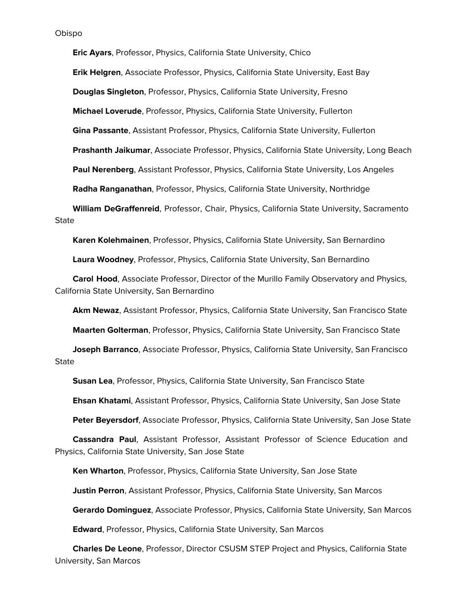**Eric Ayars**, Professor, Physics, California State University, Chico

**Erik Helgren**, Associate Professor, Physics, California State University, East Bay

**Douglas Singleton**, Professor, Physics, California State University, Fresno

**Michael Loverude**, Professor, Physics, California State University, Fullerton

**Gina Passante**, Assistant Professor, Physics, California State University, Fullerton

**Prashanth Jaikumar**, Associate Professor, Physics, California State University, Long Beach

**Paul Nerenberg**, Assistant Professor, Physics, California State University, Los Angeles

**Radha Ranganathan**, Professor, Physics, California State University, Northridge

 **William DeGraffenreid**, Professor, Chair, Physics, California State University, Sacramento **State** 

**Karen Kolehmainen**, Professor, Physics, California State University, San Bernardino

**Laura Woodney**, Professor, Physics, California State University, San Bernardino

 **Carol Hood**, Associate Professor, Director of the Murillo Family Observatory and Physics, California State University, San Bernardino

**Akm Newaz**, Assistant Professor, Physics, California State University, San Francisco State

**Maarten Golterman**, Professor, Physics, California State University, San Francisco State

 **Joseph Barranco**, Associate Professor, Physics, California State University, San Francisco **State** 

**Susan Lea**, Professor, Physics, California State University, San Francisco State

**Ehsan Khatami**, Assistant Professor, Physics, California State University, San Jose State

**Peter Beyersdorf**, Associate Professor, Physics, California State University, San Jose State

 **Cassandra Paul**, Assistant Professor, Assistant Professor of Science Education and Physics, California State University, San Jose State

**Ken Wharton**, Professor, Physics, California State University, San Jose State

**Justin Perron**, Assistant Professor, Physics, California State University, San Marcos

**Gerardo Dominguez**, Associate Professor, Physics, California State University, San Marcos

**Edward**, Professor, Physics, California State University, San Marcos

 **Charles De Leone**, Professor, Director CSUSM STEP Project and Physics, California State University, San Marcos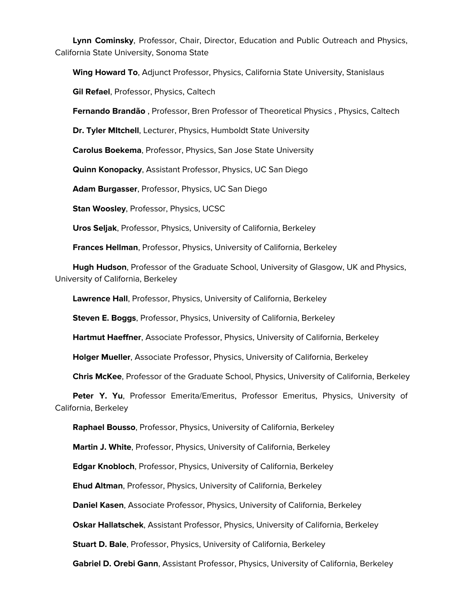**Lynn Cominsky**, Professor, Chair, Director, Education and Public Outreach and Physics, California State University, Sonoma State

**Wing Howard To**, Adjunct Professor, Physics, California State University, Stanislaus

**Gil Refael**, Professor, Physics, Caltech

**Fernando Brandão** , Professor, Bren Professor of Theoretical Physics , Physics, Caltech

**Dr. Tyler MItchell**, Lecturer, Physics, Humboldt State University

**Carolus Boekema**, Professor, Physics, San Jose State University

**Quinn Konopacky**, Assistant Professor, Physics, UC San Diego

**Adam Burgasser**, Professor, Physics, UC San Diego

**Stan Woosley**, Professor, Physics, UCSC

**Uros Seljak**, Professor, Physics, University of California, Berkeley

**Frances Hellman**, Professor, Physics, University of California, Berkeley

 **Hugh Hudson**, Professor of the Graduate School, University of Glasgow, UK and Physics, University of California, Berkeley

**Lawrence Hall**, Professor, Physics, University of California, Berkeley

**Steven E. Boggs**, Professor, Physics, University of California, Berkeley

**Hartmut Haeffner**, Associate Professor, Physics, University of California, Berkeley

**Holger Mueller**, Associate Professor, Physics, University of California, Berkeley

**Chris McKee**, Professor of the Graduate School, Physics, University of California, Berkeley

 **Peter Y. Yu**, Professor Emerita/Emeritus, Professor Emeritus, Physics, University of California, Berkeley

**Raphael Bousso**, Professor, Physics, University of California, Berkeley

**Martin J. White**, Professor, Physics, University of California, Berkeley

**Edgar Knobloch**, Professor, Physics, University of California, Berkeley

**Ehud Altman**, Professor, Physics, University of California, Berkeley

**Daniel Kasen**, Associate Professor, Physics, University of California, Berkeley

**Oskar Hallatschek**, Assistant Professor, Physics, University of California, Berkeley

**Stuart D. Bale**, Professor, Physics, University of California, Berkeley

**Gabriel D. Orebi Gann**, Assistant Professor, Physics, University of California, Berkeley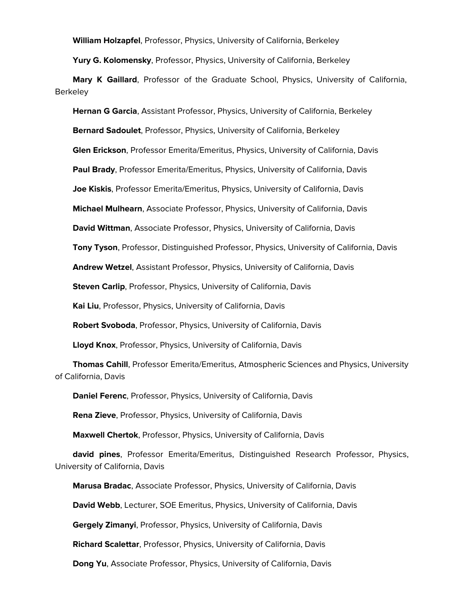**William Holzapfel**, Professor, Physics, University of California, Berkeley

**Yury G. Kolomensky**, Professor, Physics, University of California, Berkeley

 **Mary K Gaillard**, Professor of the Graduate School, Physics, University of California, **Berkeley** 

 **Hernan G Garcia**, Assistant Professor, Physics, University of California, Berkeley **Bernard Sadoulet**, Professor, Physics, University of California, Berkeley **Glen Erickson**, Professor Emerita/Emeritus, Physics, University of California, Davis **Paul Brady**, Professor Emerita/Emeritus, Physics, University of California, Davis **Joe Kiskis**, Professor Emerita/Emeritus, Physics, University of California, Davis **Michael Mulhearn**, Associate Professor, Physics, University of California, Davis **David Wittman**, Associate Professor, Physics, University of California, Davis **Tony Tyson**, Professor, Distinguished Professor, Physics, University of California, Davis **Andrew Wetzel**, Assistant Professor, Physics, University of California, Davis **Steven Carlip, Professor, Physics, University of California, Davis Kai Liu**, Professor, Physics, University of California, Davis

**Robert Svoboda**, Professor, Physics, University of California, Davis

**Lloyd Knox**, Professor, Physics, University of California, Davis

 **Thomas Cahill**, Professor Emerita/Emeritus, Atmospheric Sciences and Physics, University of California, Davis

**Daniel Ferenc**, Professor, Physics, University of California, Davis

**Rena Zieve**, Professor, Physics, University of California, Davis

**Maxwell Chertok**, Professor, Physics, University of California, Davis

 **david pines**, Professor Emerita/Emeritus, Distinguished Research Professor, Physics, University of California, Davis

**Marusa Bradac**, Associate Professor, Physics, University of California, Davis

**David Webb**, Lecturer, SOE Emeritus, Physics, University of California, Davis

**Gergely Zimanyi**, Professor, Physics, University of California, Davis

**Richard Scalettar**, Professor, Physics, University of California, Davis

**Dong Yu**, Associate Professor, Physics, University of California, Davis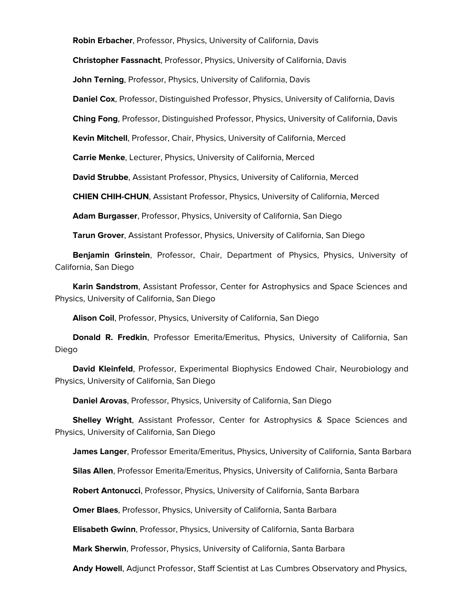**Robin Erbacher**, Professor, Physics, University of California, Davis

**Christopher Fassnacht**, Professor, Physics, University of California, Davis

**John Terning**, Professor, Physics, University of California, Davis

**Daniel Cox**, Professor, Distinguished Professor, Physics, University of California, Davis

**Ching Fong**, Professor, Distinguished Professor, Physics, University of California, Davis

**Kevin Mitchell**, Professor, Chair, Physics, University of California, Merced

**Carrie Menke**, Lecturer, Physics, University of California, Merced

**David Strubbe**, Assistant Professor, Physics, University of California, Merced

**CHIEN CHIH-CHUN**, Assistant Professor, Physics, University of California, Merced

**Adam Burgasser**, Professor, Physics, University of California, San Diego

**Tarun Grover**, Assistant Professor, Physics, University of California, San Diego

 **Benjamin Grinstein**, Professor, Chair, Department of Physics, Physics, University of California, San Diego

 **Karin Sandstrom**, Assistant Professor, Center for Astrophysics and Space Sciences and Physics, University of California, San Diego

**Alison Coil**, Professor, Physics, University of California, San Diego

 **Donald R. Fredkin**, Professor Emerita/Emeritus, Physics, University of California, San Diego

 **David Kleinfeld**, Professor, Experimental Biophysics Endowed Chair, Neurobiology and Physics, University of California, San Diego

**Daniel Arovas**, Professor, Physics, University of California, San Diego

 **Shelley Wright**, Assistant Professor, Center for Astrophysics & Space Sciences and Physics, University of California, San Diego

**James Langer**, Professor Emerita/Emeritus, Physics, University of California, Santa Barbara

**Silas Allen**, Professor Emerita/Emeritus, Physics, University of California, Santa Barbara

**Robert Antonucci**, Professor, Physics, University of California, Santa Barbara

**Omer Blaes**, Professor, Physics, University of California, Santa Barbara

**Elisabeth Gwinn**, Professor, Physics, University of California, Santa Barbara

**Mark Sherwin**, Professor, Physics, University of California, Santa Barbara

**Andy Howell**, Adjunct Professor, Staff Scientist at Las Cumbres Observatory and Physics,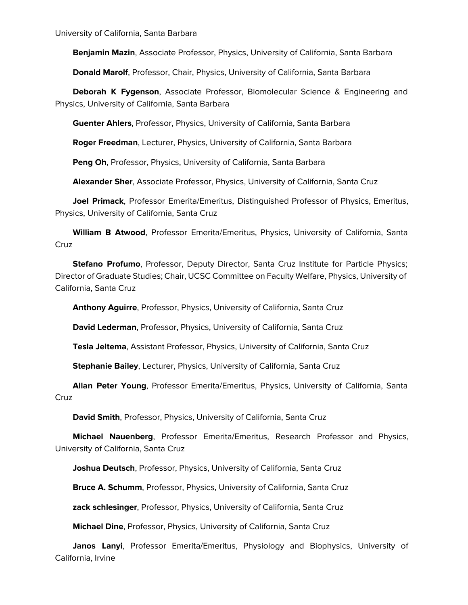University of California, Santa Barbara

**Benjamin Mazin**, Associate Professor, Physics, University of California, Santa Barbara

**Donald Marolf**, Professor, Chair, Physics, University of California, Santa Barbara

 **Deborah K Fygenson**, Associate Professor, Biomolecular Science & Engineering and Physics, University of California, Santa Barbara

**Guenter Ahlers**, Professor, Physics, University of California, Santa Barbara

**Roger Freedman**, Lecturer, Physics, University of California, Santa Barbara

**Peng Oh**, Professor, Physics, University of California, Santa Barbara

**Alexander Sher**, Associate Professor, Physics, University of California, Santa Cruz

 **Joel Primack**, Professor Emerita/Emeritus, Distinguished Professor of Physics, Emeritus, Physics, University of California, Santa Cruz

 **William B Atwood**, Professor Emerita/Emeritus, Physics, University of California, Santa Cruz

 **Stefano Profumo**, Professor, Deputy Director, Santa Cruz Institute for Particle Physics; Director of Graduate Studies; Chair, UCSC Committee on Faculty Welfare, Physics, University of California, Santa Cruz

**Anthony Aguirre**, Professor, Physics, University of California, Santa Cruz

**David Lederman**, Professor, Physics, University of California, Santa Cruz

**Tesla Jeltema**, Assistant Professor, Physics, University of California, Santa Cruz

**Stephanie Bailey**, Lecturer, Physics, University of California, Santa Cruz

 **Allan Peter Young**, Professor Emerita/Emeritus, Physics, University of California, Santa **Cruz** 

**David Smith**, Professor, Physics, University of California, Santa Cruz

 **Michael Nauenberg**, Professor Emerita/Emeritus, Research Professor and Physics, University of California, Santa Cruz

**Joshua Deutsch**, Professor, Physics, University of California, Santa Cruz

**Bruce A. Schumm**, Professor, Physics, University of California, Santa Cruz

**zack schlesinger**, Professor, Physics, University of California, Santa Cruz

**Michael Dine**, Professor, Physics, University of California, Santa Cruz

 **Janos Lanyi**, Professor Emerita/Emeritus, Physiology and Biophysics, University of California, Irvine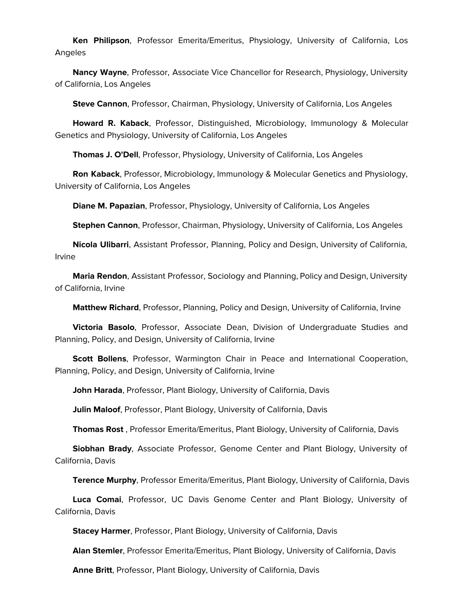**Ken Philipson**, Professor Emerita/Emeritus, Physiology, University of California, Los Angeles

 **Nancy Wayne**, Professor, Associate Vice Chancellor for Research, Physiology, University of California, Los Angeles

**Steve Cannon**, Professor, Chairman, Physiology, University of California, Los Angeles

 **Howard R. Kaback**, Professor, Distinguished, Microbiology, Immunology & Molecular Genetics and Physiology, University of California, Los Angeles

**Thomas J. O'Dell**, Professor, Physiology, University of California, Los Angeles

 **Ron Kaback**, Professor, Microbiology, Immunology & Molecular Genetics and Physiology, University of California, Los Angeles

**Diane M. Papazian**, Professor, Physiology, University of California, Los Angeles

**Stephen Cannon**, Professor, Chairman, Physiology, University of California, Los Angeles

 **Nicola Ulibarri**, Assistant Professor, Planning, Policy and Design, University of California, Irvine

 **Maria Rendon**, Assistant Professor, Sociology and Planning, Policy and Design, University of California, Irvine

**Matthew Richard**, Professor, Planning, Policy and Design, University of California, Irvine

 **Victoria Basolo**, Professor, Associate Dean, Division of Undergraduate Studies and Planning, Policy, and Design, University of California, Irvine

 **Scott Bollens**, Professor, Warmington Chair in Peace and International Cooperation, Planning, Policy, and Design, University of California, Irvine

**John Harada**, Professor, Plant Biology, University of California, Davis

**Julin Maloof**, Professor, Plant Biology, University of California, Davis

**Thomas Rost** , Professor Emerita/Emeritus, Plant Biology, University of California, Davis

 **Siobhan Brady**, Associate Professor, Genome Center and Plant Biology, University of California, Davis

**Terence Murphy**, Professor Emerita/Emeritus, Plant Biology, University of California, Davis

 **Luca Comai**, Professor, UC Davis Genome Center and Plant Biology, University of California, Davis

**Stacey Harmer**, Professor, Plant Biology, University of California, Davis

**Alan Stemler**, Professor Emerita/Emeritus, Plant Biology, University of California, Davis

**Anne Britt**, Professor, Plant Biology, University of California, Davis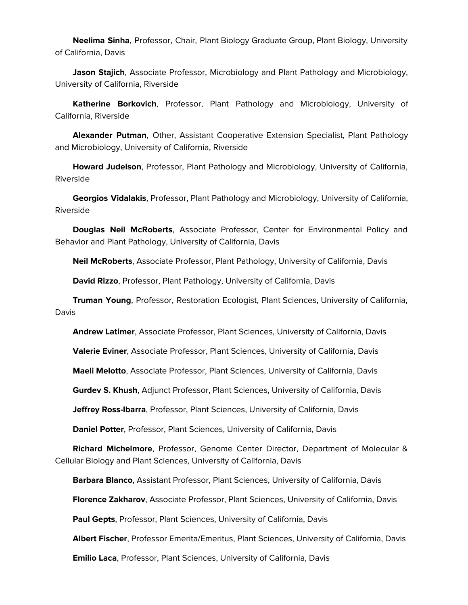**Neelima Sinha**, Professor, Chair, Plant Biology Graduate Group, Plant Biology, University of California, Davis

 **Jason Stajich**, Associate Professor, Microbiology and Plant Pathology and Microbiology, University of California, Riverside

 **Katherine Borkovich**, Professor, Plant Pathology and Microbiology, University of California, Riverside

 **Alexander Putman**, Other, Assistant Cooperative Extension Specialist, Plant Pathology and Microbiology, University of California, Riverside

 **Howard Judelson**, Professor, Plant Pathology and Microbiology, University of California, Riverside

 **Georgios Vidalakis**, Professor, Plant Pathology and Microbiology, University of California, Riverside

 **Douglas Neil McRoberts**, Associate Professor, Center for Environmental Policy and Behavior and Plant Pathology, University of California, Davis

**Neil McRoberts**, Associate Professor, Plant Pathology, University of California, Davis

**David Rizzo**, Professor, Plant Pathology, University of California, Davis

 **Truman Young**, Professor, Restoration Ecologist, Plant Sciences, University of California, Davis

**Andrew Latimer**, Associate Professor, Plant Sciences, University of California, Davis

**Valerie Eviner**, Associate Professor, Plant Sciences, University of California, Davis

**Maeli Melotto**, Associate Professor, Plant Sciences, University of California, Davis

**Gurdev S. Khush**, Adjunct Professor, Plant Sciences, University of California, Davis

**Jeffrey Ross-Ibarra**, Professor, Plant Sciences, University of California, Davis

**Daniel Potter**, Professor, Plant Sciences, University of California, Davis

 **Richard Michelmore**, Professor, Genome Center Director, Department of Molecular & Cellular Biology and Plant Sciences, University of California, Davis

**Barbara Blanco**, Assistant Professor, Plant Sciences, University of California, Davis

**Florence Zakharov**, Associate Professor, Plant Sciences, University of California, Davis

**Paul Gepts**, Professor, Plant Sciences, University of California, Davis

**Albert Fischer**, Professor Emerita/Emeritus, Plant Sciences, University of California, Davis

**Emilio Laca**, Professor, Plant Sciences, University of California, Davis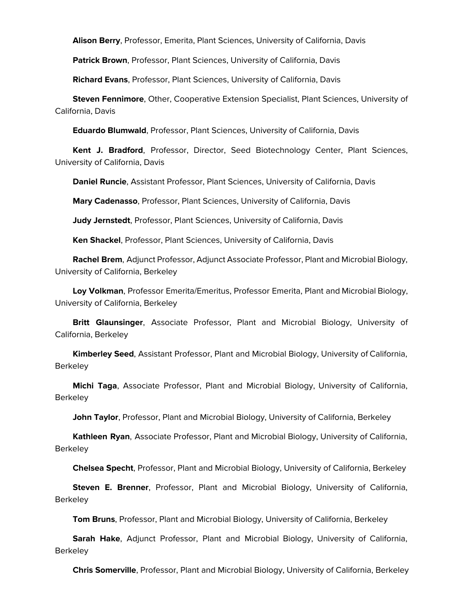**Alison Berry**, Professor, Emerita, Plant Sciences, University of California, Davis

**Patrick Brown**, Professor, Plant Sciences, University of California, Davis

**Richard Evans**, Professor, Plant Sciences, University of California, Davis

 **Steven Fennimore**, Other, Cooperative Extension Specialist, Plant Sciences, University of California, Davis

**Eduardo Blumwald**, Professor, Plant Sciences, University of California, Davis

 **Kent J. Bradford**, Professor, Director, Seed Biotechnology Center, Plant Sciences, University of California, Davis

**Daniel Runcie**, Assistant Professor, Plant Sciences, University of California, Davis

**Mary Cadenasso**, Professor, Plant Sciences, University of California, Davis

**Judy Jernstedt**, Professor, Plant Sciences, University of California, Davis

**Ken Shackel**, Professor, Plant Sciences, University of California, Davis

 **Rachel Brem**, Adjunct Professor, Adjunct Associate Professor, Plant and Microbial Biology, University of California, Berkeley

 **Loy Volkman**, Professor Emerita/Emeritus, Professor Emerita, Plant and Microbial Biology, University of California, Berkeley

 **Britt Glaunsinger**, Associate Professor, Plant and Microbial Biology, University of California, Berkeley

 **Kimberley Seed**, Assistant Professor, Plant and Microbial Biology, University of California, Berkeley

 **Michi Taga**, Associate Professor, Plant and Microbial Biology, University of California, **Berkeley** 

**John Taylor**, Professor, Plant and Microbial Biology, University of California, Berkeley

 **Kathleen Ryan**, Associate Professor, Plant and Microbial Biology, University of California, **Berkeley** 

**Chelsea Specht**, Professor, Plant and Microbial Biology, University of California, Berkeley

 **Steven E. Brenner**, Professor, Plant and Microbial Biology, University of California, **Berkeley** 

**Tom Bruns**, Professor, Plant and Microbial Biology, University of California, Berkeley

 **Sarah Hake**, Adjunct Professor, Plant and Microbial Biology, University of California, **Berkeley** 

**Chris Somerville**, Professor, Plant and Microbial Biology, University of California, Berkeley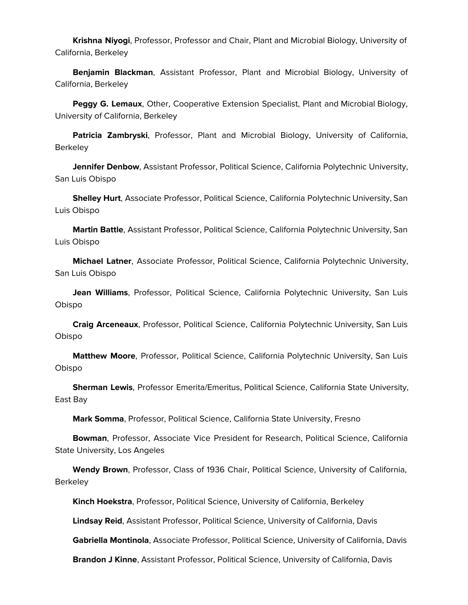**Krishna Niyogi**, Professor, Professor and Chair, Plant and Microbial Biology, University of California, Berkeley

 **Benjamin Blackman**, Assistant Professor, Plant and Microbial Biology, University of California, Berkeley

 **Peggy G. Lemaux**, Other, Cooperative Extension Specialist, Plant and Microbial Biology, University of California, Berkeley

 **Patricia Zambryski**, Professor, Plant and Microbial Biology, University of California, **Berkeley** 

 **Jennifer Denbow**, Assistant Professor, Political Science, California Polytechnic University, San Luis Obispo

 **Shelley Hurt**, Associate Professor, Political Science, California Polytechnic University, San Luis Obispo

 **Martin Battle**, Assistant Professor, Political Science, California Polytechnic University, San Luis Obispo

 **Michael Latner**, Associate Professor, Political Science, California Polytechnic University, San Luis Obispo

 **Jean Williams**, Professor, Political Science, California Polytechnic University, San Luis Obispo

 **Craig Arceneaux**, Professor, Political Science, California Polytechnic University, San Luis Obispo

 **Matthew Moore**, Professor, Political Science, California Polytechnic University, San Luis Obispo

 **Sherman Lewis**, Professor Emerita/Emeritus, Political Science, California State University, East Bay

**Mark Somma**, Professor, Political Science, California State University, Fresno

 **Bowman**, Professor, Associate Vice President for Research, Political Science, California State University, Los Angeles

 **Wendy Brown**, Professor, Class of 1936 Chair, Political Science, University of California, **Berkeley** 

**Kinch Hoekstra**, Professor, Political Science, University of California, Berkeley

**Lindsay Reid**, Assistant Professor, Political Science, University of California, Davis

**Gabriella Montinola**, Associate Professor, Political Science, University of California, Davis

**Brandon J Kinne**, Assistant Professor, Political Science, University of California, Davis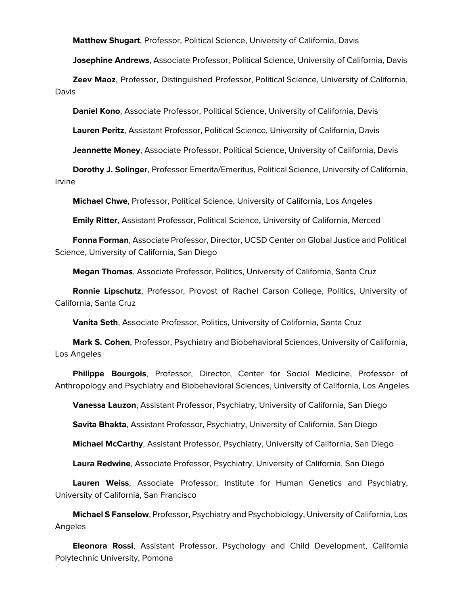**Matthew Shugart**, Professor, Political Science, University of California, Davis

**Josephine Andrews**, Associate Professor, Political Science, University of California, Davis

 **Zeev Maoz**, Professor, Distinguished Professor, Political Science, University of California, Davis

**Daniel Kono**, Associate Professor, Political Science, University of California, Davis

**Lauren Peritz**, Assistant Professor, Political Science, University of California, Davis

**Jeannette Money**, Associate Professor, Political Science, University of California, Davis

 **Dorothy J. Solinger**, Professor Emerita/Emeritus, Political Science, University of California, Irvine

**Michael Chwe**, Professor, Political Science, University of California, Los Angeles

**Emily Ritter**, Assistant Professor, Political Science, University of California, Merced

 **Fonna Forman**, Associate Professor, Director, UCSD Center on Global Justice and Political Science, University of California, San Diego

**Megan Thomas**, Associate Professor, Politics, University of California, Santa Cruz

 **Ronnie Lipschutz**, Professor, Provost of Rachel Carson College, Politics, University of California, Santa Cruz

**Vanita Seth**, Associate Professor, Politics, University of California, Santa Cruz

 **Mark S. Cohen**, Professor, Psychiatry and Biobehavioral Sciences, University of California, Los Angeles

 **Philippe Bourgois**, Professor, Director, Center for Social Medicine, Professor of Anthropology and Psychiatry and Biobehavioral Sciences, University of California, Los Angeles

**Vanessa Lauzon**, Assistant Professor, Psychiatry, University of California, San Diego

**Savita Bhakta**, Assistant Professor, Psychiatry, University of California, San Diego

**Michael McCarthy**, Assistant Professor, Psychiatry, University of California, San Diego

**Laura Redwine**, Associate Professor, Psychiatry, University of California, San Diego

 **Lauren Weiss**, Associate Professor, Institute for Human Genetics and Psychiatry, University of California, San Francisco

 **Michael S Fanselow**, Professor, Psychiatry and Psychobiology, University of California, Los Angeles

 **Eleonora Rossi**, Assistant Professor, Psychology and Child Development, California Polytechnic University, Pomona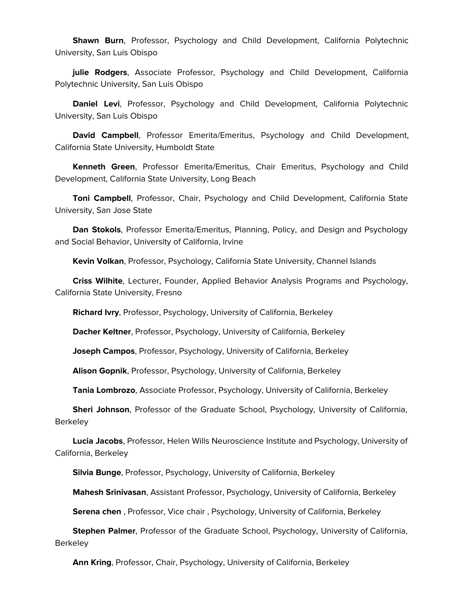**Shawn Burn**, Professor, Psychology and Child Development, California Polytechnic University, San Luis Obispo

 **julie Rodgers**, Associate Professor, Psychology and Child Development, California Polytechnic University, San Luis Obispo

 **Daniel Levi**, Professor, Psychology and Child Development, California Polytechnic University, San Luis Obispo

 **David Campbell**, Professor Emerita/Emeritus, Psychology and Child Development, California State University, Humboldt State

 **Kenneth Green**, Professor Emerita/Emeritus, Chair Emeritus, Psychology and Child Development, California State University, Long Beach

 **Toni Campbell**, Professor, Chair, Psychology and Child Development, California State University, San Jose State

 **Dan Stokols**, Professor Emerita/Emeritus, Planning, Policy, and Design and Psychology and Social Behavior, University of California, Irvine

**Kevin Volkan**, Professor, Psychology, California State University, Channel Islands

 **Criss Wilhite**, Lecturer, Founder, Applied Behavior Analysis Programs and Psychology, California State University, Fresno

**Richard Ivry**, Professor, Psychology, University of California, Berkeley

**Dacher Keltner**, Professor, Psychology, University of California, Berkeley

**Joseph Campos**, Professor, Psychology, University of California, Berkeley

**Alison Gopnik**, Professor, Psychology, University of California, Berkeley

**Tania Lombrozo**, Associate Professor, Psychology, University of California, Berkeley

 **Sheri Johnson**, Professor of the Graduate School, Psychology, University of California, **Berkeley** 

 **Lucia Jacobs**, Professor, Helen Wills Neuroscience Institute and Psychology, University of California, Berkeley

**Silvia Bunge**, Professor, Psychology, University of California, Berkeley

**Mahesh Srinivasan**, Assistant Professor, Psychology, University of California, Berkeley

**Serena chen** , Professor, Vice chair , Psychology, University of California, Berkeley

 **Stephen Palmer**, Professor of the Graduate School, Psychology, University of California, **Berkeley** 

**Ann Kring**, Professor, Chair, Psychology, University of California, Berkeley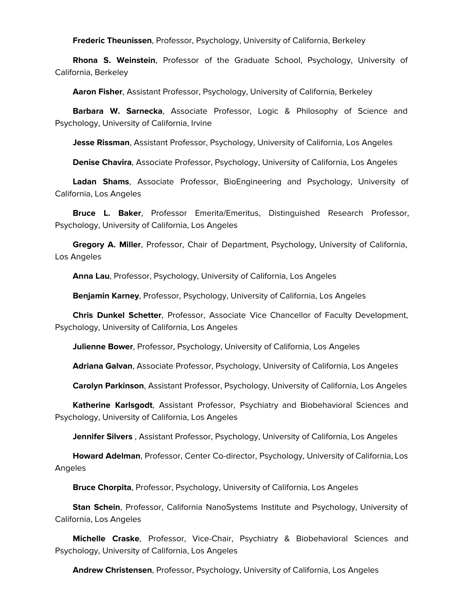**Frederic Theunissen**, Professor, Psychology, University of California, Berkeley

 **Rhona S. Weinstein**, Professor of the Graduate School, Psychology, University of California, Berkeley

**Aaron Fisher**, Assistant Professor, Psychology, University of California, Berkeley

 **Barbara W. Sarnecka**, Associate Professor, Logic & Philosophy of Science and Psychology, University of California, Irvine

**Jesse Rissman**, Assistant Professor, Psychology, University of California, Los Angeles

**Denise Chavira**, Associate Professor, Psychology, University of California, Los Angeles

 **Ladan Shams**, Associate Professor, BioEngineering and Psychology, University of California, Los Angeles

 **Bruce L. Baker**, Professor Emerita/Emeritus, Distinguished Research Professor, Psychology, University of California, Los Angeles

 **Gregory A. Miller**, Professor, Chair of Department, Psychology, University of California, Los Angeles

**Anna Lau**, Professor, Psychology, University of California, Los Angeles

**Benjamin Karney**, Professor, Psychology, University of California, Los Angeles

 **Chris Dunkel Schetter**, Professor, Associate Vice Chancellor of Faculty Development, Psychology, University of California, Los Angeles

**Julienne Bower**, Professor, Psychology, University of California, Los Angeles

**Adriana Galvan**, Associate Professor, Psychology, University of California, Los Angeles

**Carolyn Parkinson**, Assistant Professor, Psychology, University of California, Los Angeles

 **Katherine Karlsgodt**, Assistant Professor, Psychiatry and Biobehavioral Sciences and Psychology, University of California, Los Angeles

**Jennifer Silvers** , Assistant Professor, Psychology, University of California, Los Angeles

 **Howard Adelman**, Professor, Center Co-director, Psychology, University of California, Los Angeles

**Bruce Chorpita**, Professor, Psychology, University of California, Los Angeles

 **Stan Schein**, Professor, California NanoSystems Institute and Psychology, University of California, Los Angeles

 **Michelle Craske**, Professor, Vice-Chair, Psychiatry & Biobehavioral Sciences and Psychology, University of California, Los Angeles

**Andrew Christensen**, Professor, Psychology, University of California, Los Angeles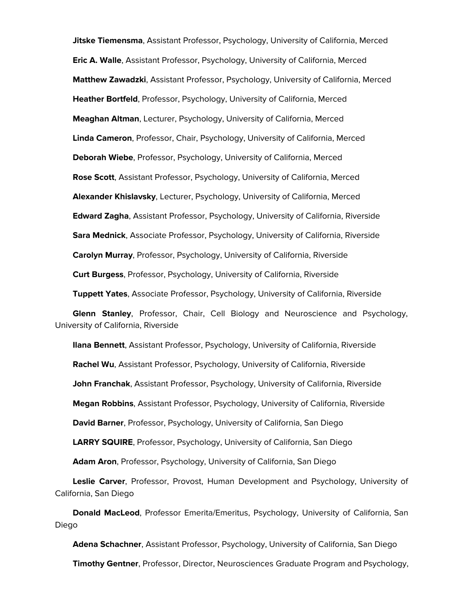**Jitske Tiemensma**, Assistant Professor, Psychology, University of California, Merced **Eric A. Walle**, Assistant Professor, Psychology, University of California, Merced **Matthew Zawadzki**, Assistant Professor, Psychology, University of California, Merced **Heather Bortfeld**, Professor, Psychology, University of California, Merced **Meaghan Altman**, Lecturer, Psychology, University of California, Merced **Linda Cameron**, Professor, Chair, Psychology, University of California, Merced **Deborah Wiebe**, Professor, Psychology, University of California, Merced **Rose Scott**, Assistant Professor, Psychology, University of California, Merced **Alexander Khislavsky**, Lecturer, Psychology, University of California, Merced **Edward Zagha**, Assistant Professor, Psychology, University of California, Riverside **Sara Mednick**, Associate Professor, Psychology, University of California, Riverside **Carolyn Murray**, Professor, Psychology, University of California, Riverside **Curt Burgess**, Professor, Psychology, University of California, Riverside **Tuppett Yates**, Associate Professor, Psychology, University of California, Riverside

 **Glenn Stanley**, Professor, Chair, Cell Biology and Neuroscience and Psychology, University of California, Riverside

 **Ilana Bennett**, Assistant Professor, Psychology, University of California, Riverside **Rachel Wu**, Assistant Professor, Psychology, University of California, Riverside **John Franchak**, Assistant Professor, Psychology, University of California, Riverside **Megan Robbins**, Assistant Professor, Psychology, University of California, Riverside **David Barner**, Professor, Psychology, University of California, San Diego **LARRY SQUIRE**, Professor, Psychology, University of California, San Diego

**Adam Aron**, Professor, Psychology, University of California, San Diego

 **Leslie Carver**, Professor, Provost, Human Development and Psychology, University of California, San Diego

 **Donald MacLeod**, Professor Emerita/Emeritus, Psychology, University of California, San Diego

 **Adena Schachner**, Assistant Professor, Psychology, University of California, San Diego **Timothy Gentner**, Professor, Director, Neurosciences Graduate Program and Psychology,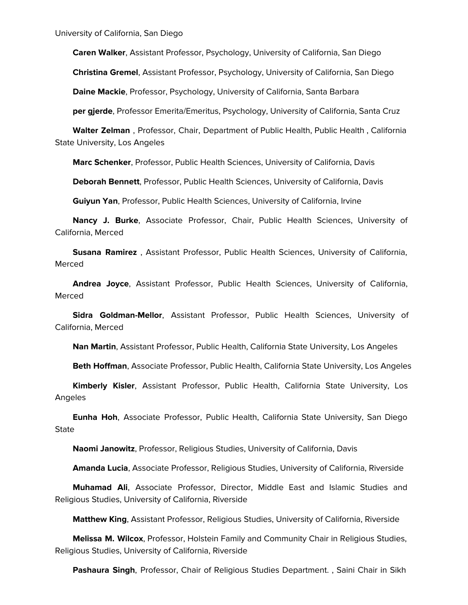University of California, San Diego

**Caren Walker**, Assistant Professor, Psychology, University of California, San Diego

**Christina Gremel**, Assistant Professor, Psychology, University of California, San Diego

**Daine Mackie**, Professor, Psychology, University of California, Santa Barbara

**per gjerde**, Professor Emerita/Emeritus, Psychology, University of California, Santa Cruz

 **Walter Zelman** , Professor, Chair, Department of Public Health, Public Health , California State University, Los Angeles

**Marc Schenker**, Professor, Public Health Sciences, University of California, Davis

**Deborah Bennett**, Professor, Public Health Sciences, University of California, Davis

**Guiyun Yan**, Professor, Public Health Sciences, University of California, Irvine

 **Nancy J. Burke**, Associate Professor, Chair, Public Health Sciences, University of California, Merced

 **Susana Ramirez** , Assistant Professor, Public Health Sciences, University of California, Merced

 **Andrea Joyce**, Assistant Professor, Public Health Sciences, University of California, Merced

 **Sidra Goldman-Mellor**, Assistant Professor, Public Health Sciences, University of California, Merced

**Nan Martin**, Assistant Professor, Public Health, California State University, Los Angeles

**Beth Hoffman**, Associate Professor, Public Health, California State University, Los Angeles

 **Kimberly Kisler**, Assistant Professor, Public Health, California State University, Los Angeles

 **Eunha Hoh**, Associate Professor, Public Health, California State University, San Diego **State** 

**Naomi Janowitz**, Professor, Religious Studies, University of California, Davis

**Amanda Lucia**, Associate Professor, Religious Studies, University of California, Riverside

 **Muhamad Ali**, Associate Professor, Director, Middle East and Islamic Studies and Religious Studies, University of California, Riverside

**Matthew King**, Assistant Professor, Religious Studies, University of California, Riverside

 **Melissa M. Wilcox**, Professor, Holstein Family and Community Chair in Religious Studies, Religious Studies, University of California, Riverside

**Pashaura Singh**, Professor, Chair of Religious Studies Department. , Saini Chair in Sikh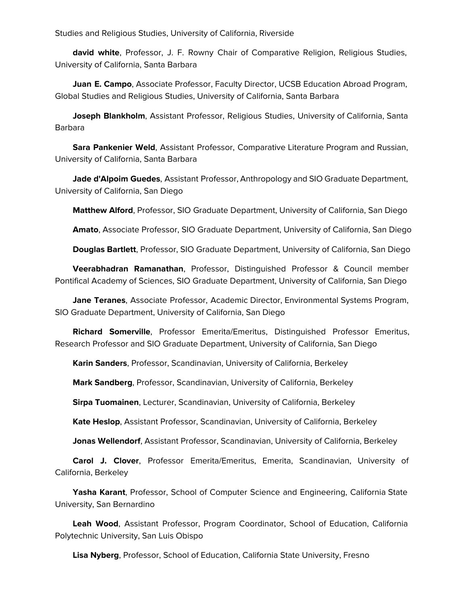Studies and Religious Studies, University of California, Riverside

 **david white**, Professor, J. F. Rowny Chair of Comparative Religion, Religious Studies, University of California, Santa Barbara

 **Juan E. Campo**, Associate Professor, Faculty Director, UCSB Education Abroad Program, Global Studies and Religious Studies, University of California, Santa Barbara

 **Joseph Blankholm**, Assistant Professor, Religious Studies, University of California, Santa Barbara

 **Sara Pankenier Weld**, Assistant Professor, Comparative Literature Program and Russian, University of California, Santa Barbara

 **Jade d'Alpoim Guedes**, Assistant Professor, Anthropology and SIO Graduate Department, University of California, San Diego

**Matthew Alford**, Professor, SIO Graduate Department, University of California, San Diego

**Amato**, Associate Professor, SIO Graduate Department, University of California, San Diego

**Douglas Bartlett**, Professor, SIO Graduate Department, University of California, San Diego

 **Veerabhadran Ramanathan**, Professor, Distinguished Professor & Council member Pontifical Academy of Sciences, SIO Graduate Department, University of California, San Diego

 **Jane Teranes**, Associate Professor, Academic Director, Environmental Systems Program, SIO Graduate Department, University of California, San Diego

 **Richard Somerville**, Professor Emerita/Emeritus, Distinguished Professor Emeritus, Research Professor and SIO Graduate Department, University of California, San Diego

**Karin Sanders**, Professor, Scandinavian, University of California, Berkeley

**Mark Sandberg**, Professor, Scandinavian, University of California, Berkeley

**Sirpa Tuomainen**, Lecturer, Scandinavian, University of California, Berkeley

**Kate Heslop**, Assistant Professor, Scandinavian, University of California, Berkeley

**Jonas Wellendorf**, Assistant Professor, Scandinavian, University of California, Berkeley

 **Carol J. Clover**, Professor Emerita/Emeritus, Emerita, Scandinavian, University of California, Berkeley

 **Yasha Karant**, Professor, School of Computer Science and Engineering, California State University, San Bernardino

 **Leah Wood**, Assistant Professor, Program Coordinator, School of Education, California Polytechnic University, San Luis Obispo

**Lisa Nyberg**, Professor, School of Education, California State University, Fresno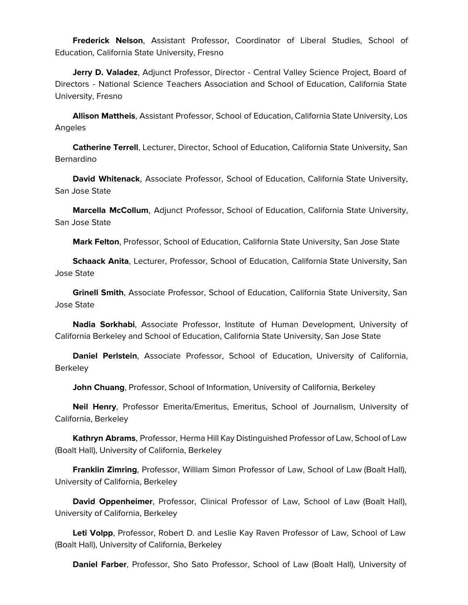**Frederick Nelson**, Assistant Professor, Coordinator of Liberal Studies, School of Education, California State University, Fresno

 **Jerry D. Valadez**, Adjunct Professor, Director - Central Valley Science Project, Board of Directors - National Science Teachers Association and School of Education, California State University, Fresno

 **Allison Mattheis**, Assistant Professor, School of Education, California State University, Los Angeles

 **Catherine Terrell**, Lecturer, Director, School of Education, California State University, San Bernardino

 **David Whitenack**, Associate Professor, School of Education, California State University, San Jose State

 **Marcella McCollum**, Adjunct Professor, School of Education, California State University, San Jose State

**Mark Felton**, Professor, School of Education, California State University, San Jose State

 **Schaack Anita**, Lecturer, Professor, School of Education, California State University, San Jose State

 **Grinell Smith**, Associate Professor, School of Education, California State University, San Jose State

 **Nadia Sorkhabi**, Associate Professor, Institute of Human Development, University of California Berkeley and School of Education, California State University, San Jose State

 **Daniel Perlstein**, Associate Professor, School of Education, University of California, Berkeley

**John Chuang**, Professor, School of Information, University of California, Berkeley

 **Neil Henry**, Professor Emerita/Emeritus, Emeritus, School of Journalism, University of California, Berkeley

 **Kathryn Abrams**, Professor, Herma Hill Kay Distinguished Professor of Law, School of Law (Boalt Hall), University of California, Berkeley

 **Franklin Zimring**, Professor, William Simon Professor of Law, School of Law (Boalt Hall), University of California, Berkeley

 **David Oppenheimer**, Professor, Clinical Professor of Law, School of Law (Boalt Hall), University of California, Berkeley

 **Leti Volpp**, Professor, Robert D. and Leslie Kay Raven Professor of Law, School of Law (Boalt Hall), University of California, Berkeley

**Daniel Farber**, Professor, Sho Sato Professor, School of Law (Boalt Hall), University of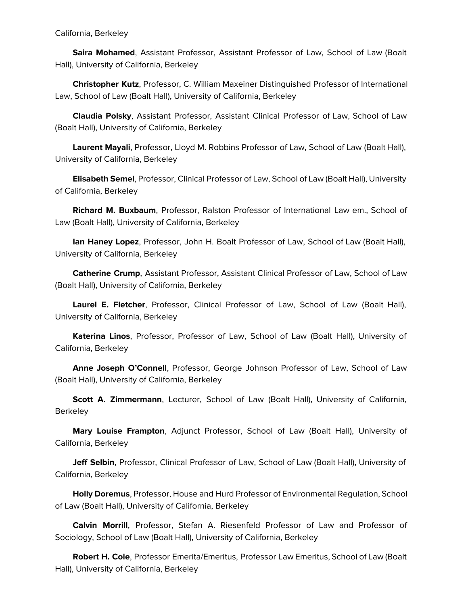California, Berkeley

 **Saira Mohamed**, Assistant Professor, Assistant Professor of Law, School of Law (Boalt Hall), University of California, Berkeley

 **Christopher Kutz**, Professor, C. William Maxeiner Distinguished Professor of International Law, School of Law (Boalt Hall), University of California, Berkeley

 **Claudia Polsky**, Assistant Professor, Assistant Clinical Professor of Law, School of Law (Boalt Hall), University of California, Berkeley

 **Laurent Mayali**, Professor, Lloyd M. Robbins Professor of Law, School of Law (Boalt Hall), University of California, Berkeley

 **Elisabeth Semel**, Professor, Clinical Professor of Law, School of Law (Boalt Hall), University of California, Berkeley

 **Richard M. Buxbaum**, Professor, Ralston Professor of International Law em., School of Law (Boalt Hall), University of California, Berkeley

 **Ian Haney Lopez**, Professor, John H. Boalt Professor of Law, School of Law (Boalt Hall), University of California, Berkeley

 **Catherine Crump**, Assistant Professor, Assistant Clinical Professor of Law, School of Law (Boalt Hall), University of California, Berkeley

 **Laurel E. Fletcher**, Professor, Clinical Professor of Law, School of Law (Boalt Hall), University of California, Berkeley

 **Katerina Linos**, Professor, Professor of Law, School of Law (Boalt Hall), University of California, Berkeley

 **Anne Joseph O'Connell**, Professor, George Johnson Professor of Law, School of Law (Boalt Hall), University of California, Berkeley

 **Scott A. Zimmermann**, Lecturer, School of Law (Boalt Hall), University of California, **Berkeley** 

 **Mary Louise Frampton**, Adjunct Professor, School of Law (Boalt Hall), University of California, Berkeley

 **Jeff Selbin**, Professor, Clinical Professor of Law, School of Law (Boalt Hall), University of California, Berkeley

 **Holly Doremus**, Professor, House and Hurd Professor of Environmental Regulation, School of Law (Boalt Hall), University of California, Berkeley

 **Calvin Morrill**, Professor, Stefan A. Riesenfeld Professor of Law and Professor of Sociology, School of Law (Boalt Hall), University of California, Berkeley

 **Robert H. Cole**, Professor Emerita/Emeritus, Professor Law Emeritus, School of Law (Boalt Hall), University of California, Berkeley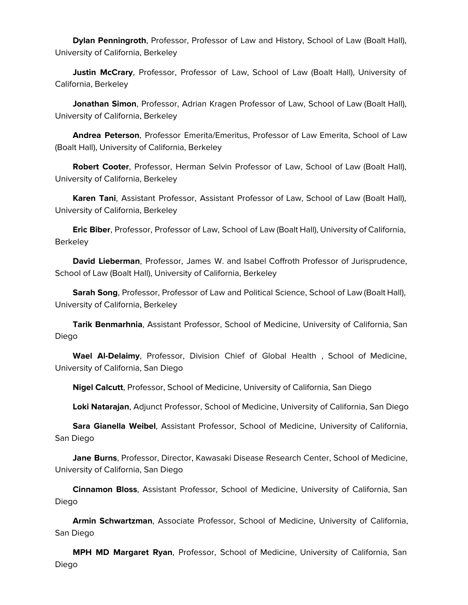**Dylan Penningroth**, Professor, Professor of Law and History, School of Law (Boalt Hall), University of California, Berkeley

 **Justin McCrary**, Professor, Professor of Law, School of Law (Boalt Hall), University of California, Berkeley

 **Jonathan Simon**, Professor, Adrian Kragen Professor of Law, School of Law (Boalt Hall), University of California, Berkeley

 **Andrea Peterson**, Professor Emerita/Emeritus, Professor of Law Emerita, School of Law (Boalt Hall), University of California, Berkeley

 **Robert Cooter**, Professor, Herman Selvin Professor of Law, School of Law (Boalt Hall), University of California, Berkeley

 **Karen Tani**, Assistant Professor, Assistant Professor of Law, School of Law (Boalt Hall), University of California, Berkeley

 **Eric Biber**, Professor, Professor of Law, School of Law (Boalt Hall), University of California, **Berkeley** 

 **David Lieberman**, Professor, James W. and Isabel Coffroth Professor of Jurisprudence, School of Law (Boalt Hall), University of California, Berkeley

 **Sarah Song**, Professor, Professor of Law and Political Science, School of Law (Boalt Hall), University of California, Berkeley

 **Tarik Benmarhnia**, Assistant Professor, School of Medicine, University of California, San Diego

 **Wael Al-Delaimy**, Professor, Division Chief of Global Health , School of Medicine, University of California, San Diego

**Nigel Calcutt**, Professor, School of Medicine, University of California, San Diego

**Loki Natarajan**, Adjunct Professor, School of Medicine, University of California, San Diego

 **Sara Gianella Weibel**, Assistant Professor, School of Medicine, University of California, San Diego

 **Jane Burns**, Professor, Director, Kawasaki Disease Research Center, School of Medicine, University of California, San Diego

 **Cinnamon Bloss**, Assistant Professor, School of Medicine, University of California, San Diego

 **Armin Schwartzman**, Associate Professor, School of Medicine, University of California, San Diego

 **MPH MD Margaret Ryan**, Professor, School of Medicine, University of California, San Diego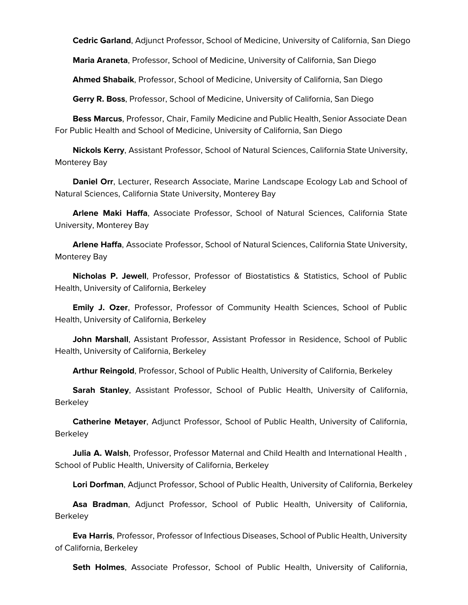**Cedric Garland**, Adjunct Professor, School of Medicine, University of California, San Diego

**Maria Araneta**, Professor, School of Medicine, University of California, San Diego

**Ahmed Shabaik**, Professor, School of Medicine, University of California, San Diego

**Gerry R. Boss**, Professor, School of Medicine, University of California, San Diego

 **Bess Marcus**, Professor, Chair, Family Medicine and Public Health, Senior Associate Dean For Public Health and School of Medicine, University of California, San Diego

 **Nickols Kerry**, Assistant Professor, School of Natural Sciences, California State University, Monterey Bay

 **Daniel Orr**, Lecturer, Research Associate, Marine Landscape Ecology Lab and School of Natural Sciences, California State University, Monterey Bay

 **Arlene Maki Haffa**, Associate Professor, School of Natural Sciences, California State University, Monterey Bay

 **Arlene Haffa**, Associate Professor, School of Natural Sciences, California State University, Monterey Bay

 **Nicholas P. Jewell**, Professor, Professor of Biostatistics & Statistics, School of Public Health, University of California, Berkeley

 **Emily J. Ozer**, Professor, Professor of Community Health Sciences, School of Public Health, University of California, Berkeley

 **John Marshall**, Assistant Professor, Assistant Professor in Residence, School of Public Health, University of California, Berkeley

**Arthur Reingold**, Professor, School of Public Health, University of California, Berkeley

 **Sarah Stanley**, Assistant Professor, School of Public Health, University of California, **Berkeley** 

 **Catherine Metayer**, Adjunct Professor, School of Public Health, University of California, **Berkeley** 

 **Julia A. Walsh**, Professor, Professor Maternal and Child Health and International Health , School of Public Health, University of California, Berkeley

**Lori Dorfman**, Adjunct Professor, School of Public Health, University of California, Berkeley

 **Asa Bradman**, Adjunct Professor, School of Public Health, University of California, **Berkeley** 

 **Eva Harris**, Professor, Professor of Infectious Diseases, School of Public Health, University of California, Berkeley

**Seth Holmes**, Associate Professor, School of Public Health, University of California,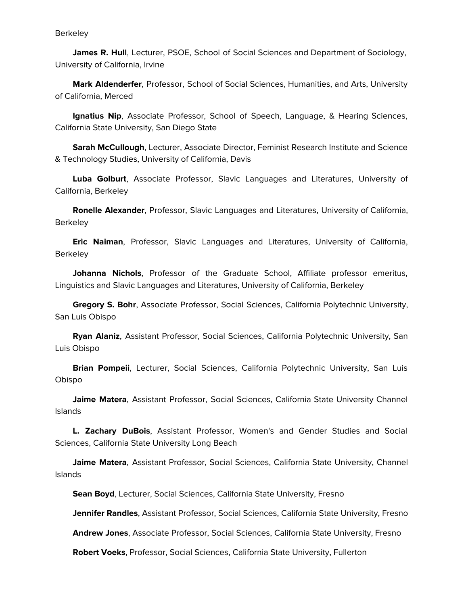**James R. Hull**, Lecturer, PSOE, School of Social Sciences and Department of Sociology, University of California, Irvine

 **Mark Aldenderfer**, Professor, School of Social Sciences, Humanities, and Arts, University of California, Merced

 **Ignatius Nip**, Associate Professor, School of Speech, Language, & Hearing Sciences, California State University, San Diego State

 **Sarah McCullough**, Lecturer, Associate Director, Feminist Research Institute and Science & Technology Studies, University of California, Davis

 **Luba Golburt**, Associate Professor, Slavic Languages and Literatures, University of California, Berkeley

 **Ronelle Alexander**, Professor, Slavic Languages and Literatures, University of California, Berkeley

 **Eric Naiman**, Professor, Slavic Languages and Literatures, University of California, **Berkeley** 

 **Johanna Nichols**, Professor of the Graduate School, Affiliate professor emeritus, Linguistics and Slavic Languages and Literatures, University of California, Berkeley

 **Gregory S. Bohr**, Associate Professor, Social Sciences, California Polytechnic University, San Luis Obispo

 **Ryan Alaniz**, Assistant Professor, Social Sciences, California Polytechnic University, San Luis Obispo

 **Brian Pompeii**, Lecturer, Social Sciences, California Polytechnic University, San Luis Obispo

 **Jaime Matera**, Assistant Professor, Social Sciences, California State University Channel Islands

 **L. Zachary DuBois**, Assistant Professor, Women's and Gender Studies and Social Sciences, California State University Long Beach

 **Jaime Matera**, Assistant Professor, Social Sciences, California State University, Channel Islands

**Sean Boyd**, Lecturer, Social Sciences, California State University, Fresno

**Jennifer Randles**, Assistant Professor, Social Sciences, California State University, Fresno

**Andrew Jones**, Associate Professor, Social Sciences, California State University, Fresno

**Robert Voeks**, Professor, Social Sciences, California State University, Fullerton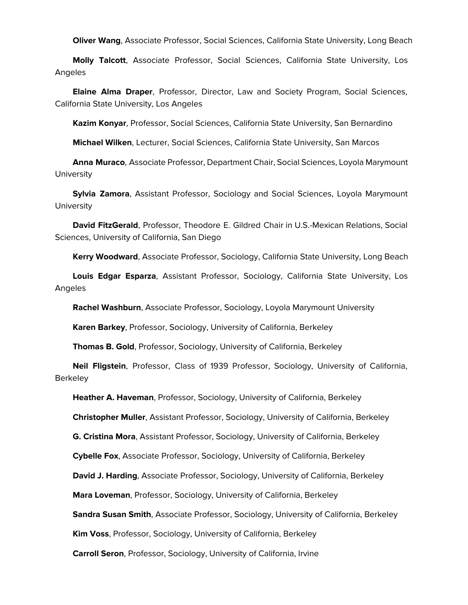**Oliver Wang**, Associate Professor, Social Sciences, California State University, Long Beach

 **Molly Talcott**, Associate Professor, Social Sciences, California State University, Los Angeles

 **Elaine Alma Draper**, Professor, Director, Law and Society Program, Social Sciences, California State University, Los Angeles

**Kazim Konyar**, Professor, Social Sciences, California State University, San Bernardino

**Michael Wilken**, Lecturer, Social Sciences, California State University, San Marcos

 **Anna Muraco**, Associate Professor, Department Chair, Social Sciences, Loyola Marymount **University** 

 **Sylvia Zamora**, Assistant Professor, Sociology and Social Sciences, Loyola Marymount **University** 

 **David FitzGerald**, Professor, Theodore E. Gildred Chair in U.S.-Mexican Relations, Social Sciences, University of California, San Diego

**Kerry Woodward**, Associate Professor, Sociology, California State University, Long Beach

 **Louis Edgar Esparza**, Assistant Professor, Sociology, California State University, Los Angeles

**Rachel Washburn**, Associate Professor, Sociology, Loyola Marymount University

**Karen Barkey**, Professor, Sociology, University of California, Berkeley

**Thomas B. Gold**, Professor, Sociology, University of California, Berkeley

 **Neil Fligstein**, Professor, Class of 1939 Professor, Sociology, University of California, **Berkeley** 

**Heather A. Haveman**, Professor, Sociology, University of California, Berkeley

**Christopher Muller**, Assistant Professor, Sociology, University of California, Berkeley

**G. Cristina Mora**, Assistant Professor, Sociology, University of California, Berkeley

**Cybelle Fox**, Associate Professor, Sociology, University of California, Berkeley

**David J. Harding**, Associate Professor, Sociology, University of California, Berkeley

**Mara Loveman**, Professor, Sociology, University of California, Berkeley

**Sandra Susan Smith**, Associate Professor, Sociology, University of California, Berkeley

**Kim Voss**, Professor, Sociology, University of California, Berkeley

**Carroll Seron**, Professor, Sociology, University of California, Irvine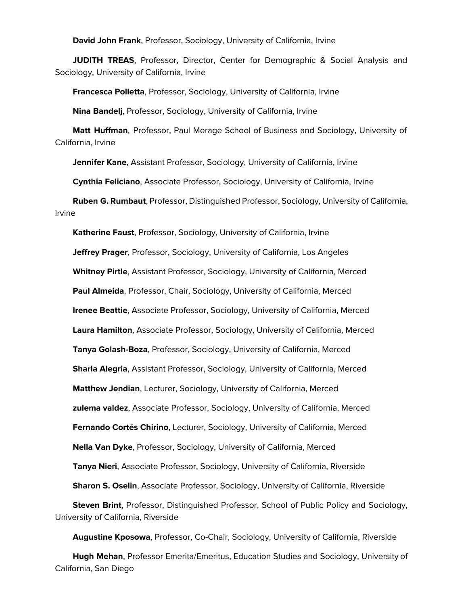**David John Frank**, Professor, Sociology, University of California, Irvine

**JUDITH TREAS**, Professor, Director, Center for Demographic & Social Analysis and Sociology, University of California, Irvine

**Francesca Polletta**, Professor, Sociology, University of California, Irvine

**Nina Bandelj**, Professor, Sociology, University of California, Irvine

 **Matt Huffman**, Professor, Paul Merage School of Business and Sociology, University of California, Irvine

**Jennifer Kane**, Assistant Professor, Sociology, University of California, Irvine

**Cynthia Feliciano**, Associate Professor, Sociology, University of California, Irvine

 **Ruben G. Rumbaut**, Professor, Distinguished Professor, Sociology, University of California, Irvine

 **Katherine Faust**, Professor, Sociology, University of California, Irvine **Jeffrey Prager**, Professor, Sociology, University of California, Los Angeles **Whitney Pirtle**, Assistant Professor, Sociology, University of California, Merced **Paul Almeida**, Professor, Chair, Sociology, University of California, Merced **Irenee Beattie**, Associate Professor, Sociology, University of California, Merced **Laura Hamilton**, Associate Professor, Sociology, University of California, Merced **Tanya Golash-Boza**, Professor, Sociology, University of California, Merced **Sharla Alegria**, Assistant Professor, Sociology, University of California, Merced **Matthew Jendian**, Lecturer, Sociology, University of California, Merced **zulema valdez**, Associate Professor, Sociology, University of California, Merced **Fernando Cortés Chirino**, Lecturer, Sociology, University of California, Merced **Nella Van Dyke**, Professor, Sociology, University of California, Merced **Tanya Nieri**, Associate Professor, Sociology, University of California, Riverside **Sharon S. Oselin**, Associate Professor, Sociology, University of California, Riverside **Steven Brint**, Professor, Distinguished Professor, School of Public Policy and Sociology, University of California, Riverside

**Augustine Kposowa**, Professor, Co-Chair, Sociology, University of California, Riverside

 **Hugh Mehan**, Professor Emerita/Emeritus, Education Studies and Sociology, University of California, San Diego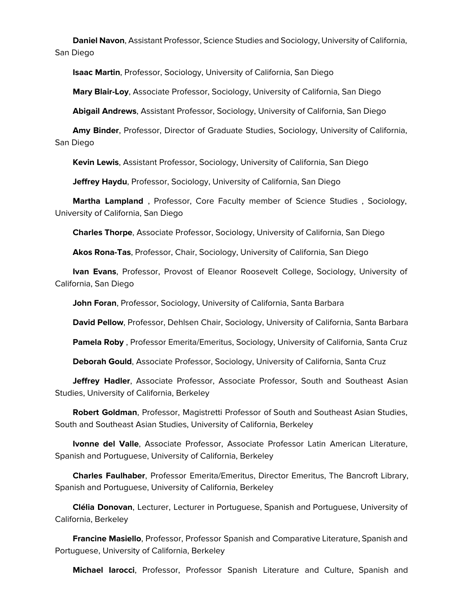**Daniel Navon**, Assistant Professor, Science Studies and Sociology, University of California, San Diego

**Isaac Martin**, Professor, Sociology, University of California, San Diego

**Mary Blair-Loy**, Associate Professor, Sociology, University of California, San Diego

**Abigail Andrews**, Assistant Professor, Sociology, University of California, San Diego

 **Amy Binder**, Professor, Director of Graduate Studies, Sociology, University of California, San Diego

**Kevin Lewis**, Assistant Professor, Sociology, University of California, San Diego

**Jeffrey Haydu**, Professor, Sociology, University of California, San Diego

 **Martha Lampland** , Professor, Core Faculty member of Science Studies , Sociology, University of California, San Diego

**Charles Thorpe**, Associate Professor, Sociology, University of California, San Diego

**Akos Rona-Tas**, Professor, Chair, Sociology, University of California, San Diego

 **Ivan Evans**, Professor, Provost of Eleanor Roosevelt College, Sociology, University of California, San Diego

**John Foran**, Professor, Sociology, University of California, Santa Barbara

**David Pellow**, Professor, Dehlsen Chair, Sociology, University of California, Santa Barbara

**Pamela Roby** , Professor Emerita/Emeritus, Sociology, University of California, Santa Cruz

**Deborah Gould**, Associate Professor, Sociology, University of California, Santa Cruz

 **Jeffrey Hadler**, Associate Professor, Associate Professor, South and Southeast Asian Studies, University of California, Berkeley

 **Robert Goldman**, Professor, Magistretti Professor of South and Southeast Asian Studies, South and Southeast Asian Studies, University of California, Berkeley

 **Ivonne del Valle**, Associate Professor, Associate Professor Latin American Literature, Spanish and Portuguese, University of California, Berkeley

 **Charles Faulhaber**, Professor Emerita/Emeritus, Director Emeritus, The Bancroft Library, Spanish and Portuguese, University of California, Berkeley

 **Clélia Donovan**, Lecturer, Lecturer in Portuguese, Spanish and Portuguese, University of California, Berkeley

 **Francine Masiello**, Professor, Professor Spanish and Comparative Literature, Spanish and Portuguese, University of California, Berkeley

**Michael Iarocci**, Professor, Professor Spanish Literature and Culture, Spanish and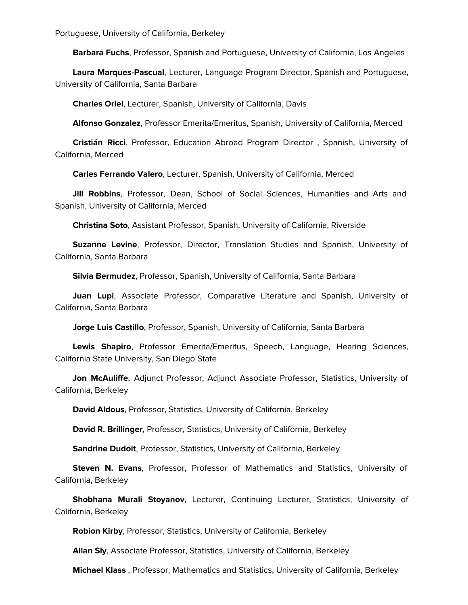Portuguese, University of California, Berkeley

**Barbara Fuchs**, Professor, Spanish and Portuguese, University of California, Los Angeles

 **Laura Marques-Pascual**, Lecturer, Language Program Director, Spanish and Portuguese, University of California, Santa Barbara

**Charles Oriel**, Lecturer, Spanish, University of California, Davis

**Alfonso Gonzalez**, Professor Emerita/Emeritus, Spanish, University of California, Merced

 **Cristián Ricci**, Professor, Education Abroad Program Director , Spanish, University of California, Merced

**Carles Ferrando Valero**, Lecturer, Spanish, University of California, Merced

 **Jill Robbins**, Professor, Dean, School of Social Sciences, Humanities and Arts and Spanish, University of California, Merced

**Christina Soto**, Assistant Professor, Spanish, University of California, Riverside

 **Suzanne Levine**, Professor, Director, Translation Studies and Spanish, University of California, Santa Barbara

**Silvia Bermudez**, Professor, Spanish, University of California, Santa Barbara

 **Juan Lupi**, Associate Professor, Comparative Literature and Spanish, University of California, Santa Barbara

**Jorge Luis Castillo**, Professor, Spanish, University of California, Santa Barbara

 **Lewis Shapiro**, Professor Emerita/Emeritus, Speech, Language, Hearing Sciences, California State University, San Diego State

 **Jon McAuliffe**, Adjunct Professor, Adjunct Associate Professor, Statistics, University of California, Berkeley

**David Aldous**, Professor, Statistics, University of California, Berkeley

**David R. Brillinger**, Professor, Statistics, University of California, Berkeley

**Sandrine Dudoit**, Professor, Statistics, University of California, Berkeley

 **Steven N. Evans**, Professor, Professor of Mathematics and Statistics, University of California, Berkeley

 **Shobhana Murali Stoyanov**, Lecturer, Continuing Lecturer, Statistics, University of California, Berkeley

**Robion Kirby**, Professor, Statistics, University of California, Berkeley

**Allan Sly**, Associate Professor, Statistics, University of California, Berkeley

**Michael Klass** , Professor, Mathematics and Statistics, University of California, Berkeley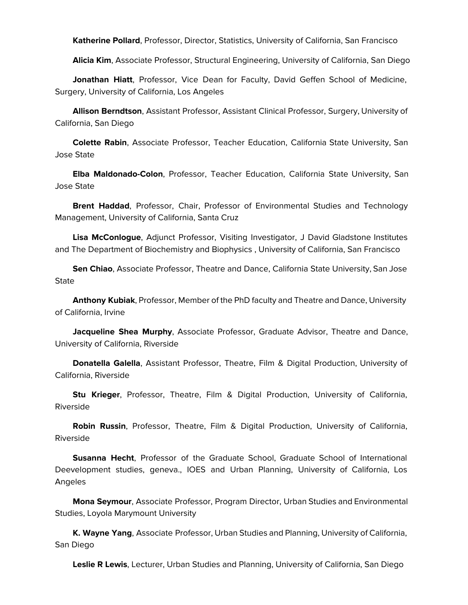**Katherine Pollard**, Professor, Director, Statistics, University of California, San Francisco

**Alicia Kim**, Associate Professor, Structural Engineering, University of California, San Diego

 **Jonathan Hiatt**, Professor, Vice Dean for Faculty, David Geffen School of Medicine, Surgery, University of California, Los Angeles

 **Allison Berndtson**, Assistant Professor, Assistant Clinical Professor, Surgery, University of California, San Diego

 **Colette Rabin**, Associate Professor, Teacher Education, California State University, San Jose State

 **Elba Maldonado-Colon**, Professor, Teacher Education, California State University, San Jose State

 **Brent Haddad**, Professor, Chair, Professor of Environmental Studies and Technology Management, University of California, Santa Cruz

 **Lisa McConlogue**, Adjunct Professor, Visiting Investigator, J David Gladstone Institutes and The Department of Biochemistry and Biophysics , University of California, San Francisco

 **Sen Chiao**, Associate Professor, Theatre and Dance, California State University, San Jose **State** 

 **Anthony Kubiak**, Professor, Member of the PhD faculty and Theatre and Dance, University of California, Irvine

 **Jacqueline Shea Murphy**, Associate Professor, Graduate Advisor, Theatre and Dance, University of California, Riverside

 **Donatella Galella**, Assistant Professor, Theatre, Film & Digital Production, University of California, Riverside

 **Stu Krieger**, Professor, Theatre, Film & Digital Production, University of California, Riverside

 **Robin Russin**, Professor, Theatre, Film & Digital Production, University of California, Riverside

 **Susanna Hecht**, Professor of the Graduate School, Graduate School of International Deevelopment studies, geneva., IOES and Urban Planning, University of California, Los Angeles

 **Mona Seymour**, Associate Professor, Program Director, Urban Studies and Environmental Studies, Loyola Marymount University

 **K. Wayne Yang**, Associate Professor, Urban Studies and Planning, University of California, San Diego

**Leslie R Lewis**, Lecturer, Urban Studies and Planning, University of California, San Diego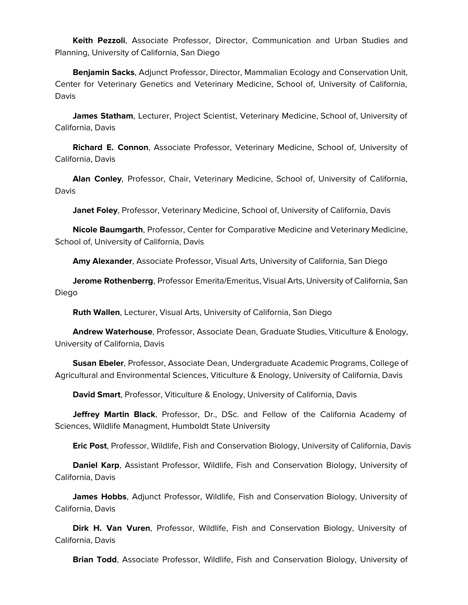**Keith Pezzoli**, Associate Professor, Director, Communication and Urban Studies and Planning, University of California, San Diego

 **Benjamin Sacks**, Adjunct Professor, Director, Mammalian Ecology and Conservation Unit, Center for Veterinary Genetics and Veterinary Medicine, School of, University of California, Davis

 **James Statham**, Lecturer, Project Scientist, Veterinary Medicine, School of, University of California, Davis

 **Richard E. Connon**, Associate Professor, Veterinary Medicine, School of, University of California, Davis

 **Alan Conley**, Professor, Chair, Veterinary Medicine, School of, University of California, Davis

**Janet Foley**, Professor, Veterinary Medicine, School of, University of California, Davis

 **Nicole Baumgarth**, Professor, Center for Comparative Medicine and Veterinary Medicine, School of, University of California, Davis

**Amy Alexander**, Associate Professor, Visual Arts, University of California, San Diego

 **Jerome Rothenberrg**, Professor Emerita/Emeritus, Visual Arts, University of California, San Diego

**Ruth Wallen**, Lecturer, Visual Arts, University of California, San Diego

 **Andrew Waterhouse**, Professor, Associate Dean, Graduate Studies, Viticulture & Enology, University of California, Davis

 **Susan Ebeler**, Professor, Associate Dean, Undergraduate Academic Programs, College of Agricultural and Environmental Sciences, Viticulture & Enology, University of California, Davis

**David Smart**, Professor, Viticulture & Enology, University of California, Davis

 **Jeffrey Martin Black**, Professor, Dr., DSc. and Fellow of the California Academy of Sciences, Wildlife Managment, Humboldt State University

**Eric Post**, Professor, Wildlife, Fish and Conservation Biology, University of California, Davis

 **Daniel Karp**, Assistant Professor, Wildlife, Fish and Conservation Biology, University of California, Davis

 **James Hobbs**, Adjunct Professor, Wildlife, Fish and Conservation Biology, University of California, Davis

 **Dirk H. Van Vuren**, Professor, Wildlife, Fish and Conservation Biology, University of California, Davis

**Brian Todd**, Associate Professor, Wildlife, Fish and Conservation Biology, University of